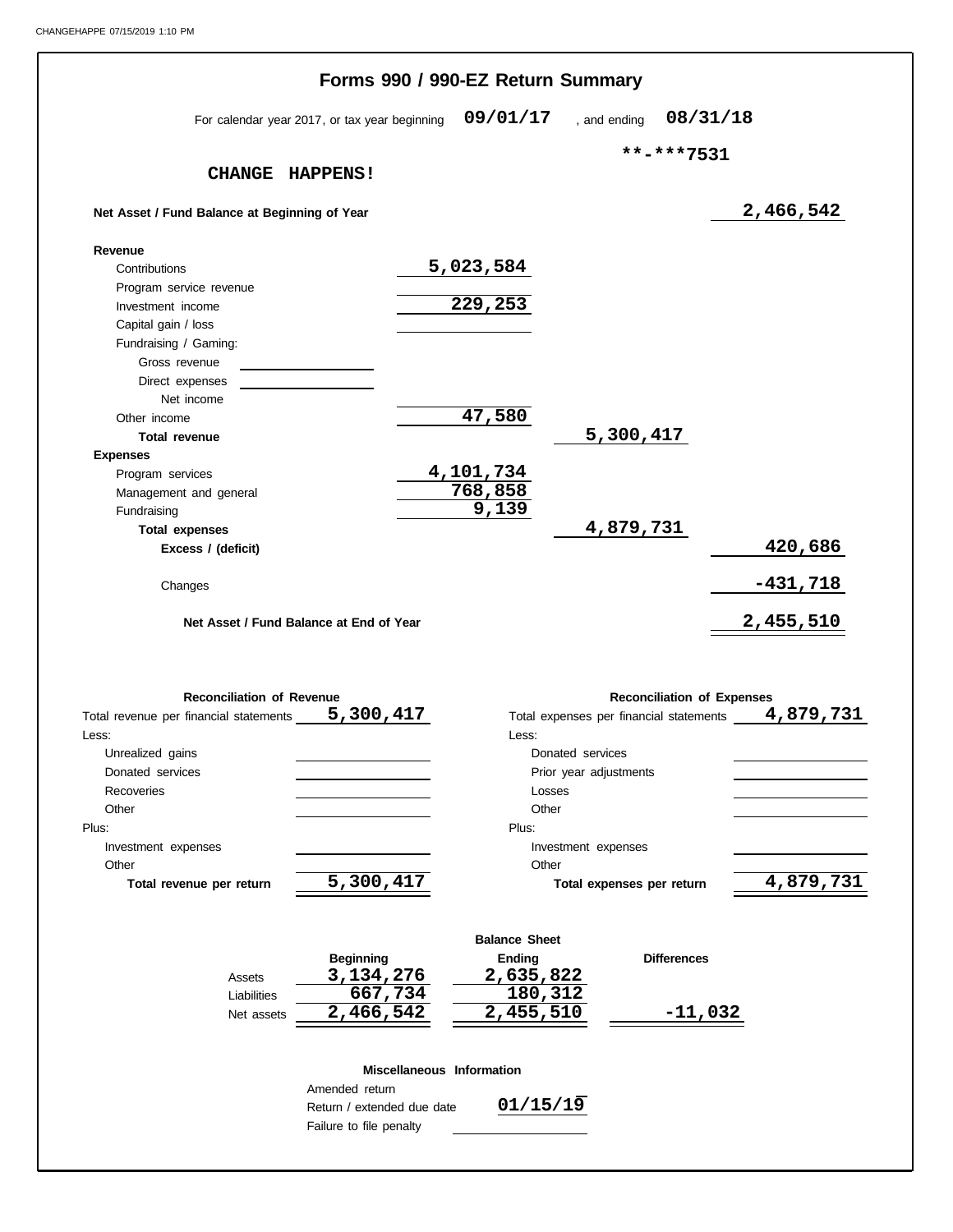|                                                     | Forms 990 / 990-EZ Return Summary       |            |
|-----------------------------------------------------|-----------------------------------------|------------|
| For calendar year 2017, or tax year beginning       | 09/01/17<br>08/31/18<br>, and ending    |            |
|                                                     | **-***7531                              |            |
| CHANGE HAPPENS!                                     |                                         |            |
| Net Asset / Fund Balance at Beginning of Year       |                                         | 2,466,542  |
| Revenue                                             |                                         |            |
| Contributions                                       | 5,023,584                               |            |
| Program service revenue                             |                                         |            |
| Investment income                                   | 229,253                                 |            |
| Capital gain / loss                                 |                                         |            |
| Fundraising / Gaming:                               |                                         |            |
| Gross revenue                                       |                                         |            |
| Direct expenses                                     |                                         |            |
| Net income                                          |                                         |            |
| Other income                                        | 47,580                                  |            |
| <b>Total revenue</b>                                | 5,300,417                               |            |
| <b>Expenses</b>                                     |                                         |            |
| Program services                                    | 4, 101, 734                             |            |
| Management and general                              | 768,858                                 |            |
| Fundraising                                         | 9,139                                   |            |
| <b>Total expenses</b>                               | 4,879,731                               |            |
| Excess / (deficit)                                  |                                         | 420,686    |
| Changes                                             |                                         | $-431,718$ |
|                                                     |                                         |            |
| Net Asset / Fund Balance at End of Year             |                                         | 2,455,510  |
|                                                     |                                         |            |
| <b>Reconciliation of Revenue</b>                    | <b>Reconciliation of Expenses</b>       |            |
| 5,300,417<br>Total revenue per financial statements | Total expenses per financial statements | 4,879,731  |
| Less:                                               | Less:                                   |            |
| Unrealized gains                                    | Donated services                        |            |
| Donated services                                    | Prior year adjustments                  |            |
| Recoveries                                          | Losses                                  |            |
| Other                                               | Other                                   |            |
| Plus:                                               | Plus:                                   |            |
| Investment expenses                                 | Investment expenses                     |            |
| Other                                               | Other                                   |            |
|                                                     |                                         |            |
| 5,300,417<br>Total revenue per return               | Total expenses per return               | 4,879,731  |

|             | <b>Beginning</b> | Ending    | <b>Differences</b> |
|-------------|------------------|-----------|--------------------|
| Assets      | 3, 134, 276      | 2,635,822 |                    |
| Liabilities | 667,734          | 180,312   |                    |
| Net assets  | 2,466,542        | 2,455,510 | $-11,032$          |

#### **Miscellaneous Information**

Return / extended due date Failure to file penalty Amended return

**01/15/19**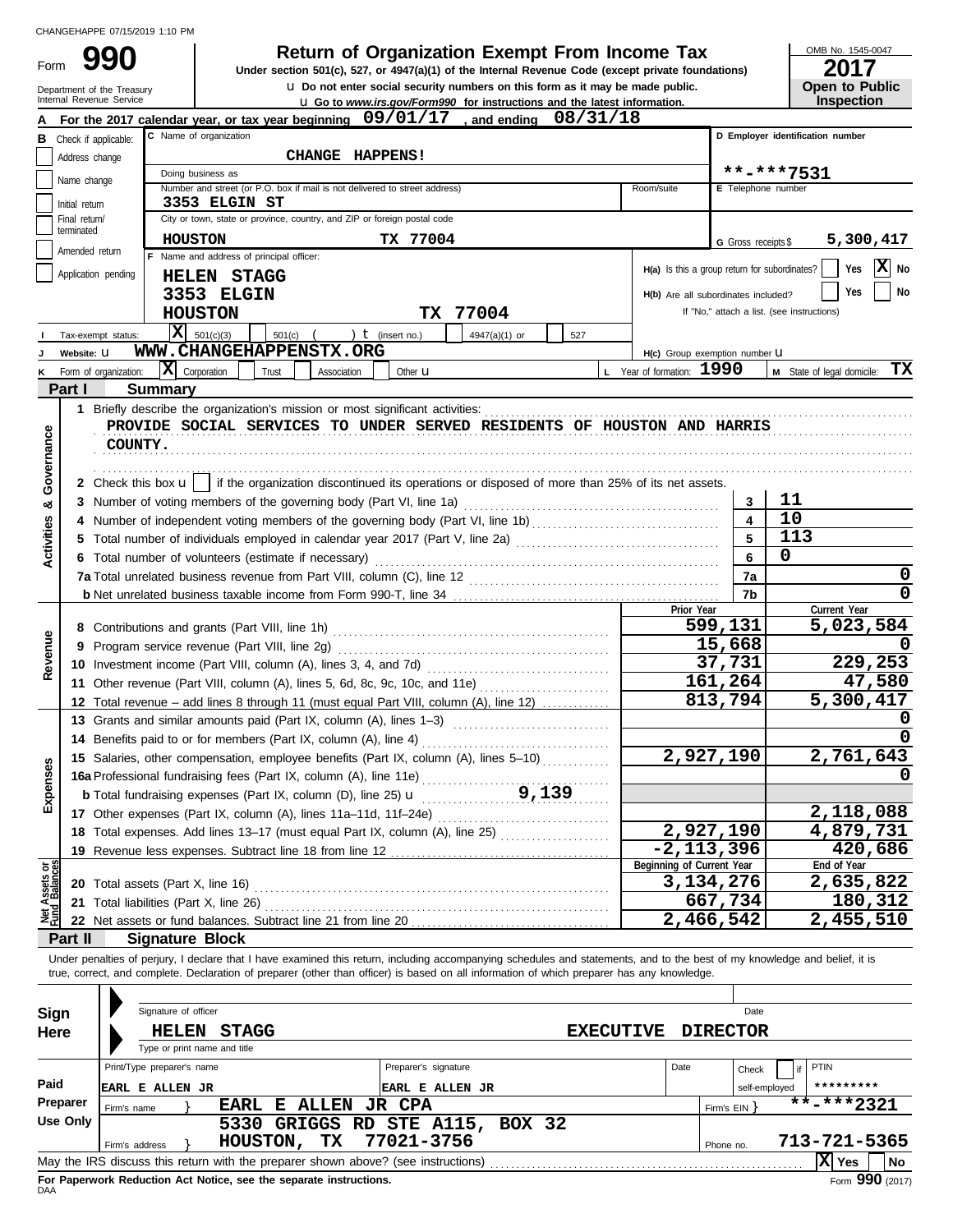Form 990

**990 1990 2017 2018 2017 Depend From Income Tax 1947(a)(1) of the Internal Revenue Code (except private foundations)** 

| OMB No. 1545-0047 |  |
|-------------------|--|
| 2017              |  |

| ZU 17                 |
|-----------------------|
| <b>Open to Public</b> |
| Inspection            |

|                         | <b>u</b> Do not enter social security numbers on this form as it may be made public.<br>Open to Public<br>Department of the Treasury<br>Internal Revenue Service                                    |                            |                                          |                                                                                                                                                                            |                      |                 |     |                  |                                               |                         |                                            |                            |                   |  |
|-------------------------|-----------------------------------------------------------------------------------------------------------------------------------------------------------------------------------------------------|----------------------------|------------------------------------------|----------------------------------------------------------------------------------------------------------------------------------------------------------------------------|----------------------|-----------------|-----|------------------|-----------------------------------------------|-------------------------|--------------------------------------------|----------------------------|-------------------|--|
|                         | <b>Inspection</b><br><b>u</b> Go to <i>www.irs.gov/Form990</i> for instructions and the latest information.<br>For the 2017 calendar year, or tax year beginning 09/01/17<br>08/31/18<br>and ending |                            |                                          |                                                                                                                                                                            |                      |                 |     |                  |                                               |                         |                                            |                            |                   |  |
| в                       | C Name of organization<br>Check if applicable:                                                                                                                                                      |                            |                                          |                                                                                                                                                                            |                      |                 |     |                  |                                               |                         | D Employer identification number           |                            |                   |  |
|                         | Address change                                                                                                                                                                                      | CHANGE HAPPENS!            |                                          |                                                                                                                                                                            |                      |                 |     |                  |                                               |                         |                                            |                            |                   |  |
|                         | Doing business as                                                                                                                                                                                   |                            |                                          |                                                                                                                                                                            |                      |                 |     |                  |                                               | **-***7531              |                                            |                            |                   |  |
|                         | Name change                                                                                                                                                                                         |                            |                                          | Number and street (or P.O. box if mail is not delivered to street address)                                                                                                 |                      |                 |     |                  | Room/suite                                    |                         | E Telephone number                         |                            |                   |  |
|                         | Initial return                                                                                                                                                                                      |                            | 3353 ELGIN ST                            |                                                                                                                                                                            |                      |                 |     |                  |                                               |                         |                                            |                            |                   |  |
|                         | Final return/<br>terminated                                                                                                                                                                         |                            |                                          | City or town, state or province, country, and ZIP or foreign postal code                                                                                                   |                      |                 |     |                  |                                               |                         |                                            |                            |                   |  |
|                         |                                                                                                                                                                                                     | <b>HOUSTON</b>             |                                          |                                                                                                                                                                            | TX 77004             |                 |     |                  |                                               | G Gross receipts \$     |                                            | 5,300,417                  |                   |  |
|                         | Amended return                                                                                                                                                                                      |                            | F Name and address of principal officer: |                                                                                                                                                                            |                      |                 |     |                  | H(a) Is this a group return for subordinates? |                         |                                            | Yes                        | $ \mathbf{X} $ No |  |
|                         | Application pending                                                                                                                                                                                 |                            | <b>HELEN STAGG</b>                       |                                                                                                                                                                            |                      |                 |     |                  |                                               |                         |                                            |                            |                   |  |
|                         |                                                                                                                                                                                                     |                            | 3353 ELGIN                               |                                                                                                                                                                            |                      |                 |     |                  | H(b) Are all subordinates included?           |                         |                                            | Yes                        | No                |  |
|                         |                                                                                                                                                                                                     |                            | <b>HOUSTON</b>                           |                                                                                                                                                                            |                      | TX 77004        |     |                  |                                               |                         | If "No," attach a list. (see instructions) |                            |                   |  |
|                         | Tax-exempt status:                                                                                                                                                                                  |                            | $\overline{\mathbf{X}}$ 501(c)(3)        | $501(c)$ (                                                                                                                                                                 | ) $t$ (insert no.)   | 4947(a)(1) or   | 527 |                  |                                               |                         |                                            |                            |                   |  |
|                         | Website: U                                                                                                                                                                                          |                            |                                          | WWW.CHANGEHAPPENSTX.ORG                                                                                                                                                    |                      |                 |     |                  | H(c) Group exemption number U                 |                         |                                            |                            |                   |  |
| κ                       | Form of organization:                                                                                                                                                                               | $ \mathbf{X} $ Corporation |                                          | Trust<br>Association                                                                                                                                                       | Other <b>u</b>       |                 |     |                  | L Year of formation: 1990                     |                         |                                            | M State of legal domicile: | TХ                |  |
|                         | Part I                                                                                                                                                                                              | <b>Summary</b>             |                                          |                                                                                                                                                                            |                      |                 |     |                  |                                               |                         |                                            |                            |                   |  |
|                         |                                                                                                                                                                                                     |                            |                                          | 1 Briefly describe the organization's mission or most significant activities:                                                                                              |                      |                 |     |                  |                                               |                         |                                            |                            |                   |  |
|                         |                                                                                                                                                                                                     |                            |                                          | PROVIDE SOCIAL SERVICES TO UNDER SERVED RESIDENTS OF HOUSTON AND HARRIS                                                                                                    |                      |                 |     |                  |                                               |                         |                                            |                            |                   |  |
| Governance              | COUNTY.                                                                                                                                                                                             |                            |                                          |                                                                                                                                                                            |                      |                 |     |                  |                                               |                         |                                            |                            |                   |  |
|                         |                                                                                                                                                                                                     |                            |                                          |                                                                                                                                                                            |                      |                 |     |                  |                                               |                         |                                            |                            |                   |  |
|                         |                                                                                                                                                                                                     |                            |                                          | 2 Check this box $\mathbf{u}$   if the organization discontinued its operations or disposed of more than 25% of its net assets.                                            |                      |                 |     |                  |                                               |                         |                                            |                            |                   |  |
| య                       |                                                                                                                                                                                                     |                            |                                          |                                                                                                                                                                            |                      |                 |     |                  |                                               | 3                       | 11                                         |                            |                   |  |
|                         |                                                                                                                                                                                                     |                            |                                          |                                                                                                                                                                            |                      |                 |     |                  |                                               | $\overline{\mathbf{4}}$ | 10                                         |                            |                   |  |
|                         |                                                                                                                                                                                                     |                            |                                          |                                                                                                                                                                            |                      |                 |     |                  |                                               | 5                       | 113                                        |                            |                   |  |
| Activities              |                                                                                                                                                                                                     |                            |                                          | 6 Total number of volunteers (estimate if necessary)                                                                                                                       |                      |                 |     |                  |                                               | 6                       | 0                                          |                            |                   |  |
|                         |                                                                                                                                                                                                     |                            |                                          |                                                                                                                                                                            |                      |                 |     |                  |                                               | 7a                      |                                            |                            | 0                 |  |
|                         |                                                                                                                                                                                                     |                            |                                          |                                                                                                                                                                            |                      |                 |     |                  |                                               | 7b                      |                                            |                            |                   |  |
|                         |                                                                                                                                                                                                     |                            |                                          |                                                                                                                                                                            |                      |                 |     |                  | Prior Year                                    |                         |                                            | Current Year               |                   |  |
|                         |                                                                                                                                                                                                     |                            |                                          |                                                                                                                                                                            |                      |                 |     | 599,131          |                                               | 5,023,584               |                                            |                            |                   |  |
| Revenue                 |                                                                                                                                                                                                     |                            |                                          |                                                                                                                                                                            |                      |                 |     |                  |                                               | 15,668                  |                                            |                            |                   |  |
|                         |                                                                                                                                                                                                     |                            |                                          |                                                                                                                                                                            |                      |                 |     |                  |                                               | 37,731                  |                                            | 229,253                    |                   |  |
|                         |                                                                                                                                                                                                     |                            |                                          | 11 Other revenue (Part VIII, column (A), lines 5, 6d, 8c, 9c, 10c, and 11e)                                                                                                |                      |                 |     |                  |                                               | 161,264                 | 47,580                                     |                            |                   |  |
|                         |                                                                                                                                                                                                     |                            |                                          | 12 Total revenue - add lines 8 through 11 (must equal Part VIII, column (A), line 12)                                                                                      |                      |                 |     |                  |                                               | 813,794                 |                                            | 5,300,417                  |                   |  |
|                         |                                                                                                                                                                                                     |                            |                                          | 13 Grants and similar amounts paid (Part IX, column (A), lines 1-3)                                                                                                        |                      |                 |     |                  |                                               |                         |                                            |                            |                   |  |
|                         |                                                                                                                                                                                                     |                            |                                          | 14 Benefits paid to or for members (Part IX, column (A), line 4)                                                                                                           |                      |                 |     |                  |                                               |                         |                                            |                            |                   |  |
| n                       |                                                                                                                                                                                                     |                            |                                          | 15 Salaries, other compensation, employee benefits (Part IX, column (A), lines 5-10)                                                                                       |                      |                 |     |                  |                                               | 2,927,190               |                                            | 2,761,643                  |                   |  |
| န္တ                     |                                                                                                                                                                                                     |                            |                                          | 16a Professional fundraising fees (Part IX, column (A), line 11e)                                                                                                          |                      |                 |     |                  |                                               |                         |                                            |                            |                   |  |
| Expen                   |                                                                                                                                                                                                     |                            |                                          | <b>b</b> Total fundraising expenses (Part IX, column (D), line 25) $\mathbf{u}$                                                                                            |                      | 9,139           |     |                  |                                               |                         |                                            |                            |                   |  |
|                         |                                                                                                                                                                                                     |                            |                                          |                                                                                                                                                                            |                      |                 |     |                  |                                               |                         |                                            | 2,118,088                  |                   |  |
|                         |                                                                                                                                                                                                     |                            |                                          | 18 Total expenses. Add lines 13-17 (must equal Part IX, column (A), line 25)                                                                                               |                      |                 |     |                  |                                               | 2,927,190               |                                            | 4,879,731                  |                   |  |
|                         |                                                                                                                                                                                                     |                            |                                          |                                                                                                                                                                            |                      |                 |     |                  |                                               | $-2, 113, 396$          |                                            | 420,686                    |                   |  |
| Assets or<br>d Balances |                                                                                                                                                                                                     |                            |                                          |                                                                                                                                                                            |                      |                 |     |                  | Beginning of Current Year                     |                         |                                            | End of Year                |                   |  |
|                         | 20 Total assets (Part X, line 16)                                                                                                                                                                   |                            |                                          |                                                                                                                                                                            |                      |                 |     |                  |                                               | 3,134,276               |                                            | 2,635,822                  |                   |  |
|                         | 21 Total liabilities (Part X, line 26)                                                                                                                                                              |                            |                                          |                                                                                                                                                                            |                      |                 |     |                  |                                               | 667,734                 |                                            | 180,312                    |                   |  |
| 薬                       |                                                                                                                                                                                                     |                            |                                          |                                                                                                                                                                            |                      |                 |     |                  |                                               | 2,466,542               |                                            | 2,455,510                  |                   |  |
|                         | Part II                                                                                                                                                                                             | <b>Signature Block</b>     |                                          |                                                                                                                                                                            |                      |                 |     |                  |                                               |                         |                                            |                            |                   |  |
|                         |                                                                                                                                                                                                     |                            |                                          | Under penalties of perjury, I declare that I have examined this return, including accompanying schedules and statements, and to the best of my knowledge and belief, it is |                      |                 |     |                  |                                               |                         |                                            |                            |                   |  |
|                         |                                                                                                                                                                                                     |                            |                                          | true, correct, and complete. Declaration of preparer (other than officer) is based on all information of which preparer has any knowledge.                                 |                      |                 |     |                  |                                               |                         |                                            |                            |                   |  |
|                         |                                                                                                                                                                                                     |                            |                                          |                                                                                                                                                                            |                      |                 |     |                  |                                               |                         |                                            |                            |                   |  |
| Sign                    |                                                                                                                                                                                                     | Signature of officer       |                                          |                                                                                                                                                                            |                      |                 |     |                  |                                               | Date                    |                                            |                            |                   |  |
| Here                    |                                                                                                                                                                                                     |                            | <b>HELEN STAGG</b>                       |                                                                                                                                                                            |                      |                 |     | <b>EXECUTIVE</b> |                                               | <b>DIRECTOR</b>         |                                            |                            |                   |  |
|                         |                                                                                                                                                                                                     |                            | Type or print name and title             |                                                                                                                                                                            |                      |                 |     |                  |                                               |                         |                                            |                            |                   |  |
|                         |                                                                                                                                                                                                     | Print/Type preparer's name |                                          |                                                                                                                                                                            | Preparer's signature |                 |     |                  | Date                                          | Check                   |                                            | PTIN                       |                   |  |
| Paid                    |                                                                                                                                                                                                     | <b>EARL E ALLEN JR</b>     |                                          |                                                                                                                                                                            |                      | EARL E ALLEN JR |     |                  |                                               |                         | self-employed                              | *********                  |                   |  |
|                         | Preparer<br>Firm's name                                                                                                                                                                             |                            |                                          | EARL E ALLEN                                                                                                                                                               | <b>JR CPA</b>        |                 |     |                  |                                               | Firm's EIN }            |                                            | $\overline{***}$ ***2321   |                   |  |
|                         | <b>Use Only</b>                                                                                                                                                                                     |                            |                                          | 5330 GRIGGS RD STE A115, BOX 32                                                                                                                                            |                      |                 |     |                  |                                               |                         |                                            |                            |                   |  |
|                         | Firm's address                                                                                                                                                                                      |                            | HOUSTON,                                 | TX                                                                                                                                                                         | 77021-3756           |                 |     |                  |                                               | Phone no.               |                                            | 713-721-5365               |                   |  |
|                         |                                                                                                                                                                                                     |                            |                                          |                                                                                                                                                                            |                      |                 |     |                  |                                               |                         |                                            | $ \mathbf{X} $ Yes         | No                |  |

| Sign                                                                                                     | Signature of officer                               |                 | Date          |                            |  |  |  |  |
|----------------------------------------------------------------------------------------------------------|----------------------------------------------------|-----------------|---------------|----------------------------|--|--|--|--|
| Here                                                                                                     | <b>STAGG</b><br><b>HELEN</b><br><b>EXECUTIVE</b>   | <b>DIRECTOR</b> |               |                            |  |  |  |  |
|                                                                                                          | Type or print name and title                       |                 |               |                            |  |  |  |  |
|                                                                                                          | Preparer's signature<br>Print/Type preparer's name | Date            | Check         | PTIN                       |  |  |  |  |
| Paid                                                                                                     | <b>EARL E ALLEN JR</b><br>EARL E ALLEN JR          |                 | self-employed | *********                  |  |  |  |  |
| Preparer                                                                                                 | E ALLEN JR CPA<br><b>EARL</b><br>Firm's name       | Firm's $EIN$    |               | $\overline{***}$ **** 2321 |  |  |  |  |
| Use Only                                                                                                 | GRIGGS RD STE A115, BOX 32<br>5330                 |                 |               |                            |  |  |  |  |
|                                                                                                          | 77021-3756<br>TX.<br>HOUSTON,<br>Firm's address    | Phone no.       |               | 713-721-5365               |  |  |  |  |
| X  Yes<br><b>No</b><br>May the IRS discuss this return with the preparer shown above? (see instructions) |                                                    |                 |               |                            |  |  |  |  |
| Form 990 (2017)<br>For Paperwork Reduction Act Notice, see the separate instructions.<br>DAA             |                                                    |                 |               |                            |  |  |  |  |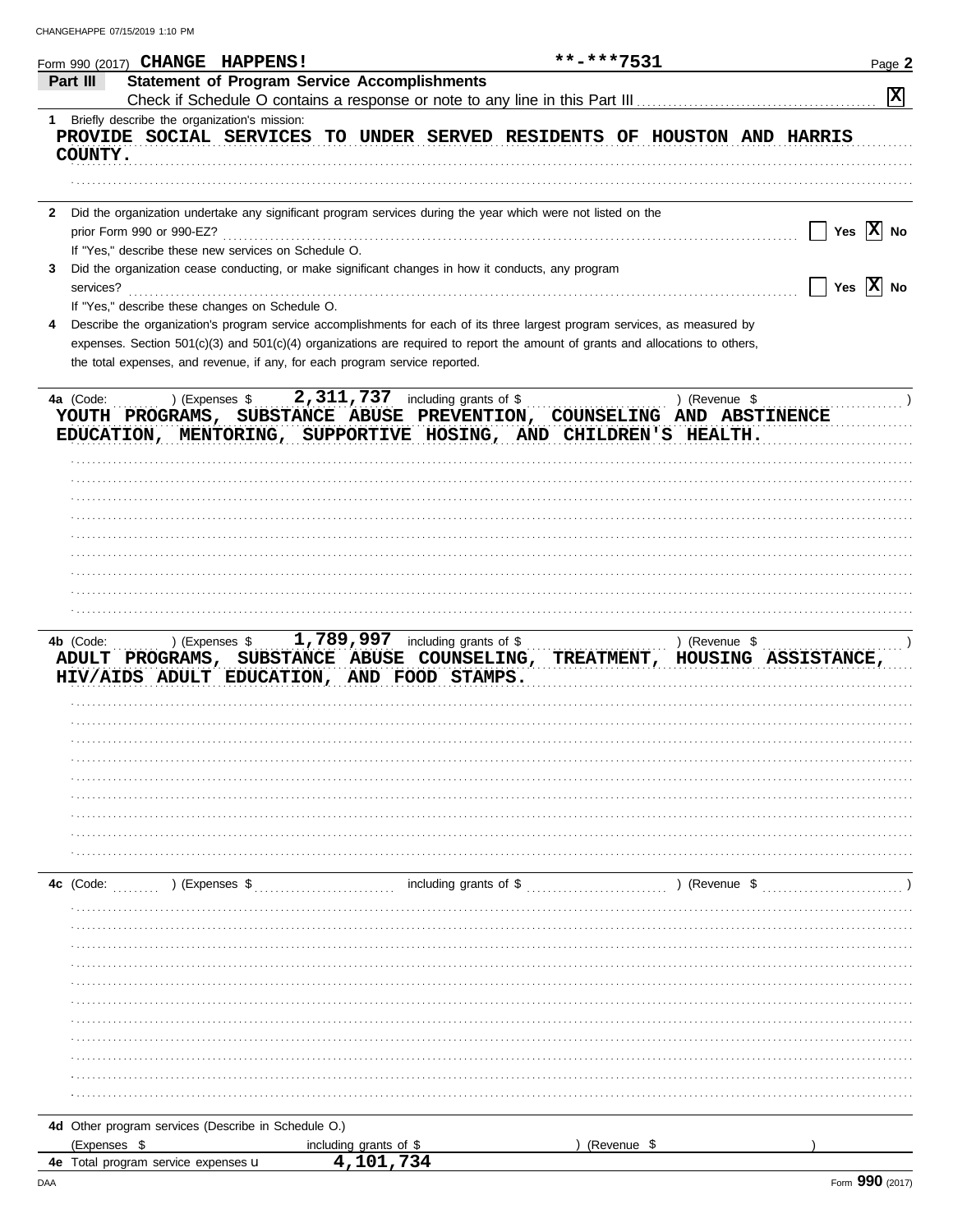| Part III     | Form 990 (2017) CHANGE HAPPENS!                      |                                                                                                                                     | **-***7531    | Page 2              |
|--------------|------------------------------------------------------|-------------------------------------------------------------------------------------------------------------------------------------|---------------|---------------------|
|              |                                                      | <b>Statement of Program Service Accomplishments</b><br>Check if Schedule O contains a response or note to any line in this Part III |               | 区                   |
|              | 1 Briefly describe the organization's mission:       |                                                                                                                                     |               |                     |
|              |                                                      | PROVIDE SOCIAL SERVICES TO UNDER SERVED RESIDENTS OF HOUSTON AND HARRIS                                                             |               |                     |
| COUNTY.      |                                                      |                                                                                                                                     |               |                     |
|              |                                                      |                                                                                                                                     |               |                     |
| $\mathbf{2}$ |                                                      | Did the organization undertake any significant program services during the year which were not listed on the                        |               |                     |
|              | prior Form 990 or 990-EZ?                            |                                                                                                                                     |               | Yes $ X $ No        |
|              | If "Yes," describe these new services on Schedule O. |                                                                                                                                     |               |                     |
|              |                                                      | Did the organization cease conducting, or make significant changes in how it conducts, any program                                  |               |                     |
| services?    |                                                      |                                                                                                                                     |               | Yes $ X $ No        |
|              | If "Yes," describe these changes on Schedule O.      | Describe the organization's program service accomplishments for each of its three largest program services, as measured by          |               |                     |
|              |                                                      | expenses. Section 501(c)(3) and 501(c)(4) organizations are required to report the amount of grants and allocations to others,      |               |                     |
|              |                                                      | the total expenses, and revenue, if any, for each program service reported.                                                         |               |                     |
|              |                                                      |                                                                                                                                     |               |                     |
| 4a (Code:    | ) (Expenses \$                                       | 2,311,737 including grants of \$                                                                                                    | ) (Revenue \$ |                     |
|              |                                                      | YOUTH PROGRAMS, SUBSTANCE ABUSE PREVENTION, COUNSELING AND ABSTINENCE                                                               |               |                     |
|              |                                                      | EDUCATION, MENTORING, SUPPORTIVE HOSING, AND CHILDREN'S HEALTH.                                                                     |               |                     |
|              |                                                      |                                                                                                                                     |               |                     |
|              |                                                      |                                                                                                                                     |               |                     |
|              |                                                      |                                                                                                                                     |               |                     |
|              |                                                      |                                                                                                                                     |               |                     |
|              |                                                      |                                                                                                                                     |               |                     |
|              |                                                      |                                                                                                                                     |               |                     |
|              |                                                      |                                                                                                                                     |               |                     |
|              |                                                      |                                                                                                                                     |               |                     |
|              |                                                      |                                                                                                                                     |               |                     |
|              |                                                      |                                                                                                                                     |               |                     |
| 4b (Code:    | ) (Expenses \$                                       | 1,789,997 including grants of \$                                                                                                    | ) (Revenue \$ |                     |
|              |                                                      | ADULT PROGRAMS, SUBSTANCE ABUSE COUNSELING, TREATMENT,                                                                              |               | HOUSING ASSISTANCE, |
|              |                                                      | HIV/AIDS ADULT EDUCATION, AND FOOD STAMPS.                                                                                          |               |                     |
|              |                                                      |                                                                                                                                     |               |                     |
|              |                                                      |                                                                                                                                     |               |                     |
|              |                                                      |                                                                                                                                     |               |                     |
|              |                                                      |                                                                                                                                     |               |                     |
|              |                                                      |                                                                                                                                     |               |                     |
|              |                                                      |                                                                                                                                     |               |                     |
|              |                                                      |                                                                                                                                     |               |                     |
|              |                                                      |                                                                                                                                     |               |                     |
|              |                                                      |                                                                                                                                     |               |                     |
|              | ) (Expenses \$                                       | including grants of \$                                                                                                              | ) (Revenue \$ |                     |
|              |                                                      |                                                                                                                                     |               |                     |
|              |                                                      |                                                                                                                                     |               |                     |
|              |                                                      |                                                                                                                                     |               |                     |
|              |                                                      |                                                                                                                                     |               |                     |
|              |                                                      |                                                                                                                                     |               |                     |
|              |                                                      |                                                                                                                                     |               |                     |
|              |                                                      |                                                                                                                                     |               |                     |
|              |                                                      |                                                                                                                                     |               |                     |
| 4c (Code:    |                                                      |                                                                                                                                     |               |                     |
|              |                                                      |                                                                                                                                     |               |                     |
|              |                                                      |                                                                                                                                     |               |                     |
|              | 4d Other program services (Describe in Schedule O.)  | including grants of \$                                                                                                              |               |                     |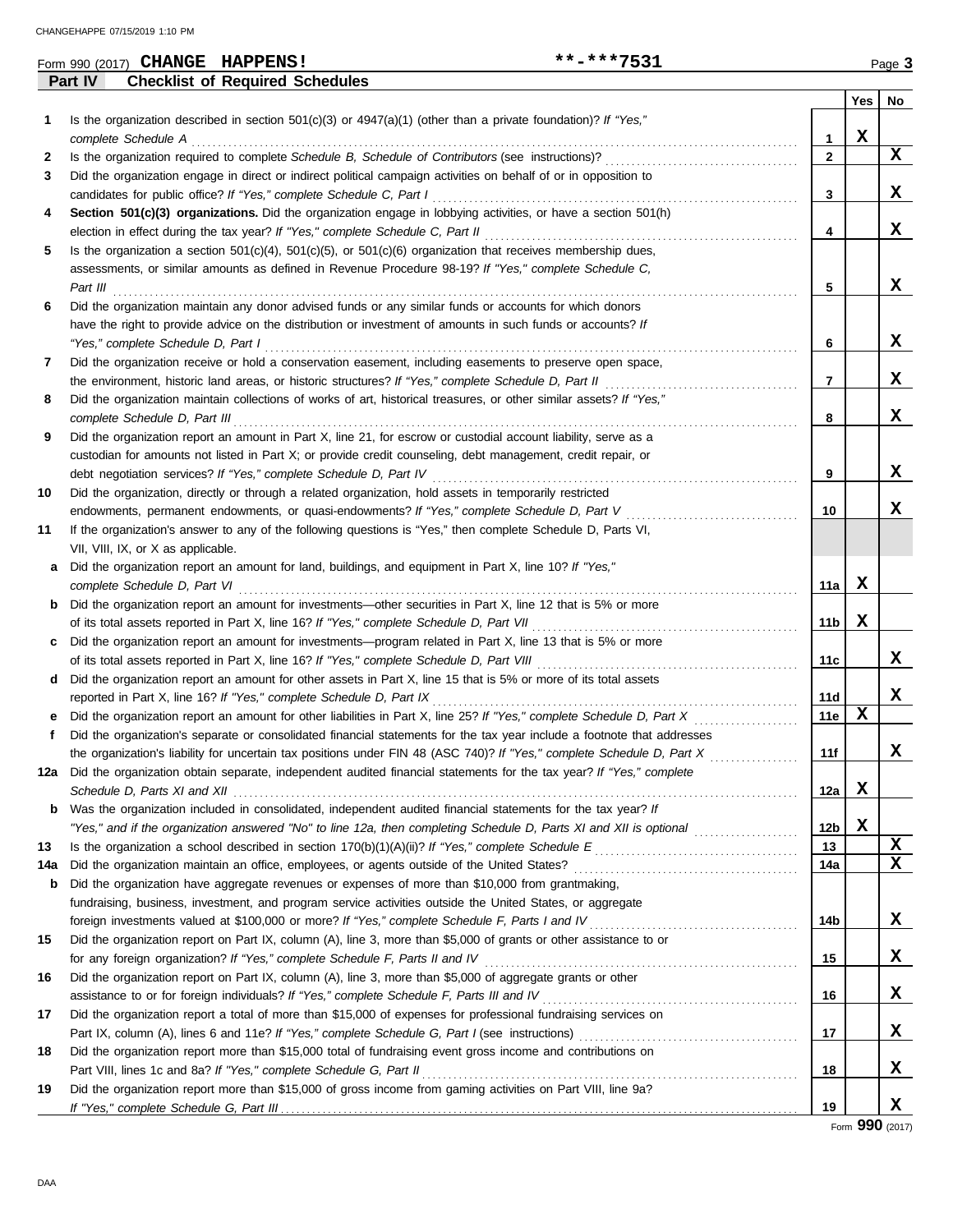|     | Form 990 (2017) CHANGE HAPPENS!                                                                                         | **-***7531 |                 |     | Page 3 |
|-----|-------------------------------------------------------------------------------------------------------------------------|------------|-----------------|-----|--------|
|     | Part IV<br><b>Checklist of Required Schedules</b>                                                                       |            |                 |     |        |
|     |                                                                                                                         |            |                 | Yes | No     |
| 1.  | Is the organization described in section $501(c)(3)$ or $4947(a)(1)$ (other than a private foundation)? If "Yes,"       |            |                 |     |        |
|     | complete Schedule A                                                                                                     |            | 1               | X   |        |
| 2   |                                                                                                                         |            | 2               |     | X      |
| 3   | Did the organization engage in direct or indirect political campaign activities on behalf of or in opposition to        |            |                 |     |        |
|     | candidates for public office? If "Yes," complete Schedule C, Part I                                                     |            | 3               |     | x      |
| 4   | Section 501(c)(3) organizations. Did the organization engage in lobbying activities, or have a section 501(h)           |            |                 |     |        |
|     | election in effect during the tax year? If "Yes," complete Schedule C, Part II                                          |            | 4               |     | x      |
| 5   | Is the organization a section $501(c)(4)$ , $501(c)(5)$ , or $501(c)(6)$ organization that receives membership dues,    |            |                 |     |        |
|     | assessments, or similar amounts as defined in Revenue Procedure 98-19? If "Yes," complete Schedule C,                   |            |                 |     |        |
|     | Part III                                                                                                                |            | 5               |     | X      |
| 6   | Did the organization maintain any donor advised funds or any similar funds or accounts for which donors                 |            |                 |     |        |
|     | have the right to provide advice on the distribution or investment of amounts in such funds or accounts? If             |            |                 |     |        |
|     | "Yes," complete Schedule D, Part I                                                                                      |            | 6               |     | x      |
| 7   | Did the organization receive or hold a conservation easement, including easements to preserve open space,               |            |                 |     |        |
|     | the environment, historic land areas, or historic structures? If "Yes," complete Schedule D, Part II                    |            | 7               |     | X      |
| 8   | Did the organization maintain collections of works of art, historical treasures, or other similar assets? If "Yes,"     |            |                 |     |        |
|     | complete Schedule D, Part III                                                                                           |            | 8               |     | X      |
| 9   | Did the organization report an amount in Part X, line 21, for escrow or custodial account liability, serve as a         |            |                 |     |        |
|     | custodian for amounts not listed in Part X; or provide credit counseling, debt management, credit repair, or            |            |                 |     |        |
|     | debt negotiation services? If "Yes," complete Schedule D, Part IV                                                       |            | 9               |     | x      |
| 10  | Did the organization, directly or through a related organization, hold assets in temporarily restricted                 |            |                 |     |        |
|     | endowments, permanent endowments, or quasi-endowments? If "Yes," complete Schedule D, Part V                            |            | 10              |     | x      |
| 11  | If the organization's answer to any of the following questions is "Yes," then complete Schedule D, Parts VI,            |            |                 |     |        |
|     | VII, VIII, IX, or X as applicable.                                                                                      |            |                 |     |        |
| а   | Did the organization report an amount for land, buildings, and equipment in Part X, line 10? If "Yes,"                  |            |                 |     |        |
|     | complete Schedule D, Part VI                                                                                            |            | 11a             | x   |        |
| b   | Did the organization report an amount for investments-other securities in Part X, line 12 that is 5% or more            |            |                 |     |        |
|     | of its total assets reported in Part X, line 16? If "Yes," complete Schedule D, Part VII                                |            | 11b             | X   |        |
|     | Did the organization report an amount for investments—program related in Part X, line 13 that is 5% or more             |            |                 |     |        |
|     |                                                                                                                         |            | 11c             |     | x      |
| d   | Did the organization report an amount for other assets in Part X, line 15 that is 5% or more of its total assets        |            |                 |     |        |
|     | reported in Part X, line 16? If "Yes," complete Schedule D, Part IX                                                     |            | 11d             |     | x      |
|     | Did the organization report an amount for other liabilities in Part X, line 25? If "Yes," complete Schedule D, Part X   |            | 11e             | X   |        |
|     | Did the organization's separate or consolidated financial statements for the tax year include a footnote that addresses |            |                 |     |        |
|     | the organization's liability for uncertain tax positions under FIN 48 (ASC 740)? If "Yes," complete Schedule D, Part X  | .          | 11f             |     | x      |
| 12a | Did the organization obtain separate, independent audited financial statements for the tax year? If "Yes," complete     |            |                 |     |        |
|     |                                                                                                                         |            | 12a             | X   |        |
| b   | Was the organization included in consolidated, independent audited financial statements for the tax year? If            |            |                 |     |        |
|     | "Yes," and if the organization answered "No" to line 12a, then completing Schedule D, Parts XI and XII is optional      |            | 12 <sub>b</sub> | X   |        |
| 13  |                                                                                                                         |            | 13              |     | X      |
| 14a |                                                                                                                         |            | 14a             |     | X      |
| b   | Did the organization have aggregate revenues or expenses of more than \$10,000 from grantmaking,                        |            |                 |     |        |
|     | fundraising, business, investment, and program service activities outside the United States, or aggregate               |            |                 |     |        |
|     |                                                                                                                         |            | 14b             |     | X      |
| 15  | Did the organization report on Part IX, column (A), line 3, more than \$5,000 of grants or other assistance to or       |            |                 |     |        |
|     |                                                                                                                         |            | 15              |     | x      |
| 16  | Did the organization report on Part IX, column (A), line 3, more than \$5,000 of aggregate grants or other              |            |                 |     |        |
|     |                                                                                                                         |            | 16              |     | X      |
| 17  | Did the organization report a total of more than \$15,000 of expenses for professional fundraising services on          |            |                 |     |        |
|     |                                                                                                                         |            | 17              |     | X      |
| 18  | Did the organization report more than \$15,000 total of fundraising event gross income and contributions on             |            |                 |     |        |
|     | Part VIII, lines 1c and 8a? If "Yes," complete Schedule G, Part II                                                      |            | 18              |     | X      |
| 19  | Did the organization report more than \$15,000 of gross income from gaming activities on Part VIII, line 9a?            |            |                 |     |        |
|     |                                                                                                                         |            | 19              |     | x      |

Form **990** (2017)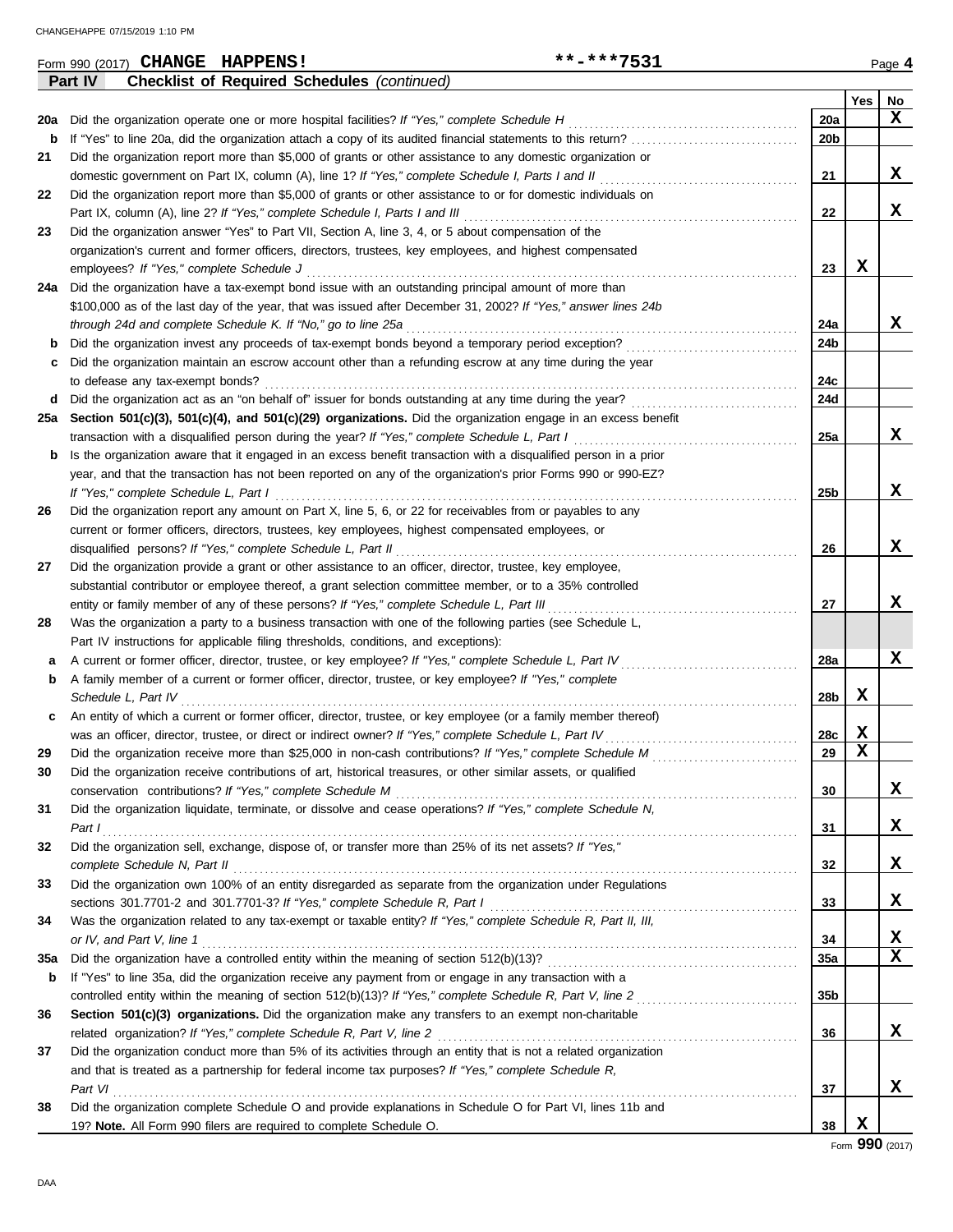|     | **-***7531<br>Form 990 (2017) CHANGE HAPPENS!                                                                         |                 |             | Page 4 |
|-----|-----------------------------------------------------------------------------------------------------------------------|-----------------|-------------|--------|
|     | <b>Checklist of Required Schedules (continued)</b><br>Part IV                                                         |                 |             |        |
|     |                                                                                                                       |                 | Yes         | No     |
| 20a | Did the organization operate one or more hospital facilities? If "Yes," complete Schedule H                           | 20a             |             | x      |
| b   | If "Yes" to line 20a, did the organization attach a copy of its audited financial statements to this return?          | 20 <sub>b</sub> |             |        |
| 21  | Did the organization report more than \$5,000 of grants or other assistance to any domestic organization or           |                 |             |        |
|     | domestic government on Part IX, column (A), line 1? If "Yes," complete Schedule I, Parts I and II                     | 21              |             | x      |
| 22  | Did the organization report more than \$5,000 of grants or other assistance to or for domestic individuals on         |                 |             |        |
|     | Part IX, column (A), line 2? If "Yes," complete Schedule I, Parts I and III                                           | 22              |             | x      |
| 23  | Did the organization answer "Yes" to Part VII, Section A, line 3, 4, or 5 about compensation of the                   |                 |             |        |
|     | organization's current and former officers, directors, trustees, key employees, and highest compensated               |                 |             |        |
|     | employees? If "Yes," complete Schedule J                                                                              | 23              | х           |        |
|     | 24a Did the organization have a tax-exempt bond issue with an outstanding principal amount of more than               |                 |             |        |
|     | \$100,000 as of the last day of the year, that was issued after December 31, 2002? If "Yes," answer lines 24b         |                 |             |        |
|     | through 24d and complete Schedule K. If "No," go to line 25a                                                          | 24a             |             | X      |
| b   | Did the organization invest any proceeds of tax-exempt bonds beyond a temporary period exception?                     | 24b             |             |        |
| c   | Did the organization maintain an escrow account other than a refunding escrow at any time during the year             |                 |             |        |
|     | to defease any tax-exempt bonds?                                                                                      | 24c             |             |        |
| d   | Did the organization act as an "on behalf of" issuer for bonds outstanding at any time during the year?               | 24d             |             |        |
| 25а | Section 501(c)(3), 501(c)(4), and 501(c)(29) organizations. Did the organization engage in an excess benefit          |                 |             |        |
|     |                                                                                                                       | 25a             |             | x      |
|     | transaction with a disqualified person during the year? If "Yes," complete Schedule L, Part I                         |                 |             |        |
| b   | Is the organization aware that it engaged in an excess benefit transaction with a disqualified person in a prior      |                 |             |        |
|     | year, and that the transaction has not been reported on any of the organization's prior Forms 990 or 990-EZ?          |                 |             |        |
|     | If "Yes," complete Schedule L, Part I                                                                                 | 25 <sub>b</sub> |             | X      |
| 26  | Did the organization report any amount on Part X, line 5, 6, or 22 for receivables from or payables to any            |                 |             |        |
|     | current or former officers, directors, trustees, key employees, highest compensated employees, or                     |                 |             |        |
|     | disqualified persons? If "Yes," complete Schedule L, Part II                                                          | 26              |             | X      |
| 27  | Did the organization provide a grant or other assistance to an officer, director, trustee, key employee,              |                 |             |        |
|     | substantial contributor or employee thereof, a grant selection committee member, or to a 35% controlled               |                 |             |        |
|     | entity or family member of any of these persons? If "Yes," complete Schedule L, Part III                              | 27              |             | x      |
| 28  | Was the organization a party to a business transaction with one of the following parties (see Schedule L,             |                 |             |        |
|     | Part IV instructions for applicable filing thresholds, conditions, and exceptions):                                   |                 |             |        |
| а   | A current or former officer, director, trustee, or key employee? If "Yes," complete Schedule L, Part IV               | 28a             |             | X      |
| b   | A family member of a current or former officer, director, trustee, or key employee? If "Yes," complete                |                 |             |        |
|     | Schedule L, Part IV                                                                                                   | 28b             | X           |        |
| c   | An entity of which a current or former officer, director, trustee, or key employee (or a family member thereof)       |                 |             |        |
|     | was an officer, director, trustee, or direct or indirect owner? If "Yes," complete Schedule L, Part IV                | 28c             | X           |        |
|     | Did the organization receive more than \$25,000 in non-cash contributions? If "Yes," complete Schedule M              | 29              | $\mathbf x$ |        |
| 30  | Did the organization receive contributions of art, historical treasures, or other similar assets, or qualified        |                 |             |        |
|     | conservation contributions? If "Yes," complete Schedule M                                                             | 30              |             | x      |
| 31  | Did the organization liquidate, terminate, or dissolve and cease operations? If "Yes," complete Schedule N,           |                 |             |        |
|     | Part I                                                                                                                | 31              |             | x      |
| 32  | Did the organization sell, exchange, dispose of, or transfer more than 25% of its net assets? If "Yes,"               |                 |             |        |
|     | complete Schedule N, Part II                                                                                          | 32              |             | X      |
| 33  | Did the organization own 100% of an entity disregarded as separate from the organization under Regulations            |                 |             |        |
|     |                                                                                                                       | 33              |             | X      |
| 34  | Was the organization related to any tax-exempt or taxable entity? If "Yes," complete Schedule R, Part II, III,        |                 |             |        |
|     | or IV, and Part V, line 1                                                                                             | 34              |             | X      |
| 35a |                                                                                                                       | 35a             |             | X      |
| b   | If "Yes" to line 35a, did the organization receive any payment from or engage in any transaction with a               |                 |             |        |
|     | controlled entity within the meaning of section 512(b)(13)? If "Yes," complete Schedule R, Part V, line 2             | 35b             |             |        |
| 36  | Section 501(c)(3) organizations. Did the organization make any transfers to an exempt non-charitable                  |                 |             |        |
|     | related organization? If "Yes," complete Schedule R, Part V, line 2                                                   | 36              |             | x      |
| 37  | Did the organization conduct more than 5% of its activities through an entity that is not a related organization      |                 |             |        |
|     |                                                                                                                       |                 |             |        |
|     | and that is treated as a partnership for federal income tax purposes? If "Yes," complete Schedule R,                  |                 |             | X      |
|     | Part VI<br>Did the organization complete Schedule O and provide explanations in Schedule O for Part VI, lines 11b and | 37              |             |        |
| 38  |                                                                                                                       |                 |             |        |
|     | 19? Note. All Form 990 filers are required to complete Schedule O.                                                    | 38              | X           |        |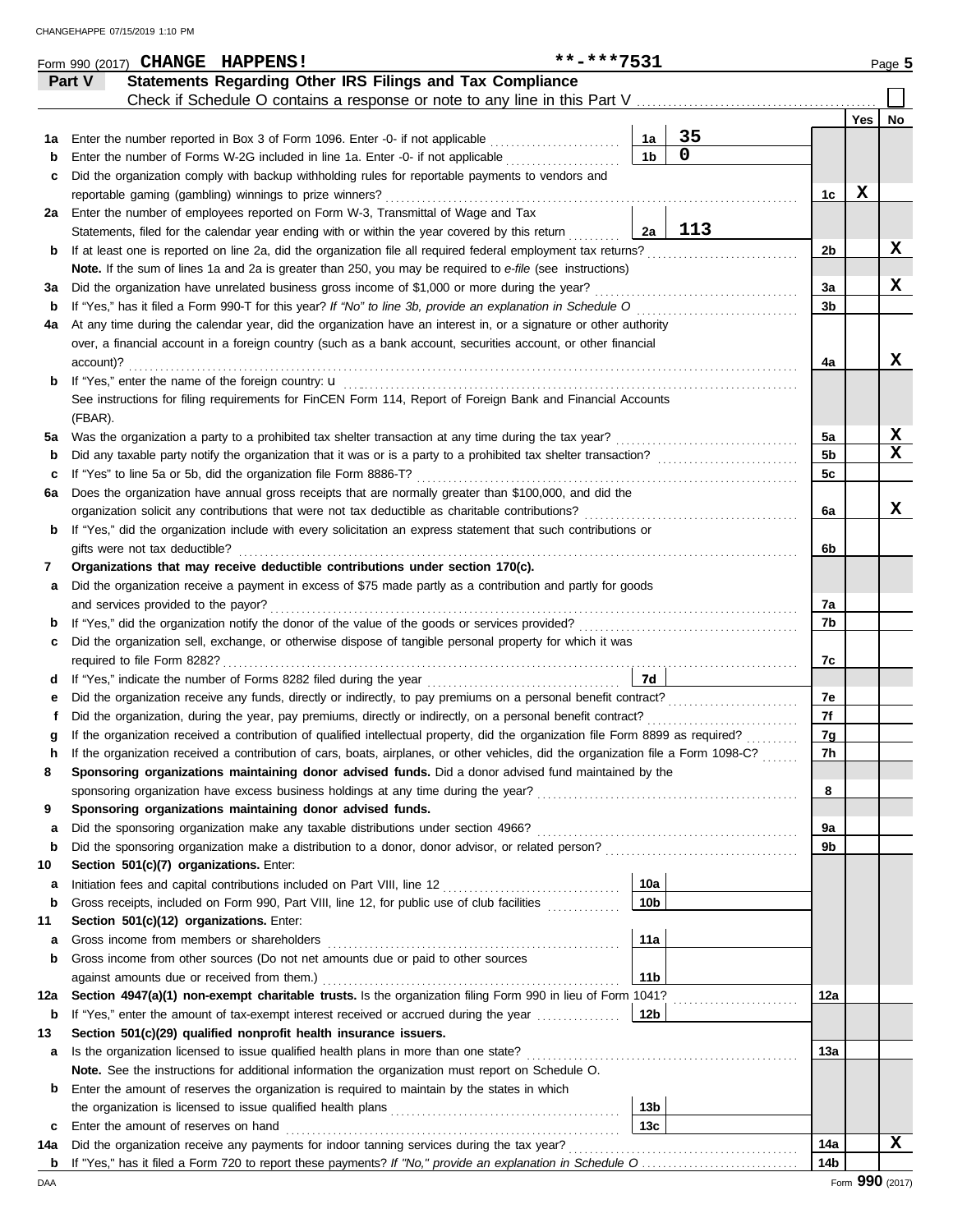|        | Form 990 (2017) CHANGE HAPPENS!                                                                                                    | **-***7531 |                 |             |                |             | Page 5 |
|--------|------------------------------------------------------------------------------------------------------------------------------------|------------|-----------------|-------------|----------------|-------------|--------|
|        | Statements Regarding Other IRS Filings and Tax Compliance<br>Part V                                                                |            |                 |             |                |             |        |
|        | Check if Schedule O contains a response or note to any line in this Part V                                                         |            |                 |             |                | Yes         |        |
| 1а     | Enter the number reported in Box 3 of Form 1096. Enter -0- if not applicable                                                       |            | 1a              | 35          |                |             | No     |
| b      | Enter the number of Forms W-2G included in line 1a. Enter -0- if not applicable                                                    |            | 1 <sub>b</sub>  | $\mathbf 0$ |                |             |        |
| c      | Did the organization comply with backup withholding rules for reportable payments to vendors and                                   |            |                 |             |                |             |        |
|        | reportable gaming (gambling) winnings to prize winners?                                                                            |            |                 |             | 1c             | $\mathbf x$ |        |
| 2a     | Enter the number of employees reported on Form W-3, Transmittal of Wage and Tax                                                    |            |                 |             |                |             |        |
|        | Statements, filed for the calendar year ending with or within the year covered by this return                                      |            | 2a              | 113         |                |             |        |
| b      | If at least one is reported on line 2a, did the organization file all required federal employment tax returns?                     |            |                 |             | 2b             |             | X      |
|        | Note. If the sum of lines 1a and 2a is greater than 250, you may be required to e-file (see instructions)                          |            |                 |             |                |             |        |
| За     | Did the organization have unrelated business gross income of \$1,000 or more during the year?                                      |            |                 |             | 3a             |             | x      |
| b      |                                                                                                                                    |            |                 |             | 3b             |             |        |
| 4a     | At any time during the calendar year, did the organization have an interest in, or a signature or other authority                  |            |                 |             |                |             |        |
|        | over, a financial account in a foreign country (such as a bank account, securities account, or other financial                     |            |                 |             |                |             |        |
|        | account)?                                                                                                                          |            |                 |             | 4a             |             | x      |
| b      |                                                                                                                                    |            |                 |             |                |             |        |
|        | See instructions for filing requirements for FinCEN Form 114, Report of Foreign Bank and Financial Accounts                        |            |                 |             |                |             |        |
|        | (FBAR).                                                                                                                            |            |                 |             |                |             |        |
| 5a     | Was the organization a party to a prohibited tax shelter transaction at any time during the tax year?                              |            |                 |             | 5a             |             | X      |
| b      |                                                                                                                                    |            |                 |             | 5 <sub>b</sub> |             | X      |
| c      | If "Yes" to line 5a or 5b, did the organization file Form 8886-T?                                                                  |            |                 |             | 5с             |             |        |
| 6а     | Does the organization have annual gross receipts that are normally greater than \$100,000, and did the                             |            |                 |             |                |             |        |
|        | organization solicit any contributions that were not tax deductible as charitable contributions?                                   |            |                 |             | 6a             |             | X      |
| b      | If "Yes," did the organization include with every solicitation an express statement that such contributions or                     |            |                 |             |                |             |        |
|        | gifts were not tax deductible?                                                                                                     |            |                 |             | 6b             |             |        |
| 7      | Organizations that may receive deductible contributions under section 170(c).                                                      |            |                 |             |                |             |        |
| а      | Did the organization receive a payment in excess of \$75 made partly as a contribution and partly for goods                        |            |                 |             |                |             |        |
|        | and services provided to the payor?                                                                                                |            |                 |             | 7a             |             |        |
| b      |                                                                                                                                    |            |                 |             | 7b             |             |        |
| c      | Did the organization sell, exchange, or otherwise dispose of tangible personal property for which it was                           |            |                 |             |                |             |        |
|        |                                                                                                                                    |            | 7d              |             | 7с             |             |        |
| d<br>е |                                                                                                                                    |            |                 |             | 7e             |             |        |
|        | Did the organization, during the year, pay premiums, directly or indirectly, on a personal benefit contract?                       |            |                 |             | 7f             |             |        |
|        | If the organization received a contribution of qualified intellectual property, did the organization file Form 8899 as required?   |            |                 |             | 7g             |             |        |
|        | If the organization received a contribution of cars, boats, airplanes, or other vehicles, did the organization file a Form 1098-C? |            |                 |             | 7h             |             |        |
| 8      | Sponsoring organizations maintaining donor advised funds. Did a donor advised fund maintained by the                               |            |                 |             |                |             |        |
|        |                                                                                                                                    |            |                 |             | 8              |             |        |
| 9      | Sponsoring organizations maintaining donor advised funds.                                                                          |            |                 |             |                |             |        |
| а      | Did the sponsoring organization make any taxable distributions under section 4966?                                                 |            |                 |             | 9а             |             |        |
| b      |                                                                                                                                    |            |                 |             | 9b             |             |        |
| 10     | Section 501(c)(7) organizations. Enter:                                                                                            |            |                 |             |                |             |        |
| а      |                                                                                                                                    |            | 10a             |             |                |             |        |
| b      | Gross receipts, included on Form 990, Part VIII, line 12, for public use of club facilities                                        |            | 10 <sub>b</sub> |             |                |             |        |
| 11     | Section 501(c)(12) organizations. Enter:                                                                                           |            |                 |             |                |             |        |
| а      |                                                                                                                                    |            | 11a             |             |                |             |        |
| b      | Gross income from other sources (Do not net amounts due or paid to other sources                                                   |            |                 |             |                |             |        |
|        |                                                                                                                                    |            | 11 <sub>b</sub> |             |                |             |        |
| 12a    | Section 4947(a)(1) non-exempt charitable trusts. Is the organization filing Form 990 in lieu of Form 1041?                         |            |                 |             | 12a            |             |        |
| b      | If "Yes," enter the amount of tax-exempt interest received or accrued during the year                                              |            | 12b             |             |                |             |        |
| 13     | Section 501(c)(29) qualified nonprofit health insurance issuers.                                                                   |            |                 |             |                |             |        |
| а      | Is the organization licensed to issue qualified health plans in more than one state?                                               |            |                 |             | 13a            |             |        |
|        | Note. See the instructions for additional information the organization must report on Schedule O.                                  |            |                 |             |                |             |        |
| b      | Enter the amount of reserves the organization is required to maintain by the states in which                                       |            |                 |             |                |             |        |
|        |                                                                                                                                    |            | 13 <sub>b</sub> |             |                |             |        |
| c      | Enter the amount of reserves on hand                                                                                               |            | 13 <sub>c</sub> |             |                |             |        |
| 14a    | Did the organization receive any payments for indoor tanning services during the tax year?                                         |            |                 |             | 14a            |             | x      |
| b      |                                                                                                                                    |            |                 |             | 14b            |             |        |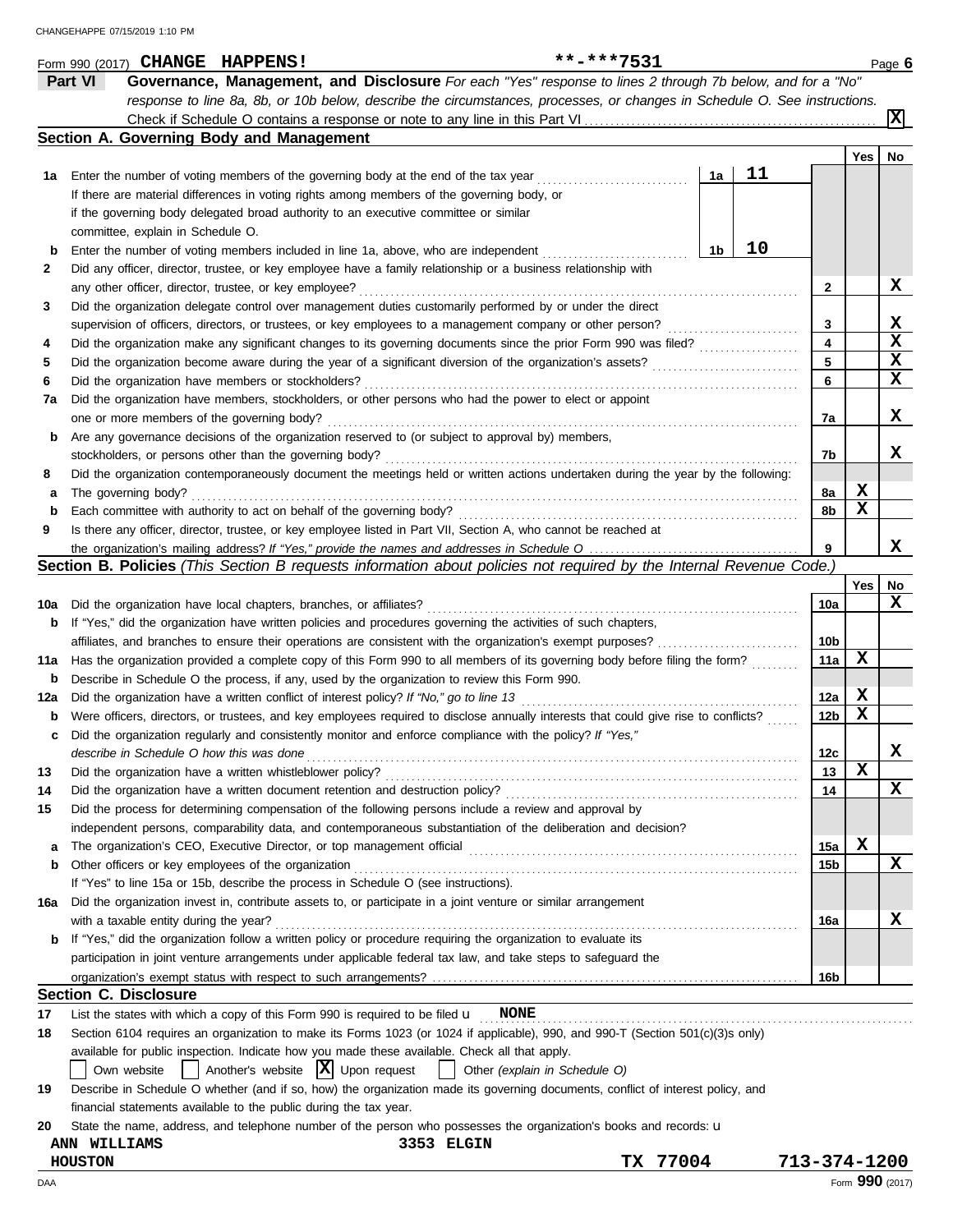|     | **-***7531<br>Form 990 (2017) CHANGE HAPPENS!                                                                                       |    |    |              |            | Page 6         |
|-----|-------------------------------------------------------------------------------------------------------------------------------------|----|----|--------------|------------|----------------|
|     | Governance, Management, and Disclosure For each "Yes" response to lines 2 through 7b below, and for a "No"<br><b>Part VI</b>        |    |    |              |            |                |
|     | response to line 8a, 8b, or 10b below, describe the circumstances, processes, or changes in Schedule O. See instructions.           |    |    |              |            |                |
|     |                                                                                                                                     |    |    |              |            | $ \mathbf{x} $ |
|     | Section A. Governing Body and Management                                                                                            |    |    |              |            |                |
|     |                                                                                                                                     |    |    |              | <b>Yes</b> | No             |
| 1а  | Enter the number of voting members of the governing body at the end of the tax year                                                 | 1a | 11 |              |            |                |
|     | If there are material differences in voting rights among members of the governing body, or                                          |    |    |              |            |                |
|     | if the governing body delegated broad authority to an executive committee or similar                                                |    |    |              |            |                |
|     | committee, explain in Schedule O.                                                                                                   |    |    |              |            |                |
| b   | Enter the number of voting members included in line 1a, above, who are independent                                                  | 1b | 10 |              |            |                |
| 2   | Did any officer, director, trustee, or key employee have a family relationship or a business relationship with                      |    |    |              |            |                |
|     | any other officer, director, trustee, or key employee?                                                                              |    |    | 2            |            | x              |
| 3   | Did the organization delegate control over management duties customarily performed by or under the direct                           |    |    |              |            |                |
|     | supervision of officers, directors, or trustees, or key employees to a management company or other person?                          |    |    | 3            |            | x              |
| 4   |                                                                                                                                     |    |    | 4            |            | $\mathbf x$    |
| 5   |                                                                                                                                     |    |    | 5            |            | X              |
| 6   | Did the organization have members or stockholders?                                                                                  |    |    | 6            |            | x              |
| 7a  | Did the organization have members, stockholders, or other persons who had the power to elect or appoint                             |    |    |              |            |                |
|     | one or more members of the governing body?                                                                                          |    |    | 7a           |            | x              |
| b   | Are any governance decisions of the organization reserved to (or subject to approval by) members,                                   |    |    |              |            |                |
|     | stockholders, or persons other than the governing body?                                                                             |    |    | 7b           |            | x              |
| 8   | Did the organization contemporaneously document the meetings held or written actions undertaken during the year by the following:   |    |    |              |            |                |
| а   | The governing body?                                                                                                                 |    |    | 8a           | X          |                |
| b   | Each committee with authority to act on behalf of the governing body?                                                               |    |    | 8b           | x          |                |
| 9   | Is there any officer, director, trustee, or key employee listed in Part VII, Section A, who cannot be reached at                    |    |    |              |            |                |
|     |                                                                                                                                     |    |    | 9            |            | x              |
|     | Section B. Policies (This Section B requests information about policies not required by the Internal Revenue Code.)                 |    |    |              |            |                |
|     |                                                                                                                                     |    |    |              | Yes        | No             |
| 10a | Did the organization have local chapters, branches, or affiliates?                                                                  |    |    | 10a          |            | x              |
| b   | If "Yes," did the organization have written policies and procedures governing the activities of such chapters,                      |    |    |              |            |                |
|     |                                                                                                                                     |    |    | 10b          |            |                |
| 11a | Has the organization provided a complete copy of this Form 990 to all members of its governing body before filing the form?         |    |    | 11a          | x          |                |
| b   | Describe in Schedule O the process, if any, used by the organization to review this Form 990.                                       |    |    |              |            |                |
| 12a | Did the organization have a written conflict of interest policy? If "No," go to line 13                                             |    |    | 12a          | X          |                |
| b   | Were officers, directors, or trustees, and key employees required to disclose annually interests that could give rise to conflicts? |    |    | 12b          | x          |                |
| c   | Did the organization regularly and consistently monitor and enforce compliance with the policy? If "Yes,"                           |    |    |              |            |                |
|     | describe in Schedule O how this was done                                                                                            |    |    | 12c          |            | X              |
| 13  | Did the organization have a written whistleblower policy?                                                                           |    |    | 13           | x          |                |
| 14  | Did the organization have a written document retention and destruction policy?                                                      |    |    | 14           |            | x              |
| 15  | Did the process for determining compensation of the following persons include a review and approval by                              |    |    |              |            |                |
|     | independent persons, comparability data, and contemporaneous substantiation of the deliberation and decision?                       |    |    |              |            |                |
| а   |                                                                                                                                     |    |    | 15a          | X          |                |
| b   | Other officers or key employees of the organization                                                                                 |    |    | 15b          |            | x              |
|     | If "Yes" to line 15a or 15b, describe the process in Schedule O (see instructions).                                                 |    |    |              |            |                |
| 16a | Did the organization invest in, contribute assets to, or participate in a joint venture or similar arrangement                      |    |    |              |            |                |
|     | with a taxable entity during the year?                                                                                              |    |    | 16a          |            | X              |
| b   | If "Yes," did the organization follow a written policy or procedure requiring the organization to evaluate its                      |    |    |              |            |                |
|     | participation in joint venture arrangements under applicable federal tax law, and take steps to safeguard the                       |    |    |              |            |                |
|     |                                                                                                                                     |    |    | 16b          |            |                |
|     | <b>Section C. Disclosure</b>                                                                                                        |    |    |              |            |                |
| 17  | <b>NONE</b><br>List the states with which a copy of this Form 990 is required to be filed $\mathbf u$                               |    |    |              |            |                |
| 18  | Section 6104 requires an organization to make its Forms 1023 (or 1024 if applicable), 990, and 990-T (Section 501(c)(3)s only)      |    |    |              |            |                |
|     | available for public inspection. Indicate how you made these available. Check all that apply.                                       |    |    |              |            |                |
|     | Another's website $ \mathbf{X} $ Upon request<br>Other (explain in Schedule O)<br>Own website<br>$\mathbf{1}$                       |    |    |              |            |                |
| 19  | Describe in Schedule O whether (and if so, how) the organization made its governing documents, conflict of interest policy, and     |    |    |              |            |                |
|     | financial statements available to the public during the tax year.                                                                   |    |    |              |            |                |
| 20  | State the name, address, and telephone number of the person who possesses the organization's books and records: <b>u</b>            |    |    |              |            |                |
|     | 3353 ELGIN<br>ANN WILLIAMS                                                                                                          |    |    |              |            |                |
|     | TX 77004<br><b>HOUSTON</b>                                                                                                          |    |    | 713-374-1200 |            |                |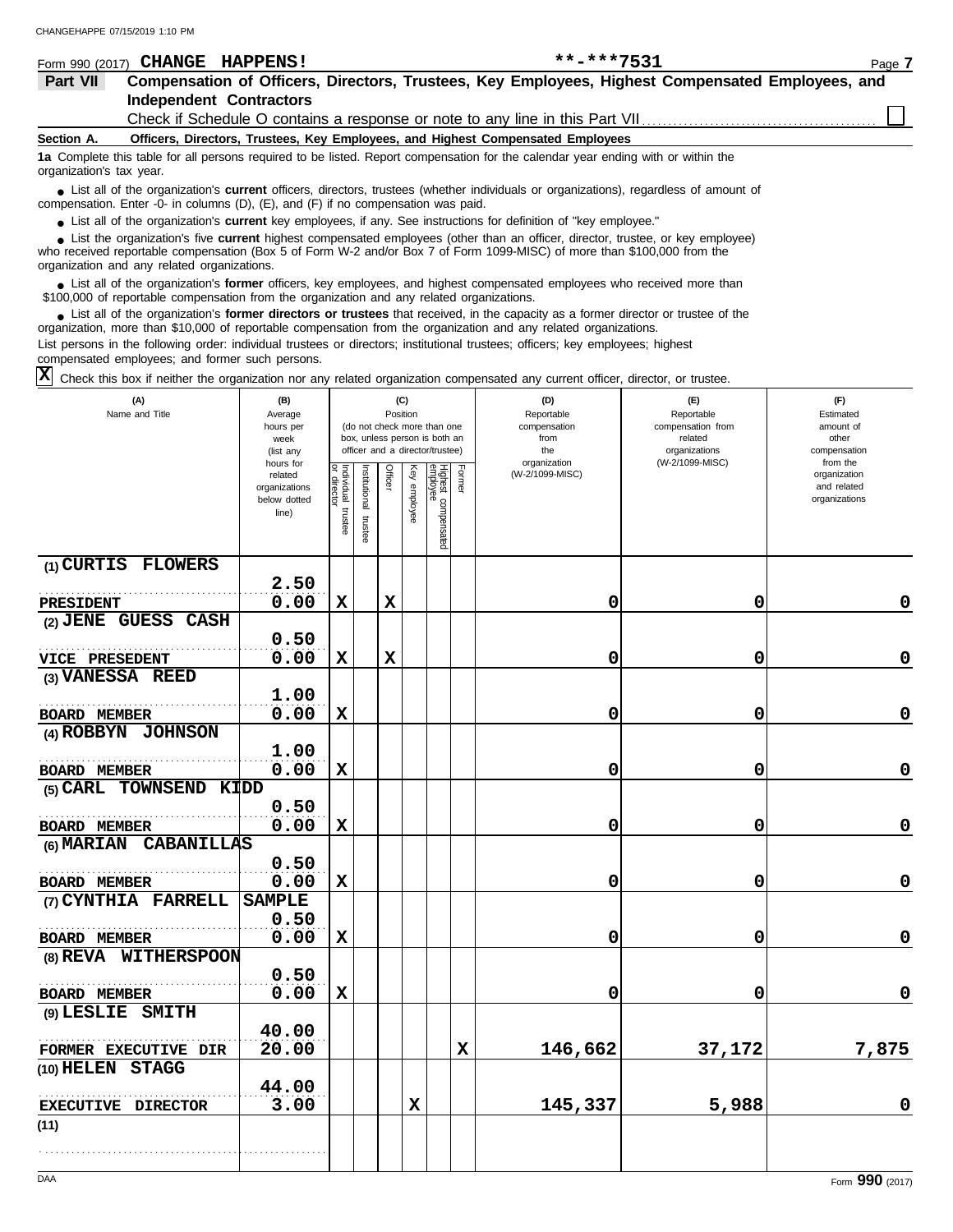| Form 990 (2017)                                                                                                                                                                                                                            | <b>HAPPENS!</b><br><b>CHANGE</b> | $***$ -***7531                                                                                                                                                                                                                                                     | Page 7 |  |  |  |
|--------------------------------------------------------------------------------------------------------------------------------------------------------------------------------------------------------------------------------------------|----------------------------------|--------------------------------------------------------------------------------------------------------------------------------------------------------------------------------------------------------------------------------------------------------------------|--------|--|--|--|
| Part VII                                                                                                                                                                                                                                   |                                  | Compensation of Officers, Directors, Trustees, Key Employees, Highest Compensated Employees, and                                                                                                                                                                   |        |  |  |  |
|                                                                                                                                                                                                                                            | <b>Independent Contractors</b>   |                                                                                                                                                                                                                                                                    |        |  |  |  |
|                                                                                                                                                                                                                                            |                                  | Check if Schedule O contains a response or note to any line in this Part VII                                                                                                                                                                                       |        |  |  |  |
| Section A.                                                                                                                                                                                                                                 |                                  | Officers, Directors, Trustees, Key Employees, and Highest Compensated Employees                                                                                                                                                                                    |        |  |  |  |
| organization's tax year.                                                                                                                                                                                                                   |                                  | 1a Complete this table for all persons required to be listed. Report compensation for the calendar year ending with or within the                                                                                                                                  |        |  |  |  |
| • List all of the organization's <b>current</b> officers, directors, trustees (whether individuals or organizations), regardless of amount of<br>compensation. Enter -0- in columns $(D)$ , $(E)$ , and $(F)$ if no compensation was paid. |                                  |                                                                                                                                                                                                                                                                    |        |  |  |  |
|                                                                                                                                                                                                                                            |                                  | • List all of the organization's current key employees, if any. See instructions for definition of "key employee."                                                                                                                                                 |        |  |  |  |
|                                                                                                                                                                                                                                            |                                  | • List the organization's five <b>current</b> highest compensated employees (other than an officer, director, trustee, or key employee)<br>who received reportable compensation (Rev 5 of Ferm W 2 and/or Rev 7 of Ferm 1000 MISC) of more than \$100,000 from the |        |  |  |  |

who received reportable compensation (Box 5 of Form W-2 and/or Box 7 of Form 1099-MISC) of more than \$100,000 from the organization and any related organizations.

List all of the organization's **former** officers, key employees, and highest compensated employees who received more than • List all of the organization's **former** officers, key employees, and highest compensate \$100,000 of reportable compensation from the organization and any related organizations.

■ List all of the organization's **former directors or trustees** that received, in the capacity as a former director or trustee of the<br>paization, more than \$10,000 of reportable compensation from the organization and any r organization, more than \$10,000 of reportable compensation from the organization and any related organizations. List persons in the following order: individual trustees or directors; institutional trustees; officers; key employees; highest

compensated employees; and former such persons.

Check this box if neither the organization nor any related organization compensated any current officer, director, or trustee. **X**

| (A)<br>Name and Title        | (B)<br>Average<br>hours per<br>week<br>(list any               |                                   |                          |             | (C)<br>Position | (do not check more than one<br>box, unless person is both an<br>officer and a director/trustee) |        | (D)<br>Reportable<br>compensation<br>from<br>the<br>organization | (E)<br>Reportable<br>compensation from<br>related<br>organizations<br>(W-2/1099-MISC) | (F)<br>Estimated<br>amount of<br>other<br>compensation<br>from the |
|------------------------------|----------------------------------------------------------------|-----------------------------------|--------------------------|-------------|-----------------|-------------------------------------------------------------------------------------------------|--------|------------------------------------------------------------------|---------------------------------------------------------------------------------------|--------------------------------------------------------------------|
|                              | hours for<br>related<br>organizations<br>below dotted<br>line) | Individual trustee<br>or director | Institutional<br>trustee | Officer     | Key employee    | Highest compensated<br>employee                                                                 | Former | (W-2/1099-MISC)                                                  |                                                                                       | organization<br>and related<br>organizations                       |
| (1) CURTIS FLOWERS           |                                                                |                                   |                          |             |                 |                                                                                                 |        |                                                                  |                                                                                       |                                                                    |
|                              | 2.50                                                           |                                   |                          |             |                 |                                                                                                 |        |                                                                  |                                                                                       |                                                                    |
| <b>PRESIDENT</b>             | 0.00                                                           | X                                 |                          | X           |                 |                                                                                                 |        | 0                                                                | 0                                                                                     | 0                                                                  |
| (2) JENE GUESS CASH          |                                                                |                                   |                          |             |                 |                                                                                                 |        |                                                                  |                                                                                       |                                                                    |
|                              | 0.50                                                           |                                   |                          |             |                 |                                                                                                 |        |                                                                  |                                                                                       |                                                                    |
| VICE PRESEDENT               | 0.00                                                           | $\mathbf x$                       |                          | $\mathbf x$ |                 |                                                                                                 |        | 0                                                                | 0                                                                                     | 0                                                                  |
| (3) VANESSA REED             |                                                                |                                   |                          |             |                 |                                                                                                 |        |                                                                  |                                                                                       |                                                                    |
|                              | 1.00                                                           |                                   |                          |             |                 |                                                                                                 |        |                                                                  |                                                                                       |                                                                    |
| <b>BOARD MEMBER</b>          | 0.00                                                           | $\mathbf x$                       |                          |             |                 |                                                                                                 |        | 0                                                                | 0                                                                                     | 0                                                                  |
| (4) ROBBYN JOHNSON           |                                                                |                                   |                          |             |                 |                                                                                                 |        |                                                                  |                                                                                       |                                                                    |
|                              | 1.00                                                           |                                   |                          |             |                 |                                                                                                 |        |                                                                  |                                                                                       |                                                                    |
| <b>BOARD MEMBER</b>          | 0.00                                                           | $\mathbf x$                       |                          |             |                 |                                                                                                 |        | 0                                                                | 0                                                                                     | $\mathbf 0$                                                        |
| (5) CARL TOWNSEND KIDD       |                                                                |                                   |                          |             |                 |                                                                                                 |        |                                                                  |                                                                                       |                                                                    |
|                              | 0.50                                                           |                                   |                          |             |                 |                                                                                                 |        |                                                                  |                                                                                       |                                                                    |
| <b>BOARD MEMBER</b>          | 0.00                                                           | X                                 |                          |             |                 |                                                                                                 |        | 0                                                                | 0                                                                                     | $\mathbf 0$                                                        |
| (6) MARIAN CABANILLAS        |                                                                |                                   |                          |             |                 |                                                                                                 |        |                                                                  |                                                                                       |                                                                    |
|                              | 0.50                                                           |                                   |                          |             |                 |                                                                                                 |        |                                                                  |                                                                                       |                                                                    |
| <b>BOARD MEMBER</b>          | 0.00                                                           | $\mathbf x$                       |                          |             |                 |                                                                                                 |        | 0                                                                | 0                                                                                     | 0                                                                  |
| (7) CYNTHIA FARRELL          | <b>SAMPLE</b>                                                  |                                   |                          |             |                 |                                                                                                 |        |                                                                  |                                                                                       |                                                                    |
|                              | 0.50                                                           |                                   |                          |             |                 |                                                                                                 |        |                                                                  |                                                                                       |                                                                    |
| <b>BOARD MEMBER</b>          | 0.00                                                           | $\mathbf x$                       |                          |             |                 |                                                                                                 |        | 0                                                                | 0                                                                                     | 0                                                                  |
| (8) REVA WITHERSPOON         |                                                                |                                   |                          |             |                 |                                                                                                 |        |                                                                  |                                                                                       |                                                                    |
|                              | 0.50                                                           |                                   |                          |             |                 |                                                                                                 |        |                                                                  |                                                                                       |                                                                    |
| <b>BOARD MEMBER</b>          | 0.00                                                           | $\mathbf x$                       |                          |             |                 |                                                                                                 |        | 0                                                                | 0                                                                                     | $\mathbf 0$                                                        |
| $(9)$ LESLIE<br><b>SMITH</b> |                                                                |                                   |                          |             |                 |                                                                                                 |        |                                                                  |                                                                                       |                                                                    |
|                              | 40.00                                                          |                                   |                          |             |                 |                                                                                                 |        |                                                                  |                                                                                       |                                                                    |
| FORMER EXECUTIVE DIR         | 20.00                                                          |                                   |                          |             |                 |                                                                                                 | X      | 146,662                                                          | 37,172                                                                                | 7,875                                                              |
| (10) HELEN STAGG             |                                                                |                                   |                          |             |                 |                                                                                                 |        |                                                                  |                                                                                       |                                                                    |
|                              | 44.00                                                          |                                   |                          |             |                 |                                                                                                 |        |                                                                  |                                                                                       |                                                                    |
| EXECUTIVE DIRECTOR           | 3.00                                                           |                                   |                          |             | $\mathbf x$     |                                                                                                 |        | 145,337                                                          | 5,988                                                                                 | 0                                                                  |
| (11)                         |                                                                |                                   |                          |             |                 |                                                                                                 |        |                                                                  |                                                                                       |                                                                    |
|                              |                                                                |                                   |                          |             |                 |                                                                                                 |        |                                                                  |                                                                                       |                                                                    |
|                              |                                                                |                                   |                          |             |                 |                                                                                                 |        |                                                                  |                                                                                       |                                                                    |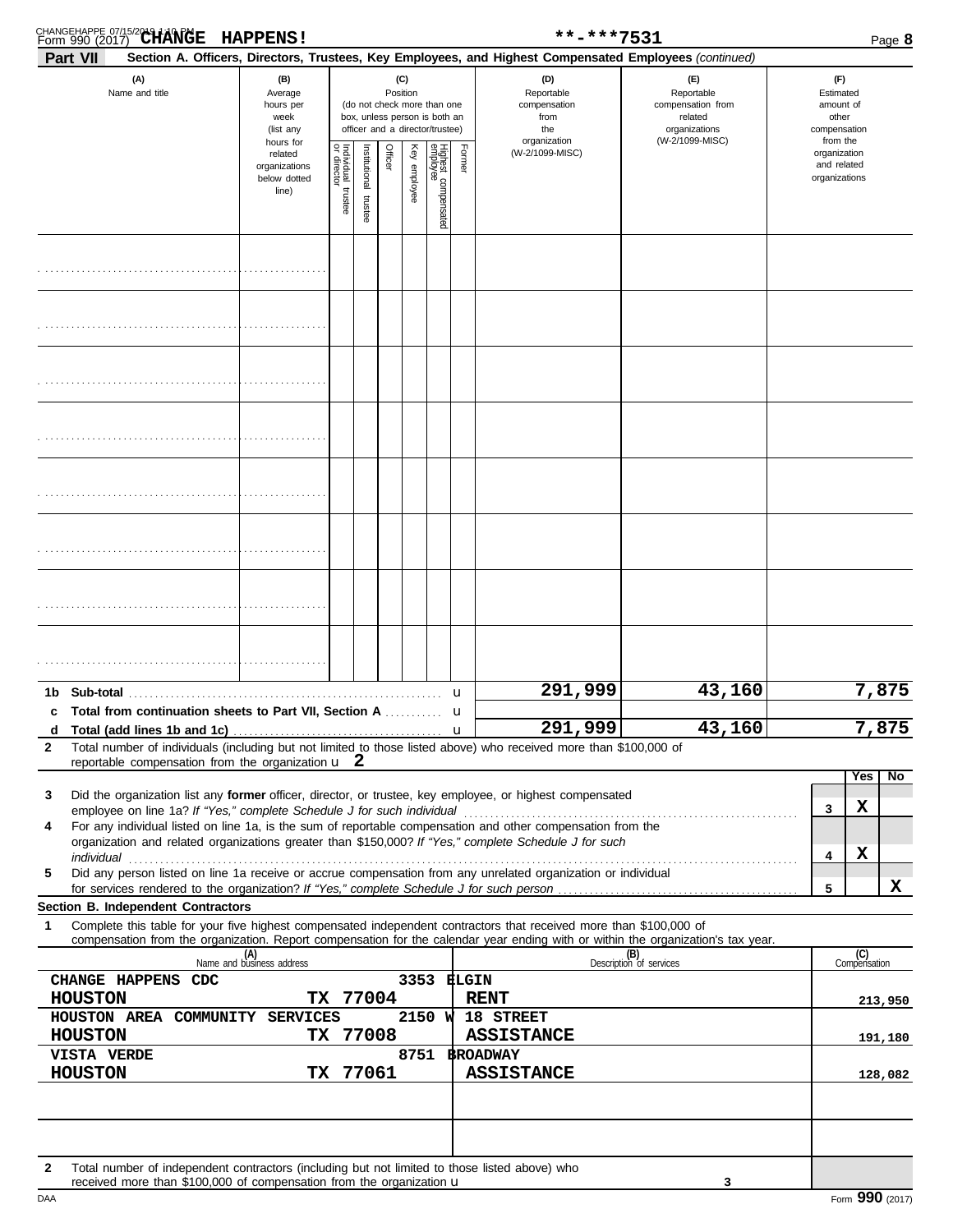|              | CHANGEHAPPE 07/15/2019 1:10 PM                                                                                                                                                                                                                         | <b>HAPPENS!</b>                                               |                         |                       |         |                 |                                                                                                 |        | **-***7531                                                                                             |                                                                                       |   |                                                                    | Page 8    |
|--------------|--------------------------------------------------------------------------------------------------------------------------------------------------------------------------------------------------------------------------------------------------------|---------------------------------------------------------------|-------------------------|-----------------------|---------|-----------------|-------------------------------------------------------------------------------------------------|--------|--------------------------------------------------------------------------------------------------------|---------------------------------------------------------------------------------------|---|--------------------------------------------------------------------|-----------|
|              | Part VII                                                                                                                                                                                                                                               |                                                               |                         |                       |         |                 |                                                                                                 |        | Section A. Officers, Directors, Trustees, Key Employees, and Highest Compensated Employees (continued) |                                                                                       |   |                                                                    |           |
|              | (A)<br>Name and title                                                                                                                                                                                                                                  | (B)<br>Average<br>hours per<br>week<br>(list any<br>hours for |                         |                       |         | (C)<br>Position | (do not check more than one<br>box, unless person is both an<br>officer and a director/trustee) |        | (D)<br>Reportable<br>compensation<br>from<br>the<br>organization                                       | (E)<br>Reportable<br>compensation from<br>related<br>organizations<br>(W-2/1099-MISC) |   | (F)<br>Estimated<br>amount of<br>other<br>compensation<br>from the |           |
|              |                                                                                                                                                                                                                                                        | related<br>organizations<br>below dotted<br>line)             | Individual 1<br>trustee | Institutional trustee | Officer | Key employee    | Highest compensated<br>employee                                                                 | Former | (W-2/1099-MISC)                                                                                        |                                                                                       |   | organization<br>and related<br>organizations                       |           |
|              |                                                                                                                                                                                                                                                        |                                                               |                         |                       |         |                 |                                                                                                 |        |                                                                                                        |                                                                                       |   |                                                                    |           |
|              |                                                                                                                                                                                                                                                        |                                                               |                         |                       |         |                 |                                                                                                 |        |                                                                                                        |                                                                                       |   |                                                                    |           |
|              |                                                                                                                                                                                                                                                        |                                                               |                         |                       |         |                 |                                                                                                 |        |                                                                                                        |                                                                                       |   |                                                                    |           |
|              |                                                                                                                                                                                                                                                        |                                                               |                         |                       |         |                 |                                                                                                 |        |                                                                                                        |                                                                                       |   |                                                                    |           |
|              |                                                                                                                                                                                                                                                        |                                                               |                         |                       |         |                 |                                                                                                 |        |                                                                                                        |                                                                                       |   |                                                                    |           |
|              |                                                                                                                                                                                                                                                        |                                                               |                         |                       |         |                 |                                                                                                 |        |                                                                                                        |                                                                                       |   |                                                                    |           |
|              |                                                                                                                                                                                                                                                        |                                                               |                         |                       |         |                 |                                                                                                 |        |                                                                                                        |                                                                                       |   |                                                                    |           |
|              |                                                                                                                                                                                                                                                        |                                                               |                         |                       |         |                 |                                                                                                 |        |                                                                                                        |                                                                                       |   |                                                                    |           |
| 1b.          | Sub-total<br>c Total from continuation sheets to Part VII, Section A                                                                                                                                                                                   |                                                               |                         |                       |         |                 |                                                                                                 | u<br>u | 291,999                                                                                                | 43,160                                                                                |   |                                                                    | 7,875     |
| $\mathbf{2}$ | Total number of individuals (including but not limited to those listed above) who received more than \$100,000 of                                                                                                                                      |                                                               |                         |                       |         |                 |                                                                                                 | u      | 291,999                                                                                                | 43,160                                                                                |   |                                                                    | 7,875     |
|              | reportable compensation from the organization $\mathbf{u}$ 2                                                                                                                                                                                           |                                                               |                         |                       |         |                 |                                                                                                 |        |                                                                                                        |                                                                                       |   | Yes l                                                              | <b>No</b> |
| 3            | Did the organization list any former officer, director, or trustee, key employee, or highest compensated                                                                                                                                               |                                                               |                         |                       |         |                 |                                                                                                 |        |                                                                                                        |                                                                                       | 3 | х                                                                  |           |
| 4            | For any individual listed on line 1a, is the sum of reportable compensation and other compensation from the                                                                                                                                            |                                                               |                         |                       |         |                 |                                                                                                 |        |                                                                                                        |                                                                                       |   |                                                                    |           |
|              | organization and related organizations greater than \$150,000? If "Yes," complete Schedule J for such                                                                                                                                                  |                                                               |                         |                       |         |                 |                                                                                                 |        |                                                                                                        |                                                                                       | 4 | х                                                                  |           |
| 5            | Did any person listed on line 1a receive or accrue compensation from any unrelated organization or individual                                                                                                                                          |                                                               |                         |                       |         |                 |                                                                                                 |        |                                                                                                        |                                                                                       | 5 |                                                                    | x         |
|              | Section B. Independent Contractors                                                                                                                                                                                                                     |                                                               |                         |                       |         |                 |                                                                                                 |        |                                                                                                        |                                                                                       |   |                                                                    |           |
| 1            | Complete this table for your five highest compensated independent contractors that received more than \$100,000 of<br>compensation from the organization. Report compensation for the calendar year ending with or within the organization's tax year. |                                                               |                         |                       |         |                 |                                                                                                 |        |                                                                                                        |                                                                                       |   |                                                                    |           |
|              |                                                                                                                                                                                                                                                        | (A)<br>Name and business address                              |                         |                       |         |                 |                                                                                                 |        |                                                                                                        | (B)<br>Description of services                                                        |   | (C)<br>Compensation                                                |           |
|              | CHANGE HAPPENS CDC<br><b>HOUSTON</b>                                                                                                                                                                                                                   |                                                               | TX 77004                |                       |         |                 |                                                                                                 |        | 3353 ELGIN<br><b>RENT</b>                                                                              |                                                                                       |   |                                                                    | 213,950   |
|              | HOUSTON AREA COMMUNITY SERVICES                                                                                                                                                                                                                        |                                                               |                         |                       |         |                 | 2150 W                                                                                          |        | 18 STREET                                                                                              |                                                                                       |   |                                                                    |           |
|              | <b>HOUSTON</b><br>VISTA VERDE                                                                                                                                                                                                                          |                                                               | TX 77008                |                       |         |                 |                                                                                                 |        | <b>ASSISTANCE</b><br>8751 BROADWAY                                                                     |                                                                                       |   |                                                                    | 191,180   |
|              | <b>HOUSTON</b>                                                                                                                                                                                                                                         |                                                               | TX 77061                |                       |         |                 |                                                                                                 |        | <b>ASSISTANCE</b>                                                                                      |                                                                                       |   |                                                                    | 128,082   |
|              |                                                                                                                                                                                                                                                        |                                                               |                         |                       |         |                 |                                                                                                 |        |                                                                                                        |                                                                                       |   |                                                                    |           |
|              |                                                                                                                                                                                                                                                        |                                                               |                         |                       |         |                 |                                                                                                 |        |                                                                                                        |                                                                                       |   |                                                                    |           |

**2** Total number of independent contractors (including but not limited to those listed above) who received more than \$100,000 of compensation from the organization  $\mathbf u$ 

**3**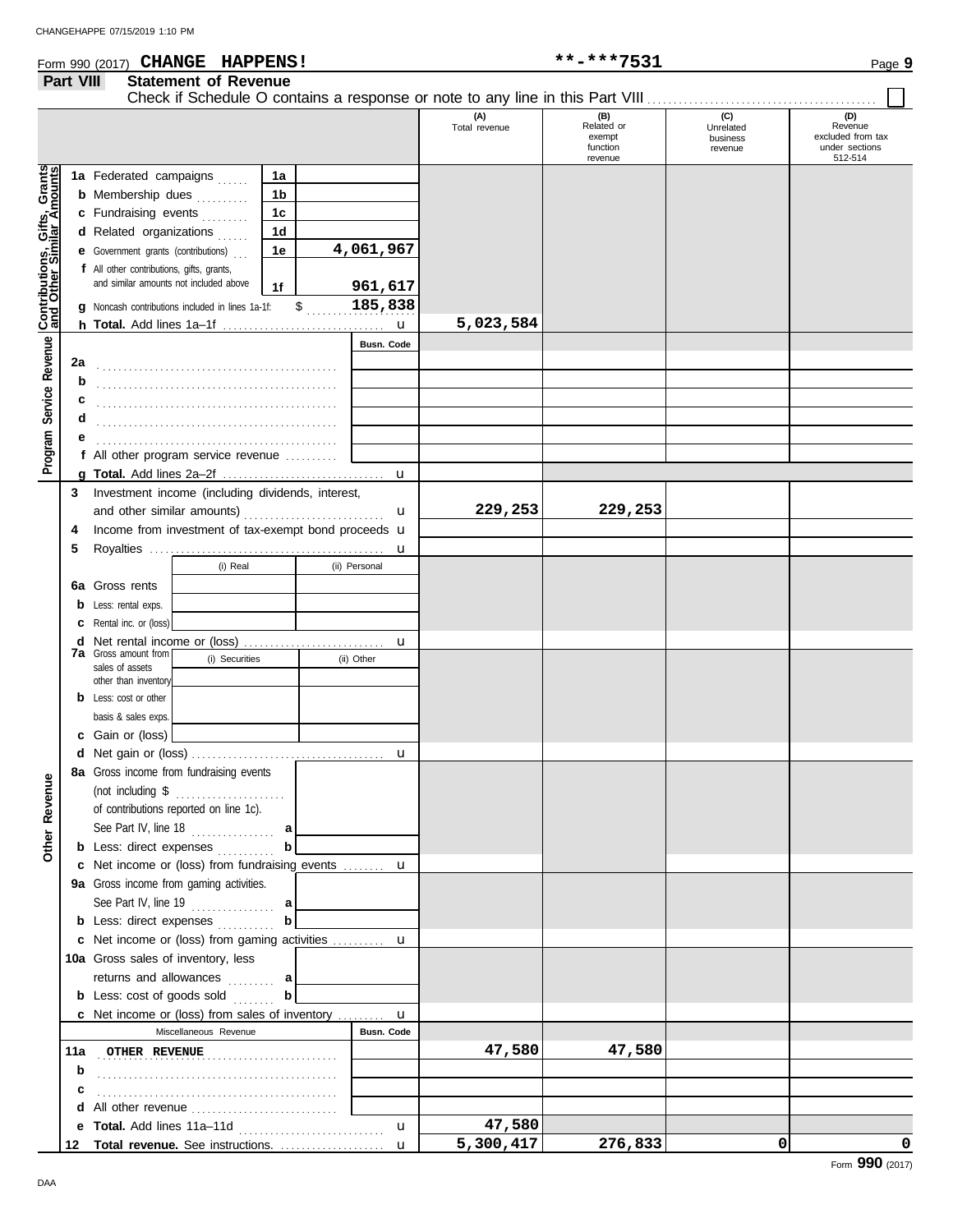#### Form 990 (2017) Page **9 CHANGE HAPPENS! \*\*-\*\*\*7531**

## **Part VIII Statement of Revenue**

|                                                           | <b>1 GIL VIII</b> | enient of izeaenae                                                                  |                |               |               |                      |                                         |                                         |                                                       |
|-----------------------------------------------------------|-------------------|-------------------------------------------------------------------------------------|----------------|---------------|---------------|----------------------|-----------------------------------------|-----------------------------------------|-------------------------------------------------------|
|                                                           |                   |                                                                                     |                |               |               | (A)<br>Total revenue | (B)<br>Related or<br>exempt<br>function | (C)<br>Unrelated<br>business<br>revenue | (D)<br>Revenue<br>excluded from tax<br>under sections |
|                                                           |                   | 1a Federated campaigns                                                              |                |               |               |                      | revenue                                 |                                         | 512-514                                               |
|                                                           |                   |                                                                                     | 1a<br>1b       |               |               |                      |                                         |                                         |                                                       |
|                                                           |                   | <b>b</b> Membership dues<br>a da da da da                                           |                |               |               |                      |                                         |                                         |                                                       |
|                                                           |                   | c Fundraising events                                                                | 1 <sub>c</sub> |               |               |                      |                                         |                                         |                                                       |
|                                                           |                   | d Related organizations                                                             | 1d             |               |               |                      |                                         |                                         |                                                       |
|                                                           |                   | <b>e</b> Government grants (contributions)                                          | 1e             |               | 4,061,967     |                      |                                         |                                         |                                                       |
|                                                           |                   | f All other contributions, gifts, grants,<br>and similar amounts not included above |                |               |               |                      |                                         |                                         |                                                       |
|                                                           |                   |                                                                                     | 1f             |               | 961,617       |                      |                                         |                                         |                                                       |
| Contributions, Gifts, Grants<br>and Other Similar Amounts |                   | g Noncash contributions included in lines 1a-1f:                                    |                | $\mathfrak s$ | 185,838       |                      |                                         |                                         |                                                       |
|                                                           |                   |                                                                                     |                |               |               | 5,023,584            |                                         |                                         |                                                       |
|                                                           |                   |                                                                                     |                |               | Busn. Code    |                      |                                         |                                         |                                                       |
|                                                           | 2a                |                                                                                     |                |               |               |                      |                                         |                                         |                                                       |
|                                                           | b                 |                                                                                     |                |               |               |                      |                                         |                                         |                                                       |
|                                                           |                   |                                                                                     |                |               |               |                      |                                         |                                         |                                                       |
|                                                           |                   |                                                                                     |                |               |               |                      |                                         |                                         |                                                       |
| Program Service Revenue                                   |                   |                                                                                     |                |               |               |                      |                                         |                                         |                                                       |
|                                                           |                   | f All other program service revenue                                                 |                |               |               |                      |                                         |                                         |                                                       |
|                                                           |                   |                                                                                     |                |               |               |                      |                                         |                                         |                                                       |
|                                                           | 3                 | Investment income (including dividends, interest,                                   |                |               |               |                      |                                         |                                         |                                                       |
|                                                           |                   |                                                                                     |                |               | $\mathbf{u}$  | 229,253              | 229,253                                 |                                         |                                                       |
|                                                           | 4                 | Income from investment of tax-exempt bond proceeds u                                |                |               |               |                      |                                         |                                         |                                                       |
|                                                           | 5                 |                                                                                     |                |               |               |                      |                                         |                                         |                                                       |
|                                                           |                   | (i) Real                                                                            |                |               | (ii) Personal |                      |                                         |                                         |                                                       |
|                                                           |                   | <b>6a</b> Gross rents                                                               |                |               |               |                      |                                         |                                         |                                                       |
|                                                           |                   | <b>b</b> Less: rental exps.                                                         |                |               |               |                      |                                         |                                         |                                                       |
|                                                           | с                 | Rental inc. or (loss)                                                               |                |               |               |                      |                                         |                                         |                                                       |
|                                                           | d                 | Net rental income or (loss)                                                         |                |               | u             |                      |                                         |                                         |                                                       |
|                                                           |                   | 7a Gross amount from<br>(i) Securities<br>sales of assets                           |                |               | (ii) Other    |                      |                                         |                                         |                                                       |
|                                                           |                   | other than inventory                                                                |                |               |               |                      |                                         |                                         |                                                       |
|                                                           |                   | <b>b</b> Less: cost or other                                                        |                |               |               |                      |                                         |                                         |                                                       |
|                                                           |                   | basis & sales exps.                                                                 |                |               |               |                      |                                         |                                         |                                                       |
|                                                           |                   | c Gain or (loss)                                                                    |                |               |               |                      |                                         |                                         |                                                       |
|                                                           |                   |                                                                                     |                |               | $\mathbf u$   |                      |                                         |                                         |                                                       |
| Φ                                                         |                   | 8a Gross income from fundraising events                                             |                |               |               |                      |                                         |                                         |                                                       |
|                                                           |                   | (not including \$<br>.                                                              |                |               |               |                      |                                         |                                         |                                                       |
| Revenu                                                    |                   | of contributions reported on line 1c).                                              |                |               |               |                      |                                         |                                         |                                                       |
|                                                           |                   | See Part IV, line 18                                                                |                |               |               |                      |                                         |                                         |                                                       |
| Other                                                     |                   | <b>b</b> Less: direct expenses                                                      |                |               |               |                      |                                         |                                         |                                                       |
|                                                           |                   | c Net income or (loss) from fundraising events  u                                   |                |               |               |                      |                                         |                                         |                                                       |
|                                                           |                   | 9a Gross income from gaming activities.                                             |                |               |               |                      |                                         |                                         |                                                       |
|                                                           |                   | See Part IV, line 19 $\ldots$                                                       |                |               |               |                      |                                         |                                         |                                                       |
|                                                           |                   | <b>b</b> Less: direct expenses                                                      |                |               |               |                      |                                         |                                         |                                                       |
|                                                           |                   | c Net income or (loss) from gaming activities  u                                    |                |               |               |                      |                                         |                                         |                                                       |
|                                                           |                   | 10a Gross sales of inventory, less                                                  |                |               |               |                      |                                         |                                         |                                                       |
|                                                           |                   | returns and allowances  a                                                           |                |               |               |                      |                                         |                                         |                                                       |
|                                                           |                   | <b>b</b> Less: cost of goods sold                                                   | b              |               |               |                      |                                         |                                         |                                                       |
|                                                           |                   | <b>c</b> Net income or (loss) from sales of inventory $\dots\dots\dots$             |                |               | u             |                      |                                         |                                         |                                                       |
|                                                           |                   | Miscellaneous Revenue                                                               |                |               | Busn. Code    |                      |                                         |                                         |                                                       |
|                                                           | 11a               | OTHER REVENUE                                                                       |                |               |               | 47,580               | 47,580                                  |                                         |                                                       |
|                                                           | b                 |                                                                                     |                |               |               |                      |                                         |                                         |                                                       |
|                                                           | c                 |                                                                                     |                |               |               |                      |                                         |                                         |                                                       |
|                                                           | d                 | All other revenue                                                                   |                |               |               |                      |                                         |                                         |                                                       |
|                                                           | е                 |                                                                                     |                |               | u             | 47,580               |                                         |                                         |                                                       |
|                                                           | 12                | Total revenue. See instructions.                                                    |                |               | u             | 5,300,417            | 276,833                                 | 0                                       | 0                                                     |
|                                                           |                   |                                                                                     |                |               |               |                      |                                         |                                         | Form 990 (2017)                                       |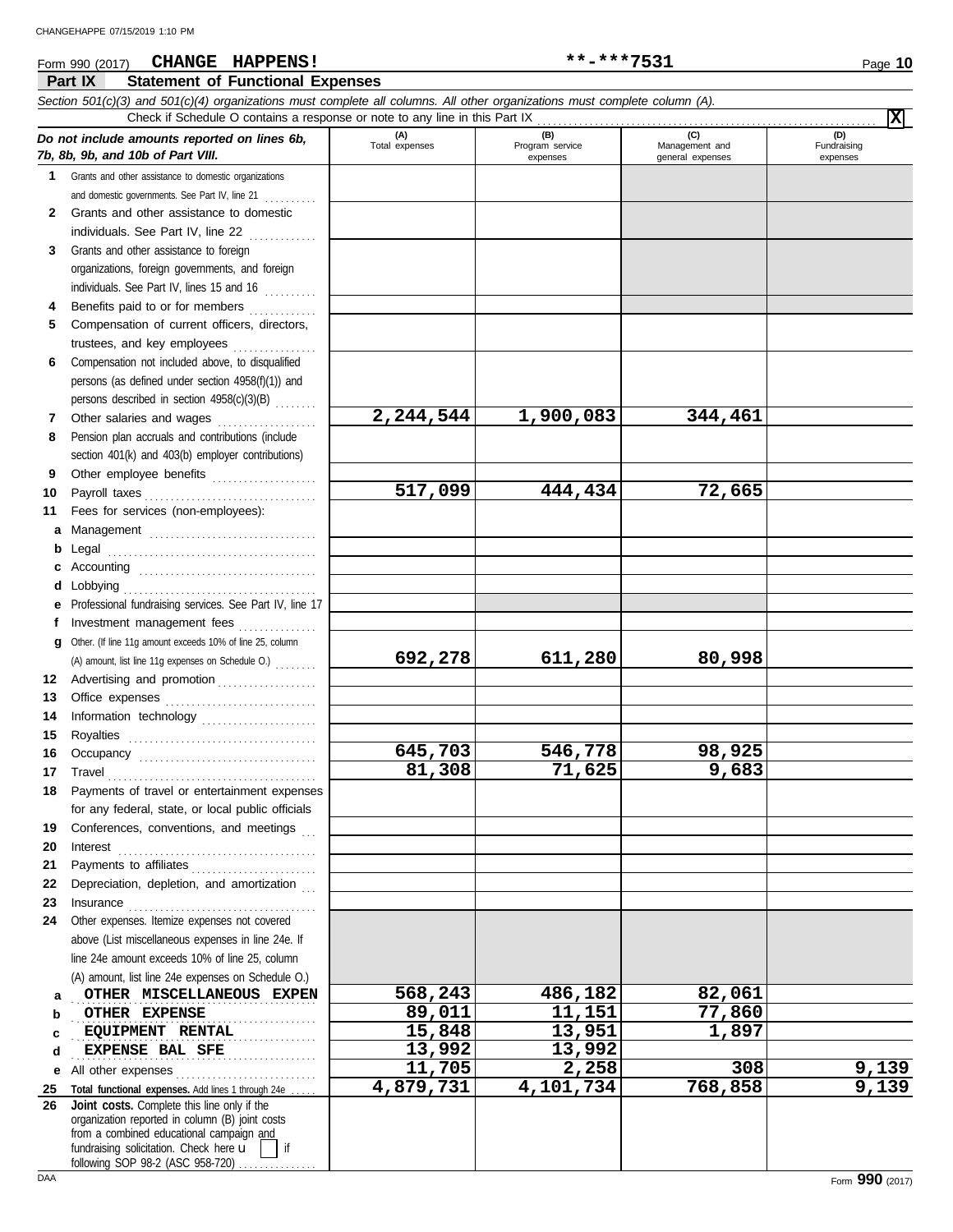#### **Part IX Statement of Functional Expenses** Form 990 (2017) Page **10 CHANGE HAPPENS! \*\*-\*\*\*7531** *Section 501(c)(3) and 501(c)(4) organizations must complete all columns. All other organizations must complete column (A). Do not include amounts reported on lines 6b, 7b, 8b, 9b, and 10b of Part VIII.* **1 2 3** Grants and other assistance to foreign **4 5 6** Compensation not included above, to disqualified **7 8 9 10 11 a** Management ................................. **b** Legal . . . . . . . . . . . . . . . . . . . . . . . . . . . . . . . . . . . . . . . . **c** Accounting . . . . . . . . . . . . . . . . . . . . . . . . . . . . . . . . . . **d** Lobbying . . . . . . . . . . . . . . . . . . . . . . . . . . . . . . . . . . . . . **e** Professional fundraising services. See Part IV, line 17 **f g** Other. (If line 11g amount exceeds 10% of line 25, column **12** Advertising and promotion . . . . . . . . . . . . . . . . . . **13 14 15 16 17 18 19 20 21 22 23 24** Other expenses. Itemize expenses not covered **a b c d e** All other expenses . . . . . . . . . . . . . . . . . . . . . . . . . . . **25 26** Grants and other assistance to domestic organizations and domestic governments. See Part IV, line 21 . . . . . . . . . Grants and other assistance to domestic individuals. See Part IV, line 22 . . . . . . . . . . . . . organizations, foreign governments, and foreign individuals. See Part IV, lines 15 and 16 .......... Benefits paid to or for members .............. Compensation of current officers, directors, trustees, and key employees persons (as defined under section 4958(f)(1)) and persons described in section 4958(c)(3)(B) . . . . . . . . Other salaries and wages ................... Pension plan accruals and contributions (include section 401(k) and 403(b) employer contributions) Other employee benefits .................... Payroll taxes . . . . . . . . . . . . . . . . . . . . . . . . . . . . . . . . . Fees for services (non-employees): Investment management fees ................ Office expenses . . . . . . . . . . . . . . . . . . . . . . . . . . . . . Information technology . . . . . . . . . . . . . . . . . . . . . . Royalties . . . . . . . . . . . . . . . . . . . . . . . . . . . . . . . . . . . . Occupancy . . . . . . . . . . . . . . . . . . . . . . . . . . . . . . . . . . Travel . . . . . . . . . . . . . . . . . . . . . . . . . . . . . . . . . . . . . . . . Payments of travel or entertainment expenses for any federal, state, or local public officials Conferences, conventions, and meetings Interest . . . . . . . . . . . . . . . . . . . . . . . . . . . . . . . . . . . . . . Payments to affiliates . . . . . . . . . . . . . . . . . . . . . . . . Depreciation, depletion, and amortization Insurance . . . . . . . . . . . . . . . . . . . . . . . . . . . . . . . . . . . . above (List miscellaneous expenses in line 24e. If line 24e amount exceeds 10% of line 25, column (A) amount, list line 24e expenses on Schedule O.) Total functional expenses. Add lines 1 through 24e **(A) (B) (C) (D)** Total expenses | Program service | Management and expenses and general expenses Fundraising expenses 0THER MISCELLANEOUS EXPEN 568,243 486,182 82,061 . . . . . . . . . . . . . . . . . . . . . . . . . . . . . . . . . . . . . . . . . . . . . . . **OTHER EXPENSE 89,011 11,151 77,860 EQUIPMENT RENTAL 15,848 13,951 1,897 EXPENSE BAL SFE 13,992 13,992** Check if Schedule O contains a response or note to any line in this Part IX . . . . . . . . . . . . . . . . . . . . . . . . . . . . . . . . . . . . . . . . . . . . . . . . . . . . . . . . . . . . . . . . . **Joint costs.** Complete this line only if the (A) amount, list line 11g expenses on Schedule O.) . . . . . . . . **X 2,244,544 1,900,083 344,461 517,099 444,434 72,665 692,278 611,280 80,998 645,703 546,778 98,925 81,308 71,625 9,683 11,705 2,258 308 9,139 4,879,731 4,101,734 768,858 9,139**

fundraising solicitation. Check here  $\mathbf{u}$  | if organization reported in column (B) joint costs from a combined educational campaign and

following SOP 98-2 (ASC 958-720)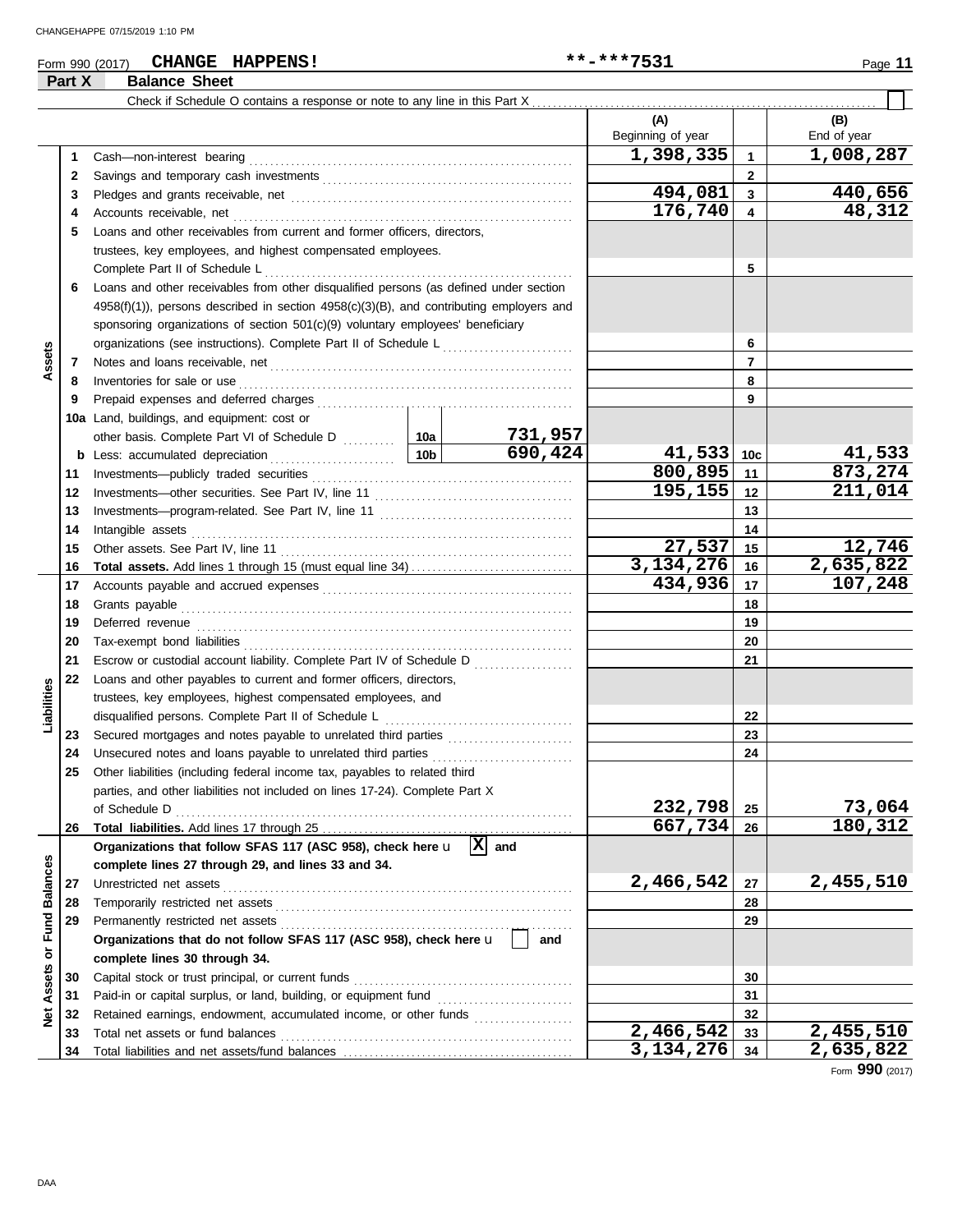### Form 990 (2017) Page **11 CHANGE HAPPENS! \*\*-\*\*\*7531**

**Part X Balance Sheet**

|                  | Part A | <b>Dalance Sheet</b>                                                                          |        |                                                      |                        |                 |             |
|------------------|--------|-----------------------------------------------------------------------------------------------|--------|------------------------------------------------------|------------------------|-----------------|-------------|
|                  |        |                                                                                               |        |                                                      |                        |                 |             |
|                  |        |                                                                                               |        |                                                      | (A)                    |                 | (B)         |
|                  |        |                                                                                               |        |                                                      | Beginning of year      |                 | End of year |
|                  | 1      | Cash-non-interest bearing                                                                     |        |                                                      | 1,398,335              | $\mathbf{1}$    | 1,008,287   |
|                  | 2      |                                                                                               |        |                                                      |                        | $\mathbf{2}$    |             |
|                  | 3      |                                                                                               |        |                                                      | 494,081                | 3               | 440,656     |
|                  | 4      | Accounts receivable, net                                                                      |        |                                                      | 176,740                | 4               | 48,312      |
|                  | 5      | Loans and other receivables from current and former officers, directors,                      |        |                                                      |                        |                 |             |
|                  |        | trustees, key employees, and highest compensated employees.                                   |        |                                                      |                        |                 |             |
|                  |        | Complete Part II of Schedule L                                                                |        |                                                      |                        | 5               |             |
|                  | 6      | Loans and other receivables from other disqualified persons (as defined under section         |        |                                                      |                        |                 |             |
|                  |        | $4958(f)(1)$ ), persons described in section $4958(c)(3)(B)$ , and contributing employers and |        |                                                      |                        |                 |             |
|                  |        | sponsoring organizations of section 501(c)(9) voluntary employees' beneficiary                |        |                                                      |                        |                 |             |
|                  |        | organizations (see instructions). Complete Part II of Schedule L                              |        | <u> 1966 - Johann Stoff, Amerikaansk politiker (</u> |                        | 6               |             |
| Assets           | 7      |                                                                                               |        |                                                      |                        | $\overline{7}$  |             |
|                  | 8      | Inventories for sale or use                                                                   |        |                                                      |                        | 8               |             |
|                  | 9      |                                                                                               |        |                                                      |                        | 9               |             |
|                  |        | 10a Land, buildings, and equipment: cost or                                                   |        |                                                      |                        |                 |             |
|                  |        |                                                                                               |        | 731,957                                              |                        |                 |             |
|                  | b      | $\frac{1}{10b}$<br>Less: accumulated depreciation                                             |        | $\overline{690,424}$                                 | 41,533                 | 10 <sub>c</sub> | 41,533      |
|                  | 11     | Investments-publicly traded securities                                                        |        |                                                      | 800,895                | 11              | 873,274     |
|                  | 12     |                                                                                               |        |                                                      | 195,155                | 12              | 211,014     |
|                  | 13     |                                                                                               |        |                                                      |                        | 13              |             |
|                  | 14     | Intangible assets                                                                             |        |                                                      | 14                     |                 |             |
|                  | 15     | Other assets. See Part IV, line 11                                                            | 27,537 | 15                                                   | 12,746                 |                 |             |
|                  | 16     |                                                                                               |        |                                                      | 3,134,276              | 16              | 2,635,822   |
|                  | 17     |                                                                                               |        | 434,936                                              | 17                     | 107,248         |             |
|                  | 18     | Grants payable                                                                                |        |                                                      | 18                     |                 |             |
|                  | 19     | Deferred revenue                                                                              |        |                                                      |                        | 19              |             |
|                  | 20     |                                                                                               |        |                                                      |                        | 20              |             |
|                  | 21     | Escrow or custodial account liability. Complete Part IV of Schedule D                         |        |                                                      |                        | 21              |             |
|                  | 22     | Loans and other payables to current and former officers, directors,                           |        |                                                      |                        |                 |             |
| Liabilities      |        | trustees, key employees, highest compensated employees, and                                   |        |                                                      |                        |                 |             |
|                  |        | disqualified persons. Complete Part II of Schedule L                                          |        |                                                      |                        | 22              |             |
|                  | 23     | Secured mortgages and notes payable to unrelated third parties                                |        |                                                      |                        | 23              |             |
|                  | 24     | Unsecured notes and loans payable to unrelated third parties                                  |        |                                                      |                        | 24              |             |
|                  | 25     | Other liabilities (including federal income tax, payables to related third                    |        |                                                      |                        |                 |             |
|                  |        | parties, and other liabilities not included on lines 17-24). Complete Part X                  |        |                                                      |                        |                 |             |
|                  |        | of Schedule D                                                                                 |        |                                                      | 232,798                | 25              | 73,064      |
|                  | 26     |                                                                                               |        |                                                      | 667,734                | 26              | 180,312     |
|                  |        | Organizations that follow SFAS 117 (ASC 958), check here u                                    |        | $ X $ and                                            |                        |                 |             |
|                  |        | complete lines 27 through 29, and lines 33 and 34.                                            |        |                                                      |                        |                 |             |
|                  | 27     | Unrestricted net assets                                                                       |        |                                                      | 2,466,542              | 27              | 2,455,510   |
| or Fund Balances | 28     | Temporarily restricted net assets                                                             |        |                                                      |                        | 28              |             |
|                  | 29     | Permanently restricted net assets                                                             |        |                                                      |                        | 29              |             |
|                  |        | Organizations that do not follow SFAS 117 (ASC 958), check here u                             |        | and                                                  |                        |                 |             |
|                  |        | complete lines 30 through 34.                                                                 |        |                                                      |                        |                 |             |
| Assets           | 30     | Capital stock or trust principal, or current funds                                            |        |                                                      |                        | 30              |             |
|                  | 31     |                                                                                               |        |                                                      |                        | 31              |             |
| $\frac{d}{dx}$   | 32     | Retained earnings, endowment, accumulated income, or other funds                              |        |                                                      |                        | 32              |             |
|                  | 33     | Total net assets or fund balances                                                             |        |                                                      | $\overline{2,466,542}$ | 33              | 2,455,510   |
|                  | 34     |                                                                                               |        |                                                      | 3, 134, 276            | 34              | 2,635,822   |

Form **990** (2017)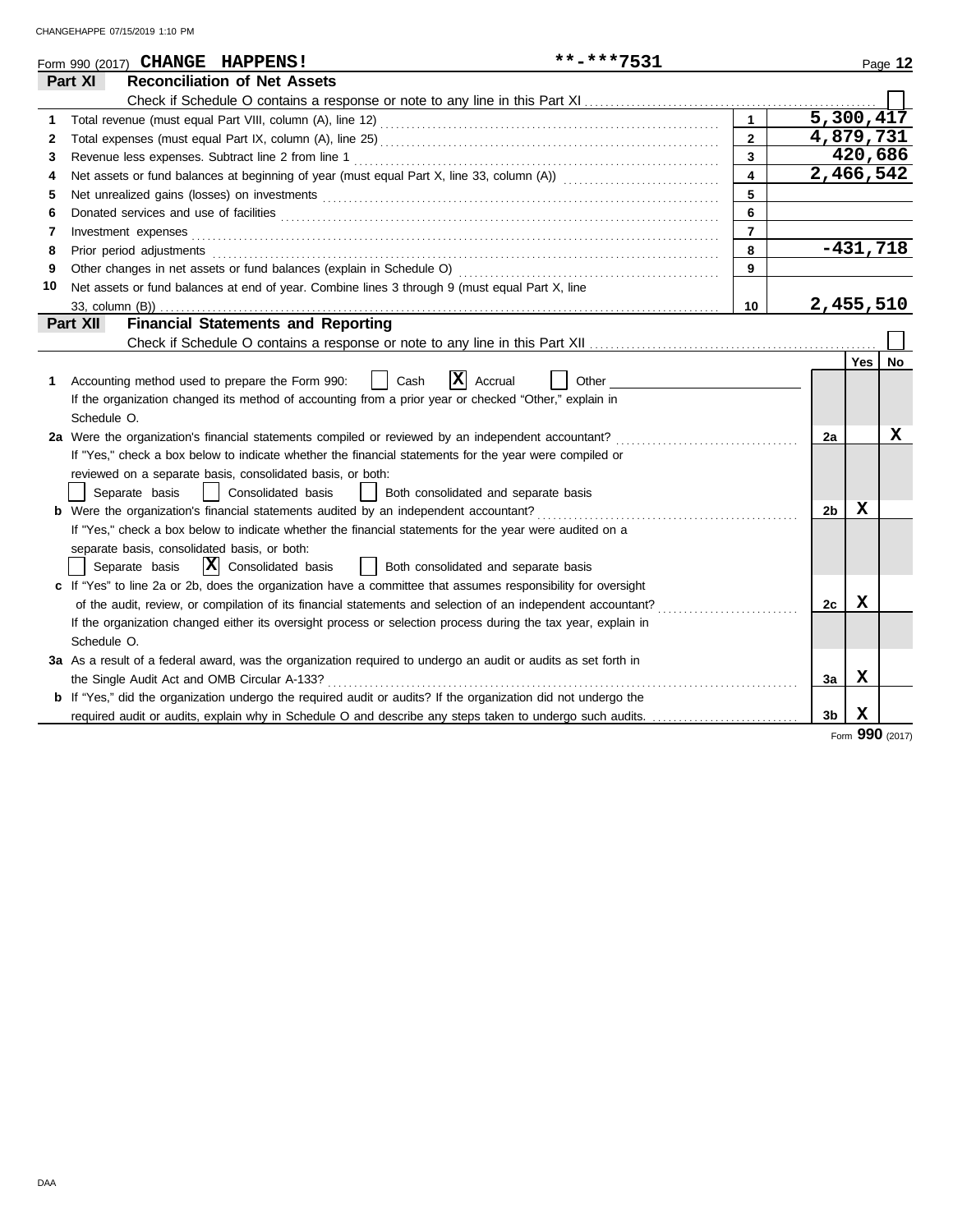|    | **-***7531<br>Form 990 (2017) CHANGE HAPPENS!                                                                                                                                                                                  |                         |                        |            | Page 12 |
|----|--------------------------------------------------------------------------------------------------------------------------------------------------------------------------------------------------------------------------------|-------------------------|------------------------|------------|---------|
|    | <b>Reconciliation of Net Assets</b><br>Part XI                                                                                                                                                                                 |                         |                        |            |         |
|    |                                                                                                                                                                                                                                |                         |                        |            |         |
| 1  |                                                                                                                                                                                                                                | $\mathbf{1}$            | $5,300,4\overline{17}$ |            |         |
| 2  |                                                                                                                                                                                                                                | $\overline{2}$          | 4,879,731              |            |         |
| 3  | Revenue less expenses. Subtract line 2 from line 1                                                                                                                                                                             | $\overline{\mathbf{3}}$ |                        | 420,686    |         |
| 4  |                                                                                                                                                                                                                                | $\overline{4}$          | $\overline{2,466,542}$ |            |         |
| 5  |                                                                                                                                                                                                                                | 5                       |                        |            |         |
| 6  |                                                                                                                                                                                                                                | 6                       |                        |            |         |
| 7  |                                                                                                                                                                                                                                | $\overline{7}$          |                        |            |         |
| 8  | Prior period adjustments [11, 12] and the contract of the contract of the contract of the contract of the contract of the contract of the contract of the contract of the contract of the contract of the contract of the cont | 8                       |                        | $-431,718$ |         |
| 9  |                                                                                                                                                                                                                                | 9                       |                        |            |         |
| 10 | Net assets or fund balances at end of year. Combine lines 3 through 9 (must equal Part X, line                                                                                                                                 |                         |                        |            |         |
|    | 33, column (B))                                                                                                                                                                                                                | 10                      | 2,455,510              |            |         |
|    | Part XII<br><b>Financial Statements and Reporting</b>                                                                                                                                                                          |                         |                        |            |         |
|    |                                                                                                                                                                                                                                |                         |                        |            |         |
|    |                                                                                                                                                                                                                                |                         |                        | <b>Yes</b> | No.     |
| 1. | X<br>Cash<br>Accrual<br>Other<br>Accounting method used to prepare the Form 990:                                                                                                                                               |                         |                        |            |         |
|    | If the organization changed its method of accounting from a prior year or checked "Other," explain in                                                                                                                          |                         |                        |            |         |
|    | Schedule O.                                                                                                                                                                                                                    |                         |                        |            |         |
|    | 2a Were the organization's financial statements compiled or reviewed by an independent accountant?                                                                                                                             |                         | 2a                     |            | x       |
|    | If "Yes," check a box below to indicate whether the financial statements for the year were compiled or                                                                                                                         |                         |                        |            |         |
|    | reviewed on a separate basis, consolidated basis, or both:                                                                                                                                                                     |                         |                        |            |         |
|    | Separate basis<br>Consolidated basis<br>Both consolidated and separate basis                                                                                                                                                   |                         |                        |            |         |
|    | <b>b</b> Were the organization's financial statements audited by an independent accountant?                                                                                                                                    |                         | 2b                     | х          |         |
|    | If "Yes," check a box below to indicate whether the financial statements for the year were audited on a                                                                                                                        |                         |                        |            |         |
|    | separate basis, consolidated basis, or both:                                                                                                                                                                                   |                         |                        |            |         |
|    | $ \mathbf{X} $ Consolidated basis<br>  Both consolidated and separate basis<br>Separate basis                                                                                                                                  |                         |                        |            |         |
|    | c If "Yes" to line 2a or 2b, does the organization have a committee that assumes responsibility for oversight                                                                                                                  |                         |                        |            |         |
|    | of the audit, review, or compilation of its financial statements and selection of an independent accountant?                                                                                                                   |                         | 2c                     | X          |         |
|    | If the organization changed either its oversight process or selection process during the tax year, explain in                                                                                                                  |                         |                        |            |         |
|    | Schedule O.                                                                                                                                                                                                                    |                         |                        |            |         |
|    | 3a As a result of a federal award, was the organization required to undergo an audit or audits as set forth in                                                                                                                 |                         |                        |            |         |
|    |                                                                                                                                                                                                                                |                         | 3a                     | X          |         |
|    | <b>b</b> If "Yes," did the organization undergo the required audit or audits? If the organization did not undergo the                                                                                                          |                         |                        |            |         |
|    |                                                                                                                                                                                                                                |                         | 3b                     | х          |         |
|    |                                                                                                                                                                                                                                |                         |                        | <b>QQN</b> |         |

Form **990** (2017)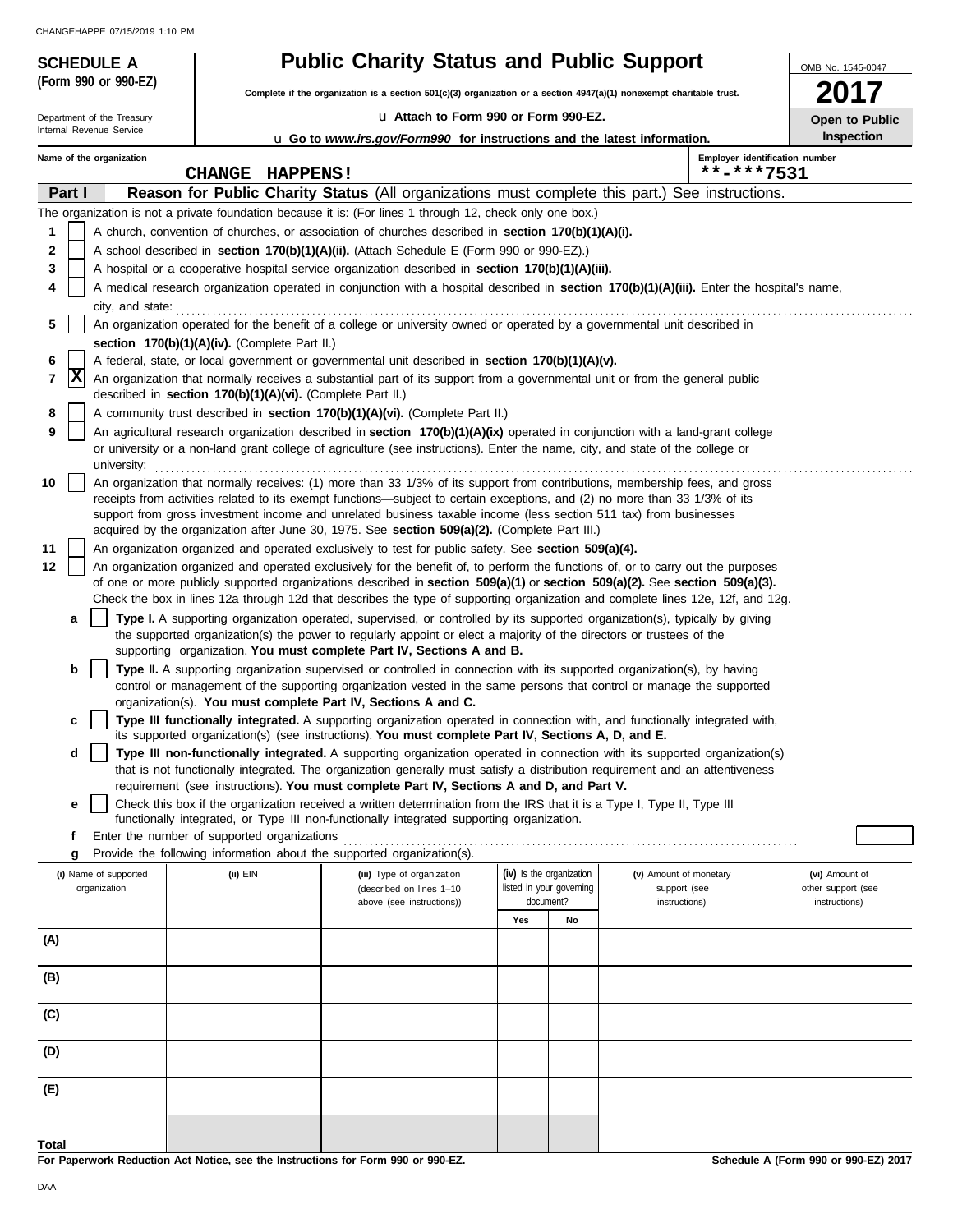**(Form 990 or 990-EZ)**

### **SCHEDULE A Public Charity Status and Public Support**

**Complete if the organization is a section 501(c)(3) organization or a section 4947(a)(1) nonexempt charitable trust.**

#### u **Attach to Form 990 or Form 990-EZ.**

**2017 Open to Public**

OMB No. 1545-0047

|     |        | Department of the Treasury                                                                                                |                                                            | u Attach to Form 990 or Form 990-EZ.                                                                                                                                                                                                                                                                                                                                                                                                                                                |     |                                                      |                                        |                                              | Open to Public                       |  |
|-----|--------|---------------------------------------------------------------------------------------------------------------------------|------------------------------------------------------------|-------------------------------------------------------------------------------------------------------------------------------------------------------------------------------------------------------------------------------------------------------------------------------------------------------------------------------------------------------------------------------------------------------------------------------------------------------------------------------------|-----|------------------------------------------------------|----------------------------------------|----------------------------------------------|--------------------------------------|--|
|     |        | Internal Revenue Service<br>Inspection<br><b>u</b> Go to www.irs.gov/Form990 for instructions and the latest information. |                                                            |                                                                                                                                                                                                                                                                                                                                                                                                                                                                                     |     |                                                      |                                        |                                              |                                      |  |
|     |        | Name of the organization                                                                                                  | <b>CHANGE HAPPENS!</b>                                     |                                                                                                                                                                                                                                                                                                                                                                                                                                                                                     |     |                                                      |                                        | Employer identification number<br>**-***7531 |                                      |  |
|     | Part I |                                                                                                                           |                                                            | Reason for Public Charity Status (All organizations must complete this part.) See instructions.                                                                                                                                                                                                                                                                                                                                                                                     |     |                                                      |                                        |                                              |                                      |  |
|     |        |                                                                                                                           |                                                            | The organization is not a private foundation because it is: (For lines 1 through 12, check only one box.)                                                                                                                                                                                                                                                                                                                                                                           |     |                                                      |                                        |                                              |                                      |  |
| 1   |        |                                                                                                                           |                                                            | A church, convention of churches, or association of churches described in section 170(b)(1)(A)(i).                                                                                                                                                                                                                                                                                                                                                                                  |     |                                                      |                                        |                                              |                                      |  |
| 2   |        |                                                                                                                           |                                                            | A school described in <b>section 170(b)(1)(A)(ii).</b> (Attach Schedule E (Form 990 or 990-EZ).)                                                                                                                                                                                                                                                                                                                                                                                    |     |                                                      |                                        |                                              |                                      |  |
| 3   |        |                                                                                                                           |                                                            | A hospital or a cooperative hospital service organization described in section 170(b)(1)(A)(iii).                                                                                                                                                                                                                                                                                                                                                                                   |     |                                                      |                                        |                                              |                                      |  |
|     |        |                                                                                                                           |                                                            | A medical research organization operated in conjunction with a hospital described in section 170(b)(1)(A)(iii). Enter the hospital's name,                                                                                                                                                                                                                                                                                                                                          |     |                                                      |                                        |                                              |                                      |  |
| 5   |        | city, and state:                                                                                                          |                                                            | An organization operated for the benefit of a college or university owned or operated by a governmental unit described in                                                                                                                                                                                                                                                                                                                                                           |     |                                                      |                                        |                                              |                                      |  |
|     |        |                                                                                                                           | section 170(b)(1)(A)(iv). (Complete Part II.)              |                                                                                                                                                                                                                                                                                                                                                                                                                                                                                     |     |                                                      |                                        |                                              |                                      |  |
| 6   |        |                                                                                                                           |                                                            | A federal, state, or local government or governmental unit described in section 170(b)(1)(A)(v).                                                                                                                                                                                                                                                                                                                                                                                    |     |                                                      |                                        |                                              |                                      |  |
| 7   | X      |                                                                                                                           | described in section 170(b)(1)(A)(vi). (Complete Part II.) | An organization that normally receives a substantial part of its support from a governmental unit or from the general public                                                                                                                                                                                                                                                                                                                                                        |     |                                                      |                                        |                                              |                                      |  |
| 8   |        |                                                                                                                           |                                                            | A community trust described in section 170(b)(1)(A)(vi). (Complete Part II.)                                                                                                                                                                                                                                                                                                                                                                                                        |     |                                                      |                                        |                                              |                                      |  |
| 9   |        |                                                                                                                           |                                                            | An agricultural research organization described in section 170(b)(1)(A)(ix) operated in conjunction with a land-grant college                                                                                                                                                                                                                                                                                                                                                       |     |                                                      |                                        |                                              |                                      |  |
|     |        | university:                                                                                                               |                                                            | or university or a non-land grant college of agriculture (see instructions). Enter the name, city, and state of the college or                                                                                                                                                                                                                                                                                                                                                      |     |                                                      |                                        |                                              |                                      |  |
| 10  |        |                                                                                                                           |                                                            | An organization that normally receives: (1) more than 33 1/3% of its support from contributions, membership fees, and gross<br>receipts from activities related to its exempt functions—subject to certain exceptions, and (2) no more than 33 1/3% of its<br>support from gross investment income and unrelated business taxable income (less section 511 tax) from businesses<br>acquired by the organization after June 30, 1975. See section $509(a)(2)$ . (Complete Part III.) |     |                                                      |                                        |                                              |                                      |  |
| 11  |        |                                                                                                                           |                                                            | An organization organized and operated exclusively to test for public safety. See section 509(a)(4).                                                                                                                                                                                                                                                                                                                                                                                |     |                                                      |                                        |                                              |                                      |  |
| 12  |        |                                                                                                                           |                                                            | An organization organized and operated exclusively for the benefit of, to perform the functions of, or to carry out the purposes                                                                                                                                                                                                                                                                                                                                                    |     |                                                      |                                        |                                              |                                      |  |
|     |        |                                                                                                                           |                                                            | of one or more publicly supported organizations described in section $509(a)(1)$ or section $509(a)(2)$ . See section $509(a)(3)$ .                                                                                                                                                                                                                                                                                                                                                 |     |                                                      |                                        |                                              |                                      |  |
|     |        |                                                                                                                           |                                                            | Check the box in lines 12a through 12d that describes the type of supporting organization and complete lines 12e, 12f, and 12g.                                                                                                                                                                                                                                                                                                                                                     |     |                                                      |                                        |                                              |                                      |  |
|     | а      |                                                                                                                           |                                                            | Type I. A supporting organization operated, supervised, or controlled by its supported organization(s), typically by giving                                                                                                                                                                                                                                                                                                                                                         |     |                                                      |                                        |                                              |                                      |  |
|     |        |                                                                                                                           |                                                            | the supported organization(s) the power to regularly appoint or elect a majority of the directors or trustees of the                                                                                                                                                                                                                                                                                                                                                                |     |                                                      |                                        |                                              |                                      |  |
|     |        |                                                                                                                           |                                                            | supporting organization. You must complete Part IV, Sections A and B.                                                                                                                                                                                                                                                                                                                                                                                                               |     |                                                      |                                        |                                              |                                      |  |
|     | b      |                                                                                                                           |                                                            | Type II. A supporting organization supervised or controlled in connection with its supported organization(s), by having<br>control or management of the supporting organization vested in the same persons that control or manage the supported<br>organization(s). You must complete Part IV, Sections A and C.                                                                                                                                                                    |     |                                                      |                                        |                                              |                                      |  |
|     | с      |                                                                                                                           |                                                            | Type III functionally integrated. A supporting organization operated in connection with, and functionally integrated with,                                                                                                                                                                                                                                                                                                                                                          |     |                                                      |                                        |                                              |                                      |  |
|     |        |                                                                                                                           |                                                            | its supported organization(s) (see instructions). You must complete Part IV, Sections A, D, and E.                                                                                                                                                                                                                                                                                                                                                                                  |     |                                                      |                                        |                                              |                                      |  |
|     | d      |                                                                                                                           |                                                            | Type III non-functionally integrated. A supporting organization operated in connection with its supported organization(s)<br>that is not functionally integrated. The organization generally must satisfy a distribution requirement and an attentiveness                                                                                                                                                                                                                           |     |                                                      |                                        |                                              |                                      |  |
|     |        |                                                                                                                           |                                                            | requirement (see instructions). You must complete Part IV, Sections A and D, and Part V.                                                                                                                                                                                                                                                                                                                                                                                            |     |                                                      |                                        |                                              |                                      |  |
|     | е      |                                                                                                                           |                                                            | Check this box if the organization received a written determination from the IRS that it is a Type I, Type II, Type III                                                                                                                                                                                                                                                                                                                                                             |     |                                                      |                                        |                                              |                                      |  |
|     |        |                                                                                                                           |                                                            | functionally integrated, or Type III non-functionally integrated supporting organization.                                                                                                                                                                                                                                                                                                                                                                                           |     |                                                      |                                        |                                              |                                      |  |
|     | f      |                                                                                                                           | Enter the number of supported organizations                |                                                                                                                                                                                                                                                                                                                                                                                                                                                                                     |     |                                                      |                                        |                                              |                                      |  |
|     | g      |                                                                                                                           |                                                            | Provide the following information about the supported organization(s).                                                                                                                                                                                                                                                                                                                                                                                                              |     |                                                      |                                        |                                              |                                      |  |
|     |        | (i) Name of supported<br>organization                                                                                     | (ii) EIN                                                   | (iii) Type of organization<br>(described on lines 1-10                                                                                                                                                                                                                                                                                                                                                                                                                              |     | (iv) Is the organization<br>listed in your governing | (v) Amount of monetary<br>support (see |                                              | (vi) Amount of<br>other support (see |  |
|     |        |                                                                                                                           |                                                            | above (see instructions))                                                                                                                                                                                                                                                                                                                                                                                                                                                           |     | document?                                            | instructions)                          |                                              | instructions)                        |  |
|     |        |                                                                                                                           |                                                            |                                                                                                                                                                                                                                                                                                                                                                                                                                                                                     | Yes | No                                                   |                                        |                                              |                                      |  |
| (A) |        |                                                                                                                           |                                                            |                                                                                                                                                                                                                                                                                                                                                                                                                                                                                     |     |                                                      |                                        |                                              |                                      |  |
| (B) |        |                                                                                                                           |                                                            |                                                                                                                                                                                                                                                                                                                                                                                                                                                                                     |     |                                                      |                                        |                                              |                                      |  |
|     |        |                                                                                                                           |                                                            |                                                                                                                                                                                                                                                                                                                                                                                                                                                                                     |     |                                                      |                                        |                                              |                                      |  |
| (C) |        |                                                                                                                           |                                                            |                                                                                                                                                                                                                                                                                                                                                                                                                                                                                     |     |                                                      |                                        |                                              |                                      |  |
| (D) |        |                                                                                                                           |                                                            |                                                                                                                                                                                                                                                                                                                                                                                                                                                                                     |     |                                                      |                                        |                                              |                                      |  |
| (E) |        |                                                                                                                           |                                                            |                                                                                                                                                                                                                                                                                                                                                                                                                                                                                     |     |                                                      |                                        |                                              |                                      |  |
|     |        |                                                                                                                           |                                                            |                                                                                                                                                                                                                                                                                                                                                                                                                                                                                     |     |                                                      |                                        |                                              |                                      |  |
|     |        |                                                                                                                           |                                                            |                                                                                                                                                                                                                                                                                                                                                                                                                                                                                     |     |                                                      |                                        |                                              |                                      |  |

**For Paperwork Reduction Act Notice, see the Instructions for Form 990 or 990-EZ.**

**Schedule A (Form 990 or 990-EZ) 2017**

**Total**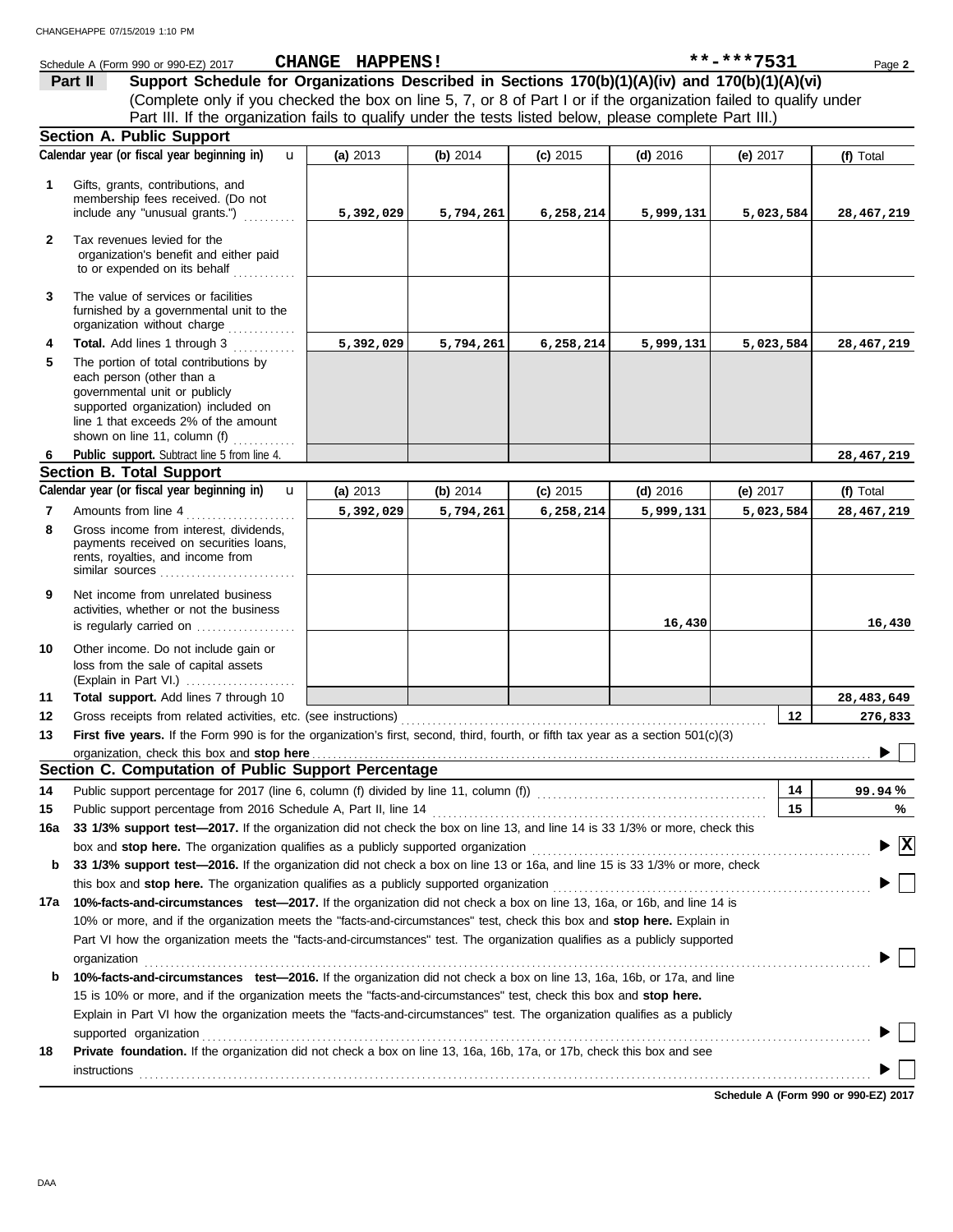|              | Schedule A (Form 990 or 990-EZ) 2017                                                                                                                                                            | CHANGE HAPPENS! |           |            |            | **-***7531 | Page 2       |
|--------------|-------------------------------------------------------------------------------------------------------------------------------------------------------------------------------------------------|-----------------|-----------|------------|------------|------------|--------------|
| Part II      | Support Schedule for Organizations Described in Sections 170(b)(1)(A)(iv) and 170(b)(1)(A)(vi)                                                                                                  |                 |           |            |            |            |              |
|              | (Complete only if you checked the box on line 5, 7, or 8 of Part I or if the organization failed to qualify under                                                                               |                 |           |            |            |            |              |
|              | Part III. If the organization fails to qualify under the tests listed below, please complete Part III.)                                                                                         |                 |           |            |            |            |              |
|              | <b>Section A. Public Support</b>                                                                                                                                                                |                 |           |            |            |            |              |
|              | Calendar year (or fiscal year beginning in)<br>$\mathbf{u}$                                                                                                                                     | (a) 2013        | (b) 2014  | $(c)$ 2015 | $(d)$ 2016 | (e) 2017   | (f) Total    |
| 1            | Gifts, grants, contributions, and                                                                                                                                                               |                 |           |            |            |            |              |
|              | membership fees received. (Do not                                                                                                                                                               |                 |           |            |            |            |              |
|              | include any "unusual grants.")                                                                                                                                                                  | 5,392,029       | 5,794,261 | 6,258,214  | 5,999,131  | 5,023,584  | 28,467,219   |
| $\mathbf{2}$ | Tax revenues levied for the                                                                                                                                                                     |                 |           |            |            |            |              |
|              | organization's benefit and either paid                                                                                                                                                          |                 |           |            |            |            |              |
|              | to or expended on its behalf                                                                                                                                                                    |                 |           |            |            |            |              |
| 3            | The value of services or facilities                                                                                                                                                             |                 |           |            |            |            |              |
|              | furnished by a governmental unit to the                                                                                                                                                         |                 |           |            |            |            |              |
|              | organization without charge                                                                                                                                                                     |                 |           |            |            |            |              |
| 4            | Total. Add lines 1 through 3                                                                                                                                                                    | 5,392,029       | 5,794,261 | 6,258,214  | 5,999,131  | 5,023,584  | 28,467,219   |
| 5            | The portion of total contributions by                                                                                                                                                           |                 |           |            |            |            |              |
|              | each person (other than a<br>governmental unit or publicly                                                                                                                                      |                 |           |            |            |            |              |
|              | supported organization) included on                                                                                                                                                             |                 |           |            |            |            |              |
|              | line 1 that exceeds 2% of the amount                                                                                                                                                            |                 |           |            |            |            |              |
|              | shown on line 11, column (f) $\ldots$                                                                                                                                                           |                 |           |            |            |            |              |
| 6            | Public support. Subtract line 5 from line 4.                                                                                                                                                    |                 |           |            |            |            | 28,467,219   |
|              | <b>Section B. Total Support</b>                                                                                                                                                                 |                 |           |            |            |            |              |
|              | Calendar year (or fiscal year beginning in)<br>$\mathbf{u}$                                                                                                                                     | (a) 2013        | (b) 2014  | $(c)$ 2015 | $(d)$ 2016 | (e) $2017$ | (f) Total    |
| 7            | Amounts from line 4                                                                                                                                                                             | 5,392,029       | 5,794,261 | 6,258,214  | 5,999,131  | 5,023,584  | 28,467,219   |
| 8            | Gross income from interest, dividends,<br>payments received on securities loans,                                                                                                                |                 |           |            |            |            |              |
|              | rents, royalties, and income from                                                                                                                                                               |                 |           |            |            |            |              |
|              | similar sources                                                                                                                                                                                 |                 |           |            |            |            |              |
| 9            | Net income from unrelated business                                                                                                                                                              |                 |           |            |            |            |              |
|              | activities, whether or not the business                                                                                                                                                         |                 |           |            |            |            |              |
|              | is regularly carried on                                                                                                                                                                         |                 |           |            | 16,430     |            | 16,430       |
| 10           | Other income. Do not include gain or                                                                                                                                                            |                 |           |            |            |            |              |
|              | loss from the sale of capital assets                                                                                                                                                            |                 |           |            |            |            |              |
|              | (Explain in Part VI.)                                                                                                                                                                           |                 |           |            |            |            |              |
| 11           | Total support. Add lines 7 through 10                                                                                                                                                           |                 |           |            |            |            | 28,483,649   |
| 12           |                                                                                                                                                                                                 |                 |           |            |            | 12         | 276,833      |
| 13           | First five years. If the Form 990 is for the organization's first, second, third, fourth, or fifth tax year as a section 501(c)(3)                                                              |                 |           |            |            |            |              |
|              | organization, check this box and stop here<br>Section C. Computation of Public Support Percentage                                                                                               |                 |           |            |            |            |              |
|              |                                                                                                                                                                                                 |                 |           |            |            |            |              |
| 14           | Public support percentage for 2017 (line 6, column (f) divided by line 11, column (f) [[[[[[[[[[[[[[[[[[[[[[[                                                                                   |                 |           |            |            | 14         | 99.94%       |
| 15           | Public support percentage from 2016 Schedule A, Part II, line 14<br>33 1/3% support test-2017. If the organization did not check the box on line 13, and line 14 is 33 1/3% or more, check this |                 |           |            |            | 15         | $\%$         |
| 16a          |                                                                                                                                                                                                 |                 |           |            |            |            | $\mathbf{x}$ |
|              | box and stop here. The organization qualifies as a publicly supported organization                                                                                                              |                 |           |            |            |            |              |
| b            | 33 1/3% support test-2016. If the organization did not check a box on line 13 or 16a, and line 15 is 33 1/3% or more, check                                                                     |                 |           |            |            |            |              |
|              | this box and stop here. The organization qualifies as a publicly supported organization                                                                                                         |                 |           |            |            |            |              |
| 17а          | 10%-facts-and-circumstances test-2017. If the organization did not check a box on line 13, 16a, or 16b, and line 14 is                                                                          |                 |           |            |            |            |              |
|              | 10% or more, and if the organization meets the "facts-and-circumstances" test, check this box and stop here. Explain in                                                                         |                 |           |            |            |            |              |

**b 10%-facts-and-circumstances test—2016.** If the organization did not check a box on line 13, 16a, 16b, or 17a, and line

**18 Private foundation.** If the organization did not check a box on line 13, 16a, 16b, 17a, or 17b, check this box and see

Explain in Part VI how the organization meets the "facts-and-circumstances" test. The organization qualifies as a publicly 15 is 10% or more, and if the organization meets the "facts-and-circumstances" test, check this box and **stop here.**

organization . . . . . . . . . . . . . . . . . . . . . . . . . . . . . . . . . . . . . . . . . . . . . . . . . . . . . . . . . . . . . . . . . . . . . . . . . . . . . . . . . . . . . . . . . . . . . . . . . . . . . . . . . . . . . . . . . . . . . . . . . . . . . . . . . . . . . . . . . . .

supported organization with the contract of the contract or contract or contract or contract or contract or contract or contract or contract or contract or contract or contract or contract or contract or contract or contra

**instructions** 

**Schedule A (Form 990 or 990-EZ) 2017**

 $\blacktriangleright \Box$ 

 $\blacktriangleright \Box$ 

 $\blacktriangleright$   $\Box$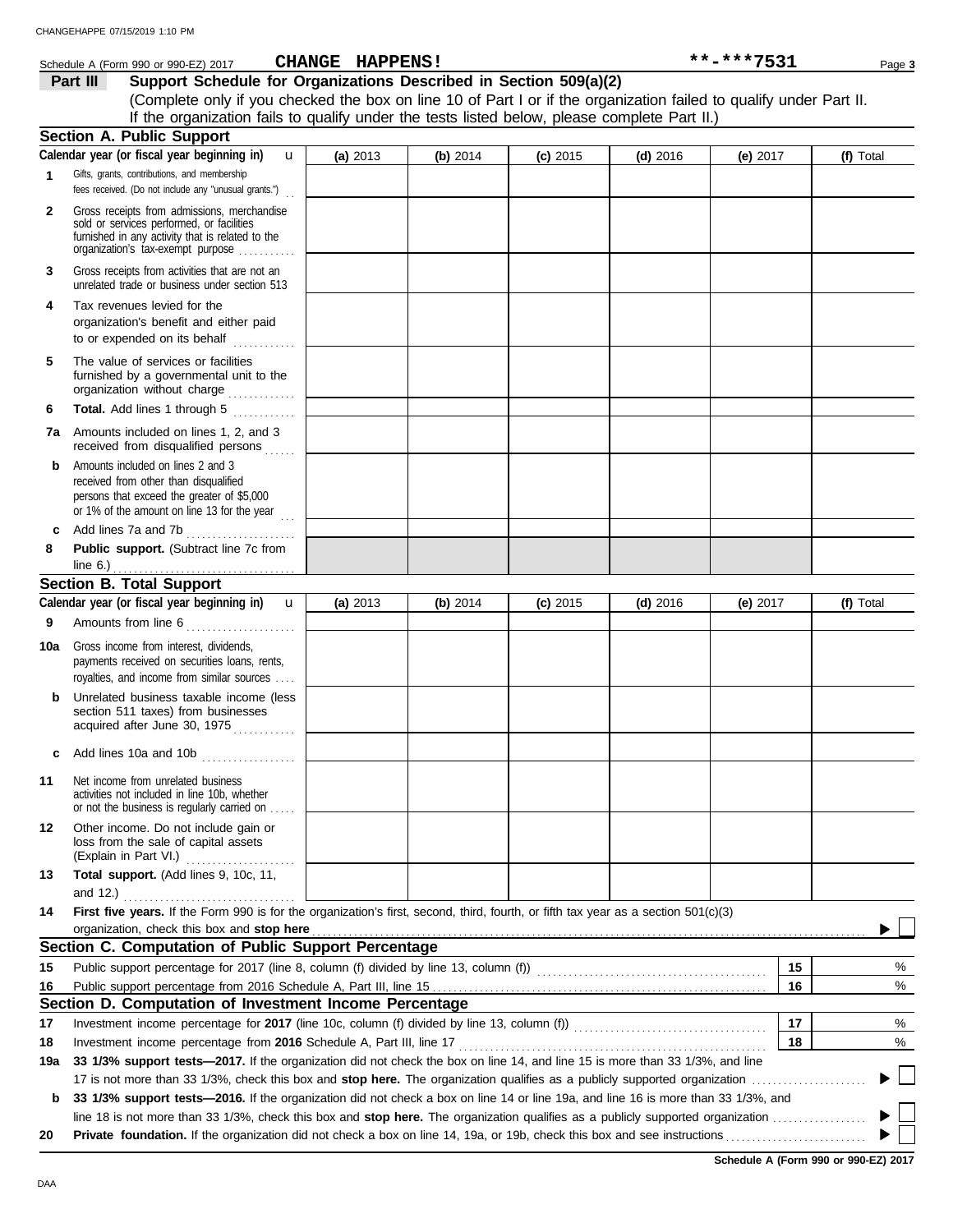| Schedule A (Form 990 or 990-EZ) 2017 | <b>CHANGE</b><br><b>HAPPENS!</b> | **-***7531 | Page 3 |
|--------------------------------------|----------------------------------|------------|--------|
|--------------------------------------|----------------------------------|------------|--------|

**Part III Support Schedule for Organizations Described in Section 509(a)(2)** (Complete only if you checked the box on line 10 of Part I or if the organization failed to qualify under Part II. If the organization fails to qualify under the tests listed below, please complete Part II.)

|              | <b>Section A. Public Support</b>                                                                                                                                                  |          |          |            |            |            |    |           |
|--------------|-----------------------------------------------------------------------------------------------------------------------------------------------------------------------------------|----------|----------|------------|------------|------------|----|-----------|
|              | Calendar year (or fiscal year beginning in)<br>$\mathbf{u}$                                                                                                                       | (a) 2013 | (b) 2014 | $(c)$ 2015 | $(d)$ 2016 | (e) $2017$ |    | (f) Total |
| $\mathbf{1}$ | Gifts, grants, contributions, and membership<br>fees received. (Do not include any "unusual grants.")                                                                             |          |          |            |            |            |    |           |
| $\mathbf{2}$ | Gross receipts from admissions, merchandise<br>sold or services performed, or facilities<br>furnished in any activity that is related to the<br>organization's tax-exempt purpose |          |          |            |            |            |    |           |
| 3            | Gross receipts from activities that are not an<br>unrelated trade or business under section 513                                                                                   |          |          |            |            |            |    |           |
| 4            | Tax revenues levied for the<br>organization's benefit and either paid                                                                                                             |          |          |            |            |            |    |           |
| 5            | The value of services or facilities<br>furnished by a governmental unit to the<br>organization without charge                                                                     |          |          |            |            |            |    |           |
| 6            | Total. Add lines 1 through 5<br><u>.</u><br>.                                                                                                                                     |          |          |            |            |            |    |           |
| 7а           | Amounts included on lines 1, 2, and 3<br>received from disqualified persons                                                                                                       |          |          |            |            |            |    |           |
| b            | Amounts included on lines 2 and 3<br>received from other than disqualified<br>persons that exceed the greater of \$5,000<br>or 1% of the amount on line 13 for the year           |          |          |            |            |            |    |           |
| c            | Add lines 7a and 7b                                                                                                                                                               |          |          |            |            |            |    |           |
| 8            | Public support. (Subtract line 7c from                                                                                                                                            |          |          |            |            |            |    |           |
|              | line $6.$ ) $\ldots$ $\ldots$ $\ldots$ $\ldots$ $\ldots$ $\ldots$ $\ldots$ $\ldots$                                                                                               |          |          |            |            |            |    |           |
|              | <b>Section B. Total Support</b><br>Calendar year (or fiscal year beginning in) <b>u</b>                                                                                           |          |          |            |            |            |    |           |
|              |                                                                                                                                                                                   | (a) 2013 | (b) 2014 | $(c)$ 2015 | $(d)$ 2016 | (e) $2017$ |    | (f) Total |
| 9            | Amounts from line 6                                                                                                                                                               |          |          |            |            |            |    |           |
| 10a          | Gross income from interest, dividends,<br>payments received on securities loans, rents,<br>royalties, and income from similar sources                                             |          |          |            |            |            |    |           |
| b            | Unrelated business taxable income (less<br>section 511 taxes) from businesses<br>acquired after June 30, 1975                                                                     |          |          |            |            |            |    |           |
| c            | Add lines 10a and 10b                                                                                                                                                             |          |          |            |            |            |    |           |
| 11           | Net income from unrelated business<br>activities not included in line 10b, whether<br>or not the business is regularly carried on                                                 |          |          |            |            |            |    |           |
| 12           | Other income. Do not include gain or<br>loss from the sale of capital assets<br>(Explain in Part VI.)                                                                             |          |          |            |            |            |    |           |
| 13           | Total support. (Add lines 9, 10c, 11,<br>and 12.)                                                                                                                                 |          |          |            |            |            |    |           |
| 14           | First five years. If the Form 990 is for the organization's first, second, third, fourth, or fifth tax year as a section 501(c)(3)                                                |          |          |            |            |            |    |           |
|              | organization, check this box and stop here                                                                                                                                        |          |          |            |            |            |    |           |
|              | Section C. Computation of Public Support Percentage                                                                                                                               |          |          |            |            |            |    |           |
| 15           | Public support percentage for 2017 (line 8, column (f) divided by line 13, column (f)) [[[[[[[[[[[[[[[[[[[[[[                                                                     |          |          |            |            |            | 15 | %         |
| 16           |                                                                                                                                                                                   |          |          |            |            |            | 16 | %         |
|              | Section D. Computation of Investment Income Percentage                                                                                                                            |          |          |            |            |            |    |           |
| 17           |                                                                                                                                                                                   |          |          |            |            |            | 17 | %         |
| 18           | Investment income percentage from 2016 Schedule A, Part III, line 17                                                                                                              |          |          |            |            |            | 18 | %         |
| 19a          | 33 1/3% support tests-2017. If the organization did not check the box on line 14, and line 15 is more than 33 1/3%, and line                                                      |          |          |            |            |            |    |           |
|              | 17 is not more than 33 1/3%, check this box and stop here. The organization qualifies as a publicly supported organization                                                        |          |          |            |            |            |    |           |
| b            | 33 1/3% support tests-2016. If the organization did not check a box on line 14 or line 19a, and line 16 is more than 33 1/3%, and                                                 |          |          |            |            |            |    |           |
|              |                                                                                                                                                                                   |          |          |            |            |            |    |           |
| 20           |                                                                                                                                                                                   |          |          |            |            |            |    |           |
|              |                                                                                                                                                                                   |          |          |            |            |            |    |           |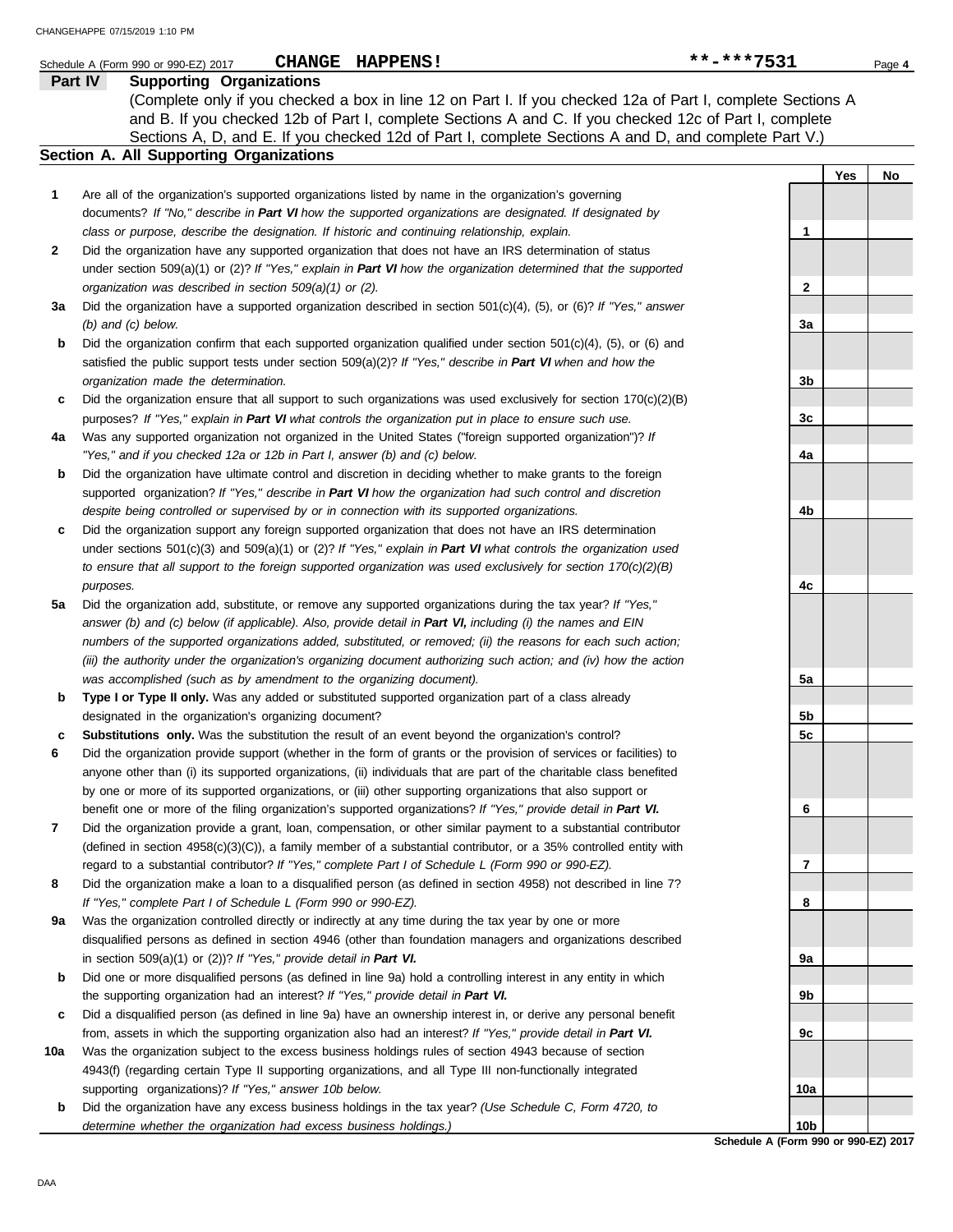|     | CHANGE HAPPENS!<br>Schedule A (Form 990 or 990-EZ) 2017                                                                                                                                  | **-***7531      |     | Page 4 |
|-----|------------------------------------------------------------------------------------------------------------------------------------------------------------------------------------------|-----------------|-----|--------|
|     | Part IV<br><b>Supporting Organizations</b>                                                                                                                                               |                 |     |        |
|     | (Complete only if you checked a box in line 12 on Part I. If you checked 12a of Part I, complete Sections A                                                                              |                 |     |        |
|     | and B. If you checked 12b of Part I, complete Sections A and C. If you checked 12c of Part I, complete                                                                                   |                 |     |        |
|     | Sections A, D, and E. If you checked 12d of Part I, complete Sections A and D, and complete Part V.)                                                                                     |                 |     |        |
|     | <b>Section A. All Supporting Organizations</b>                                                                                                                                           |                 |     |        |
|     |                                                                                                                                                                                          |                 | Yes | No     |
| 1   | Are all of the organization's supported organizations listed by name in the organization's governing                                                                                     |                 |     |        |
|     | documents? If "No," describe in Part VI how the supported organizations are designated. If designated by                                                                                 |                 |     |        |
|     | class or purpose, describe the designation. If historic and continuing relationship, explain.                                                                                            | 1               |     |        |
| 2   | Did the organization have any supported organization that does not have an IRS determination of status                                                                                   |                 |     |        |
|     | under section 509(a)(1) or (2)? If "Yes," explain in Part VI how the organization determined that the supported                                                                          |                 |     |        |
|     | organization was described in section 509(a)(1) or (2).                                                                                                                                  | 2               |     |        |
| За  | Did the organization have a supported organization described in section $501(c)(4)$ , (5), or (6)? If "Yes," answer                                                                      |                 |     |        |
|     | $(b)$ and $(c)$ below.                                                                                                                                                                   | За              |     |        |
| b   | Did the organization confirm that each supported organization qualified under section 501(c)(4), (5), or (6) and                                                                         |                 |     |        |
|     | satisfied the public support tests under section 509(a)(2)? If "Yes," describe in Part VI when and how the                                                                               |                 |     |        |
|     | organization made the determination.                                                                                                                                                     | 3b              |     |        |
| c   | Did the organization ensure that all support to such organizations was used exclusively for section $170(c)(2)(B)$                                                                       |                 |     |        |
|     | purposes? If "Yes," explain in Part VI what controls the organization put in place to ensure such use.                                                                                   | 3c              |     |        |
| 4a  | Was any supported organization not organized in the United States ("foreign supported organization")? If                                                                                 |                 |     |        |
|     | "Yes," and if you checked 12a or 12b in Part I, answer (b) and (c) below.                                                                                                                | 4a              |     |        |
| b   | Did the organization have ultimate control and discretion in deciding whether to make grants to the foreign                                                                              |                 |     |        |
|     | supported organization? If "Yes," describe in Part VI how the organization had such control and discretion                                                                               |                 |     |        |
|     | despite being controlled or supervised by or in connection with its supported organizations.                                                                                             | 4b              |     |        |
| c   | Did the organization support any foreign supported organization that does not have an IRS determination                                                                                  |                 |     |        |
|     | under sections $501(c)(3)$ and $509(a)(1)$ or (2)? If "Yes," explain in Part VI what controls the organization used                                                                      |                 |     |        |
|     | to ensure that all support to the foreign supported organization was used exclusively for section $170(c)(2)(B)$                                                                         |                 |     |        |
|     | purposes.                                                                                                                                                                                | 4с              |     |        |
| 5а  | Did the organization add, substitute, or remove any supported organizations during the tax year? If "Yes,"                                                                               |                 |     |        |
|     | answer (b) and (c) below (if applicable). Also, provide detail in Part VI, including (i) the names and EIN                                                                               |                 |     |        |
|     | numbers of the supported organizations added, substituted, or removed; (ii) the reasons for each such action;                                                                            |                 |     |        |
|     | (iii) the authority under the organization's organizing document authorizing such action; and (iv) how the action<br>was accomplished (such as by amendment to the organizing document). | 5a              |     |        |
| b   | Type I or Type II only. Was any added or substituted supported organization part of a class already                                                                                      |                 |     |        |
|     | designated in the organization's organizing document?                                                                                                                                    | 5b              |     |        |
|     | Substitutions only. Was the substitution the result of an event beyond the organization's control?                                                                                       | 5c              |     |        |
| 6   | Did the organization provide support (whether in the form of grants or the provision of services or facilities) to                                                                       |                 |     |        |
|     | anyone other than (i) its supported organizations, (ii) individuals that are part of the charitable class benefited                                                                      |                 |     |        |
|     | by one or more of its supported organizations, or (iii) other supporting organizations that also support or                                                                              |                 |     |        |
|     | benefit one or more of the filing organization's supported organizations? If "Yes," provide detail in Part VI.                                                                           | 6               |     |        |
| 7   | Did the organization provide a grant, loan, compensation, or other similar payment to a substantial contributor                                                                          |                 |     |        |
|     | (defined in section $4958(c)(3)(C)$ ), a family member of a substantial contributor, or a 35% controlled entity with                                                                     |                 |     |        |
|     | regard to a substantial contributor? If "Yes," complete Part I of Schedule L (Form 990 or 990-EZ).                                                                                       | 7               |     |        |
| 8   | Did the organization make a loan to a disqualified person (as defined in section 4958) not described in line 7?                                                                          |                 |     |        |
|     | If "Yes," complete Part I of Schedule L (Form 990 or 990-EZ).                                                                                                                            | 8               |     |        |
| 9a  | Was the organization controlled directly or indirectly at any time during the tax year by one or more                                                                                    |                 |     |        |
|     | disqualified persons as defined in section 4946 (other than foundation managers and organizations described                                                                              |                 |     |        |
|     | in section $509(a)(1)$ or $(2)$ ? If "Yes," provide detail in Part VI.                                                                                                                   | 9а              |     |        |
| b   | Did one or more disqualified persons (as defined in line 9a) hold a controlling interest in any entity in which                                                                          |                 |     |        |
|     | the supporting organization had an interest? If "Yes," provide detail in Part VI.                                                                                                        | 9b              |     |        |
| c   | Did a disqualified person (as defined in line 9a) have an ownership interest in, or derive any personal benefit                                                                          |                 |     |        |
|     | from, assets in which the supporting organization also had an interest? If "Yes," provide detail in Part VI.                                                                             | 9c              |     |        |
| 10a | Was the organization subject to the excess business holdings rules of section 4943 because of section                                                                                    |                 |     |        |
|     | 4943(f) (regarding certain Type II supporting organizations, and all Type III non-functionally integrated                                                                                |                 |     |        |
|     | supporting organizations)? If "Yes," answer 10b below.                                                                                                                                   | 10a             |     |        |
| b   | Did the organization have any excess business holdings in the tax year? (Use Schedule C, Form 4720, to                                                                                   |                 |     |        |
|     | determine whether the organization had excess business holdings.)                                                                                                                        | 10 <sub>b</sub> |     |        |

**Schedule A (Form 990 or 990-EZ) 2017**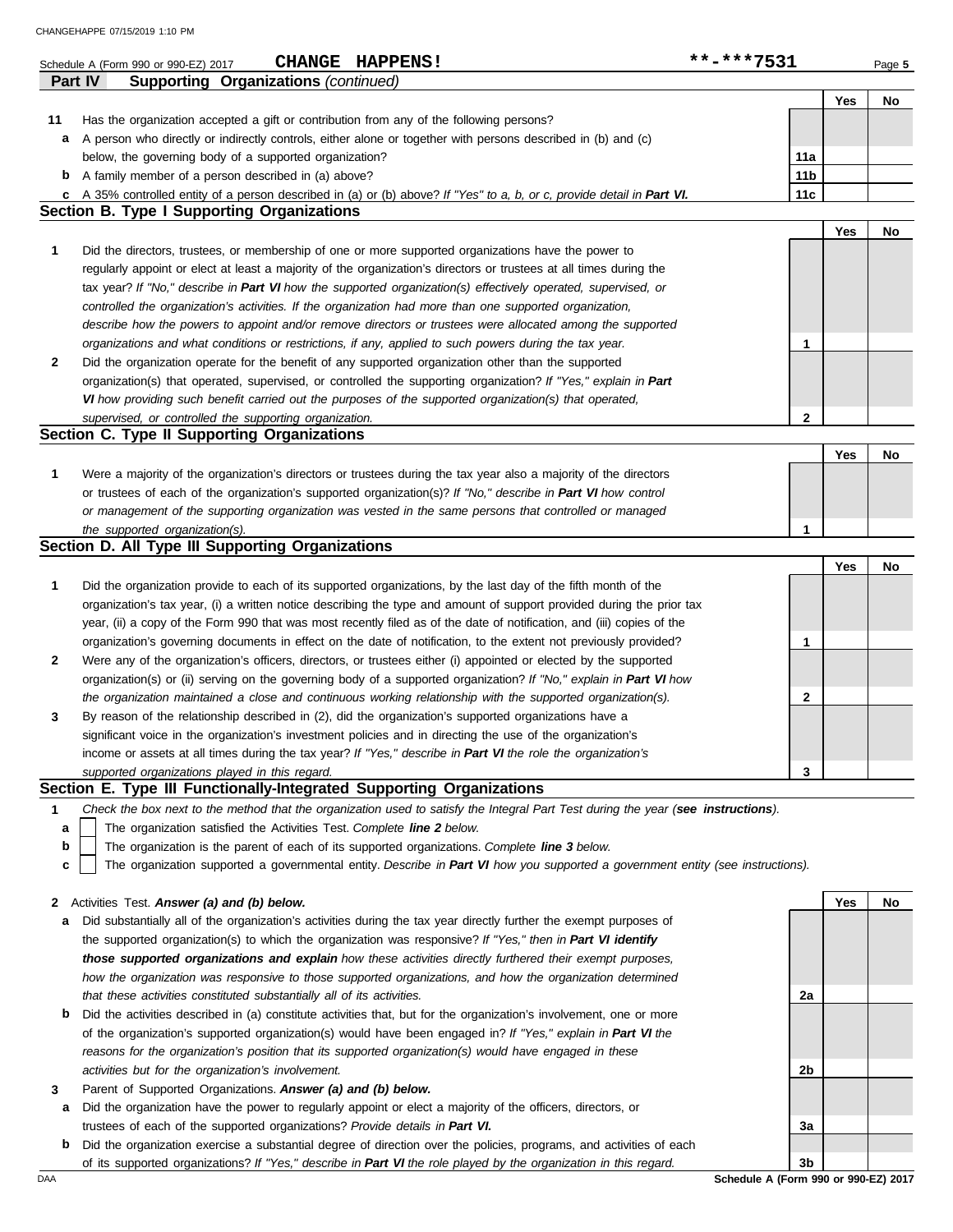|    | CHANGEHAPPE 07/15/2019 1:10 PM                                                                                                                                                                                       |                 |     |        |
|----|----------------------------------------------------------------------------------------------------------------------------------------------------------------------------------------------------------------------|-----------------|-----|--------|
|    | CHANGE HAPPENS!<br>Schedule A (Form 990 or 990-EZ) 2017                                                                                                                                                              | **-***7531      |     | Page 5 |
|    | Part IV<br><b>Supporting Organizations (continued)</b>                                                                                                                                                               |                 |     |        |
| 11 | Has the organization accepted a gift or contribution from any of the following persons?                                                                                                                              |                 | Yes | No     |
| а  | A person who directly or indirectly controls, either alone or together with persons described in (b) and (c)                                                                                                         |                 |     |        |
|    | below, the governing body of a supported organization?                                                                                                                                                               | 11a             |     |        |
| b  | A family member of a person described in (a) above?                                                                                                                                                                  | 11 <sub>b</sub> |     |        |
| c  | A 35% controlled entity of a person described in (a) or (b) above? If "Yes" to a, b, or c, provide detail in Part VI.                                                                                                | 11c             |     |        |
|    | <b>Section B. Type I Supporting Organizations</b>                                                                                                                                                                    |                 |     |        |
|    |                                                                                                                                                                                                                      |                 | Yes | No     |
| 1  | Did the directors, trustees, or membership of one or more supported organizations have the power to                                                                                                                  |                 |     |        |
|    | regularly appoint or elect at least a majority of the organization's directors or trustees at all times during the                                                                                                   |                 |     |        |
|    | tax year? If "No," describe in Part VI how the supported organization(s) effectively operated, supervised, or                                                                                                        |                 |     |        |
|    | controlled the organization's activities. If the organization had more than one supported organization,                                                                                                              |                 |     |        |
|    | describe how the powers to appoint and/or remove directors or trustees were allocated among the supported                                                                                                            |                 |     |        |
|    | organizations and what conditions or restrictions, if any, applied to such powers during the tax year.                                                                                                               | 1               |     |        |
| 2  | Did the organization operate for the benefit of any supported organization other than the supported                                                                                                                  |                 |     |        |
|    | organization(s) that operated, supervised, or controlled the supporting organization? If "Yes," explain in Part                                                                                                      |                 |     |        |
|    | VI how providing such benefit carried out the purposes of the supported organization(s) that operated,                                                                                                               |                 |     |        |
|    | supervised, or controlled the supporting organization.                                                                                                                                                               | $\mathbf{2}$    |     |        |
|    | Section C. Type II Supporting Organizations                                                                                                                                                                          |                 |     |        |
|    |                                                                                                                                                                                                                      |                 | Yes | No     |
| 1  | Were a majority of the organization's directors or trustees during the tax year also a majority of the directors                                                                                                     |                 |     |        |
|    | or trustees of each of the organization's supported organization(s)? If "No," describe in Part VI how control                                                                                                        |                 |     |        |
|    | or management of the supporting organization was vested in the same persons that controlled or managed                                                                                                               |                 |     |        |
|    | the supported organization(s).                                                                                                                                                                                       | 1               |     |        |
|    | Section D. All Type III Supporting Organizations                                                                                                                                                                     |                 |     |        |
|    |                                                                                                                                                                                                                      |                 | Yes | No     |
| 1  | Did the organization provide to each of its supported organizations, by the last day of the fifth month of the                                                                                                       |                 |     |        |
|    | organization's tax year, (i) a written notice describing the type and amount of support provided during the prior tax                                                                                                |                 |     |        |
|    | year, (ii) a copy of the Form 990 that was most recently filed as of the date of notification, and (iii) copies of the                                                                                               |                 |     |        |
|    | organization's governing documents in effect on the date of notification, to the extent not previously provided?                                                                                                     | 1               |     |        |
| 2  | Were any of the organization's officers, directors, or trustees either (i) appointed or elected by the supported                                                                                                     |                 |     |        |
|    | organization(s) or (ii) serving on the governing body of a supported organization? If "No," explain in Part VI how                                                                                                   | 2               |     |        |
|    | the organization maintained a close and continuous working relationship with the supported organization(s).<br>By reason of the relationship described in (2), did the organization's supported organizations have a |                 |     |        |
|    | significant voice in the organization's investment policies and in directing the use of the organization's                                                                                                           |                 |     |        |
|    | income or assets at all times during the tax year? If "Yes," describe in Part VI the role the organization's                                                                                                         |                 |     |        |
|    | supported organizations played in this regard.                                                                                                                                                                       | 3               |     |        |
|    | Section E. Type III Functionally-Integrated Supporting Organizations                                                                                                                                                 |                 |     |        |
| 1  | Check the box next to the method that the organization used to satisfy the Integral Part Test during the year (see instructions).                                                                                    |                 |     |        |
| a  | The organization satisfied the Activities Test. Complete line 2 below.                                                                                                                                               |                 |     |        |
| b  | The organization is the parent of each of its supported organizations. Complete line 3 below.                                                                                                                        |                 |     |        |
| C  | The organization supported a governmental entity. Describe in Part VI how you supported a government entity (see instructions).                                                                                      |                 |     |        |
|    |                                                                                                                                                                                                                      |                 |     |        |
| 2  | Activities Test. Answer (a) and (b) below.                                                                                                                                                                           |                 | Yes | No     |
| а  | Did substantially all of the organization's activities during the tax year directly further the exempt purposes of                                                                                                   |                 |     |        |
|    | the supported organization(s) to which the organization was responsive? If "Yes," then in Part VI identify                                                                                                           |                 |     |        |
|    | those supported organizations and explain how these activities directly furthered their exempt purposes,                                                                                                             |                 |     |        |
|    | how the organization was responsive to those supported organizations, and how the organization determined                                                                                                            |                 |     |        |
|    | that these activities constituted substantially all of its activities.                                                                                                                                               | 2a              |     |        |
| b  | Did the activities described in (a) constitute activities that, but for the organization's involvement, one or more                                                                                                  |                 |     |        |
|    | of the organization's supported organization(s) would have been engaged in? If "Yes," explain in Part VI the                                                                                                         |                 |     |        |
|    | reasons for the organization's position that its supported organization(s) would have engaged in these                                                                                                               |                 |     |        |
|    | activities but for the organization's involvement.                                                                                                                                                                   | 2b              |     |        |
|    |                                                                                                                                                                                                                      |                 |     |        |

- **3** Parent of Supported Organizations. *Answer (a) and (b) below.*
- **a** Did the organization have the power to regularly appoint or elect a majority of the officers, directors, or trustees of each of the supported organizations? *Provide details in Part VI.*
- DAA **Schedule A (Form 990 or 990-EZ) 2017 b** Did the organization exercise a substantial degree of direction over the policies, programs, and activities of each of its supported organizations? *If "Yes," describe in Part VI the role played by the organization in this regard.*

**3b**

**3a**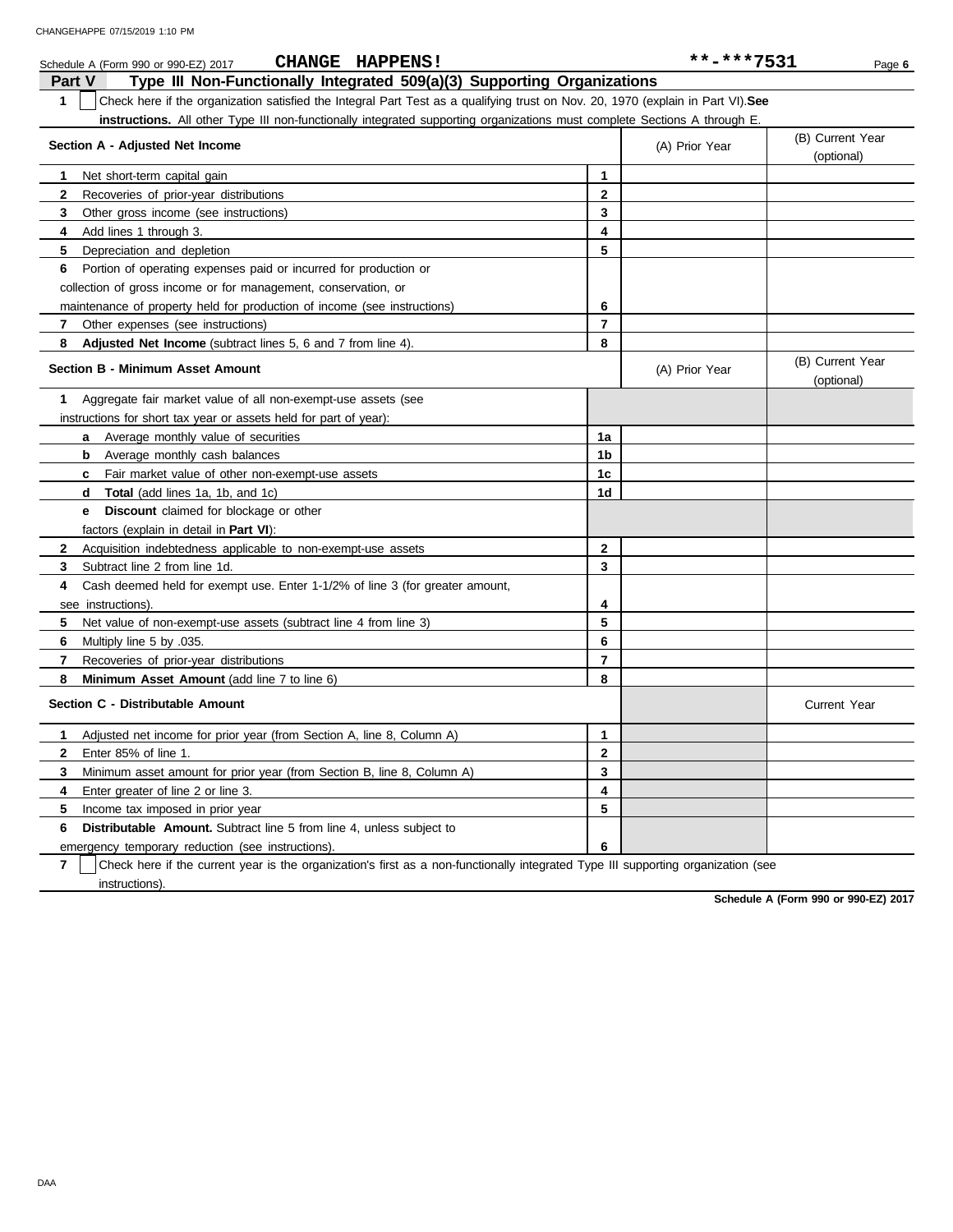| CHANGEHAPPE 07/15/2019 1:10 PM                                                                                                               |                | **-***7531     |                                |
|----------------------------------------------------------------------------------------------------------------------------------------------|----------------|----------------|--------------------------------|
| CHANGE HAPPENS!<br>Schedule A (Form 990 or 990-EZ) 2017<br>Part V<br>Type III Non-Functionally Integrated 509(a)(3) Supporting Organizations |                |                | Page 6                         |
| 1<br>Check here if the organization satisfied the Integral Part Test as a qualifying trust on Nov. 20, 1970 (explain in Part VI). See        |                |                |                                |
| instructions. All other Type III non-functionally integrated supporting organizations must complete Sections A through E.                    |                |                |                                |
| Section A - Adjusted Net Income                                                                                                              |                | (A) Prior Year | (B) Current Year<br>(optional) |
| Net short-term capital gain<br>1                                                                                                             | $\mathbf{1}$   |                |                                |
| 2<br>Recoveries of prior-year distributions                                                                                                  | $\mathbf{2}$   |                |                                |
| 3<br>Other gross income (see instructions)                                                                                                   | 3              |                |                                |
| Add lines 1 through 3.<br>4                                                                                                                  | 4              |                |                                |
| 5<br>Depreciation and depletion                                                                                                              | 5              |                |                                |
| Portion of operating expenses paid or incurred for production or<br>6                                                                        |                |                |                                |
| collection of gross income or for management, conservation, or                                                                               |                |                |                                |
| maintenance of property held for production of income (see instructions)                                                                     | 6              |                |                                |
| Other expenses (see instructions)<br>7                                                                                                       | 7              |                |                                |
| 8<br>Adjusted Net Income (subtract lines 5, 6 and 7 from line 4).                                                                            | 8              |                |                                |
| <b>Section B - Minimum Asset Amount</b>                                                                                                      |                | (A) Prior Year | (B) Current Year<br>(optional) |
| Aggregate fair market value of all non-exempt-use assets (see<br>1                                                                           |                |                |                                |
| instructions for short tax year or assets held for part of year):                                                                            |                |                |                                |
| <b>a</b> Average monthly value of securities                                                                                                 | 1a             |                |                                |
| Average monthly cash balances<br>b                                                                                                           | 1b             |                |                                |
| Fair market value of other non-exempt-use assets<br>c                                                                                        | 1c             |                |                                |
| Total (add lines 1a, 1b, and 1c)<br>d                                                                                                        | 1d             |                |                                |
| <b>Discount</b> claimed for blockage or other<br>е                                                                                           |                |                |                                |
| factors (explain in detail in Part VI):                                                                                                      |                |                |                                |
| $\mathbf{2}$<br>Acquisition indebtedness applicable to non-exempt-use assets                                                                 | $\mathbf{2}$   |                |                                |
| 3<br>Subtract line 2 from line 1d.                                                                                                           | 3              |                |                                |
| 4<br>Cash deemed held for exempt use. Enter 1-1/2% of line 3 (for greater amount,                                                            |                |                |                                |
| see instructions).                                                                                                                           | 4              |                |                                |
| 5<br>Net value of non-exempt-use assets (subtract line 4 from line 3)                                                                        | 5              |                |                                |
| 6<br>Multiply line 5 by 035.                                                                                                                 | 6              |                |                                |
| $\overline{7}$<br>Recoveries of prior-year distributions                                                                                     | $\overline{7}$ |                |                                |
| 8<br><b>Minimum Asset Amount</b> (add line 7 to line 6)                                                                                      | 8              |                |                                |
| Section C - Distributable Amount                                                                                                             |                |                | <b>Current Year</b>            |
| Adjusted net income for prior year (from Section A, line 8, Column A)<br>1                                                                   | $\mathbf 1$    |                |                                |
| $\mathbf{2}$<br>Enter 85% of line 1.                                                                                                         | $\mathbf{2}$   |                |                                |
| 3<br>Minimum asset amount for prior year (from Section B, line 8, Column A)                                                                  | 3              |                |                                |
| Enter greater of line 2 or line 3.<br>4                                                                                                      | 4              |                |                                |
| 5<br>Income tax imposed in prior year                                                                                                        | 5              |                |                                |
| 6<br>Distributable Amount. Subtract line 5 from line 4, unless subject to                                                                    |                |                |                                |
| emergency temporary reduction (see instructions).                                                                                            | 6              |                |                                |

**7** instructions). Check here if the current year is the organization's first as a non-functionally integrated Type III supporting organization (see

**Schedule A (Form 990 or 990-EZ) 2017**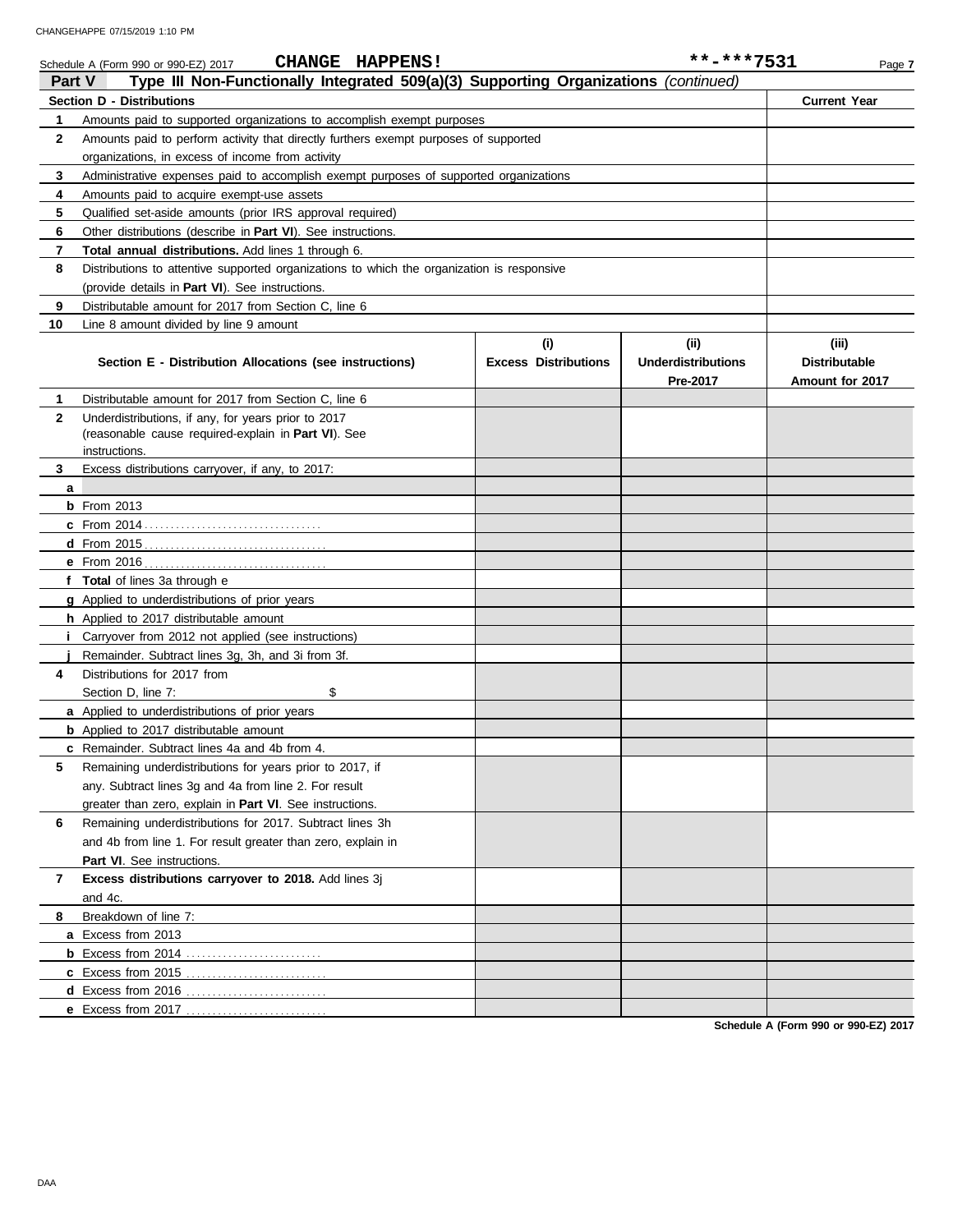|               | <b>CHANGE HAPPENS!</b><br>Schedule A (Form 990 or 990-EZ) 2017                             |                                    | **-***7531                                    | Page 7                                           |
|---------------|--------------------------------------------------------------------------------------------|------------------------------------|-----------------------------------------------|--------------------------------------------------|
| <b>Part V</b> | Type III Non-Functionally Integrated 509(a)(3) Supporting Organizations (continued)        |                                    |                                               |                                                  |
|               | <b>Section D - Distributions</b>                                                           |                                    |                                               | <b>Current Year</b>                              |
| $\mathbf 1$   | Amounts paid to supported organizations to accomplish exempt purposes                      |                                    |                                               |                                                  |
| $\mathbf{2}$  | Amounts paid to perform activity that directly furthers exempt purposes of supported       |                                    |                                               |                                                  |
|               | organizations, in excess of income from activity                                           |                                    |                                               |                                                  |
| 3             | Administrative expenses paid to accomplish exempt purposes of supported organizations      |                                    |                                               |                                                  |
| 4             | Amounts paid to acquire exempt-use assets                                                  |                                    |                                               |                                                  |
| 5             | Qualified set-aside amounts (prior IRS approval required)                                  |                                    |                                               |                                                  |
| 6             | Other distributions (describe in Part VI). See instructions.                               |                                    |                                               |                                                  |
| 7             | <b>Total annual distributions.</b> Add lines 1 through 6.                                  |                                    |                                               |                                                  |
| 8             | Distributions to attentive supported organizations to which the organization is responsive |                                    |                                               |                                                  |
|               | (provide details in Part VI). See instructions.                                            |                                    |                                               |                                                  |
| 9             | Distributable amount for 2017 from Section C, line 6                                       |                                    |                                               |                                                  |
| 10            | Line 8 amount divided by line 9 amount                                                     |                                    |                                               |                                                  |
|               | Section E - Distribution Allocations (see instructions)                                    | (i)<br><b>Excess Distributions</b> | (ii)<br><b>Underdistributions</b><br>Pre-2017 | (iii)<br><b>Distributable</b><br>Amount for 2017 |
| 1             | Distributable amount for 2017 from Section C, line 6                                       |                                    |                                               |                                                  |
| $\mathbf{2}$  | Underdistributions, if any, for years prior to 2017                                        |                                    |                                               |                                                  |
|               | (reasonable cause required-explain in Part VI). See                                        |                                    |                                               |                                                  |
|               | instructions.                                                                              |                                    |                                               |                                                  |
| 3             | Excess distributions carryover, if any, to 2017:                                           |                                    |                                               |                                                  |
| a             | $b$ From 2013                                                                              |                                    |                                               |                                                  |
|               |                                                                                            |                                    |                                               |                                                  |
|               |                                                                                            |                                    |                                               |                                                  |
|               |                                                                                            |                                    |                                               |                                                  |
|               | f Total of lines 3a through e                                                              |                                    |                                               |                                                  |
|               | <b>g</b> Applied to underdistributions of prior years                                      |                                    |                                               |                                                  |
|               | <b>h</b> Applied to 2017 distributable amount                                              |                                    |                                               |                                                  |
| Ť.            | Carryover from 2012 not applied (see instructions)                                         |                                    |                                               |                                                  |
|               | Remainder. Subtract lines 3g, 3h, and 3i from 3f.                                          |                                    |                                               |                                                  |
| 4             | Distributions for 2017 from                                                                |                                    |                                               |                                                  |
|               | \$<br>Section D, line 7:                                                                   |                                    |                                               |                                                  |
|               | <b>a</b> Applied to underdistributions of prior years                                      |                                    |                                               |                                                  |
|               | <b>b</b> Applied to 2017 distributable amount                                              |                                    |                                               |                                                  |
|               | c Remainder. Subtract lines 4a and 4b from 4.                                              |                                    |                                               |                                                  |
| 5             | Remaining underdistributions for years prior to 2017, if                                   |                                    |                                               |                                                  |
|               | any. Subtract lines 3g and 4a from line 2. For result                                      |                                    |                                               |                                                  |
|               | greater than zero, explain in Part VI. See instructions.                                   |                                    |                                               |                                                  |
| 6             | Remaining underdistributions for 2017. Subtract lines 3h                                   |                                    |                                               |                                                  |
|               | and 4b from line 1. For result greater than zero, explain in                               |                                    |                                               |                                                  |
|               | Part VI. See instructions.                                                                 |                                    |                                               |                                                  |
| 7             | Excess distributions carryover to 2018. Add lines 3j                                       |                                    |                                               |                                                  |
|               | and 4c.                                                                                    |                                    |                                               |                                                  |
| 8             | Breakdown of line 7:                                                                       |                                    |                                               |                                                  |
|               | a Excess from 2013                                                                         |                                    |                                               |                                                  |
|               | <b>b</b> Excess from 2014                                                                  |                                    |                                               |                                                  |

**Schedule A (Form 990 or 990-EZ) 2017**

**c** Excess from 2015 . . . . . . . . . . . . . . . . . . . . . . . . . . . **d** Excess from 2016 . . . . . . . . . . . . . . . . . . . . . . . . . . . **e** Excess from 2017 . . . . . . . . . . . . . . . . . . . . . . . . . . .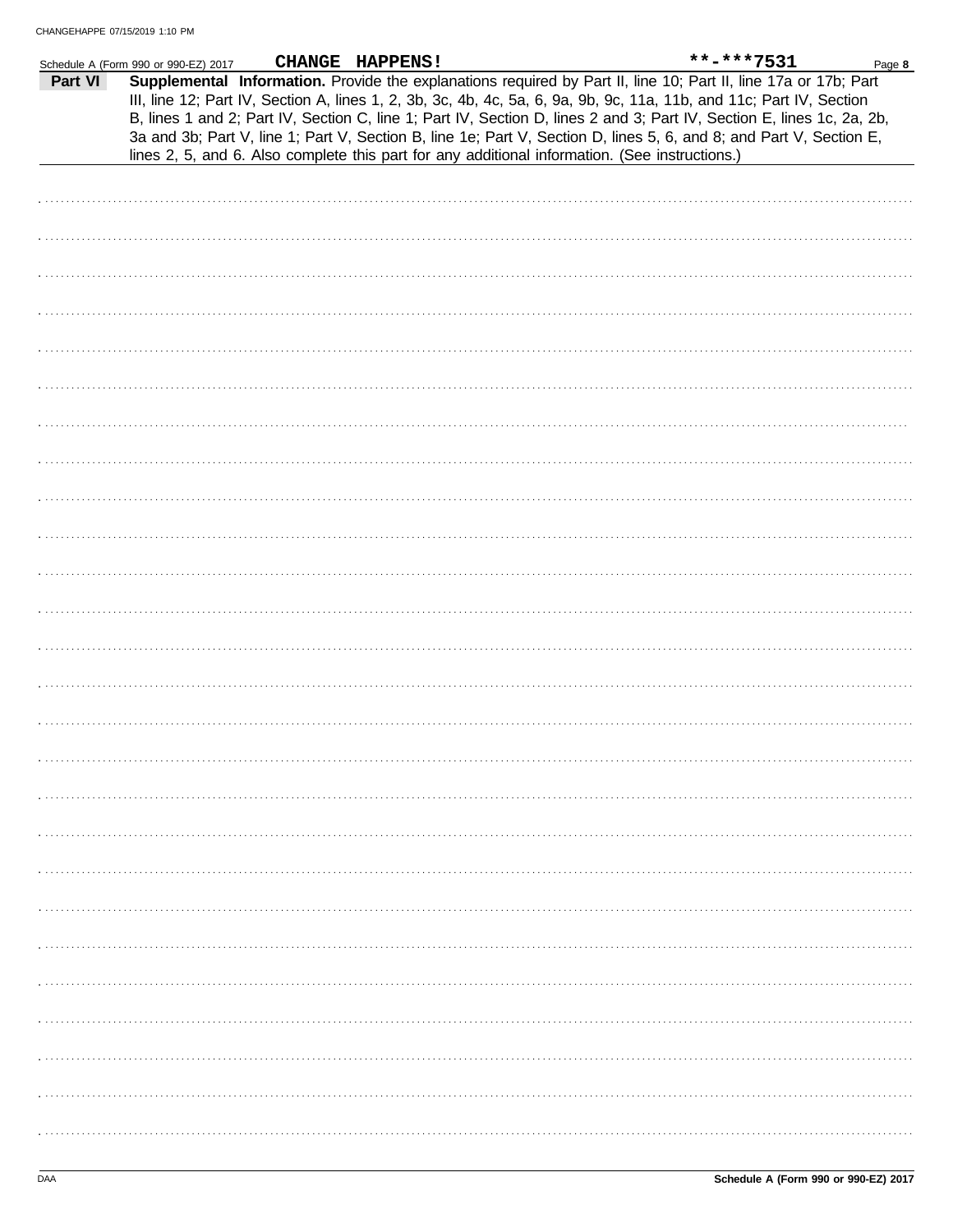|         | Schedule A (Form 990 or 990-EZ) 2017                                                                                                                                                                                                                                                                                                                                                                                                                                                                                                                                                       | CHANGE HAPPENS! |  | **-***7531 | Page 8 |
|---------|--------------------------------------------------------------------------------------------------------------------------------------------------------------------------------------------------------------------------------------------------------------------------------------------------------------------------------------------------------------------------------------------------------------------------------------------------------------------------------------------------------------------------------------------------------------------------------------------|-----------------|--|------------|--------|
| Part VI | Supplemental Information. Provide the explanations required by Part II, line 10; Part II, line 17a or 17b; Part<br>III, line 12; Part IV, Section A, lines 1, 2, 3b, 3c, 4b, 4c, 5a, 6, 9a, 9b, 9c, 11a, 11b, and 11c; Part IV, Section<br>B, lines 1 and 2; Part IV, Section C, line 1; Part IV, Section D, lines 2 and 3; Part IV, Section E, lines 1c, 2a, 2b,<br>3a and 3b; Part V, line 1; Part V, Section B, line 1e; Part V, Section D, lines 5, 6, and 8; and Part V, Section E,<br>lines 2, 5, and 6. Also complete this part for any additional information. (See instructions.) |                 |  |            |        |
|         |                                                                                                                                                                                                                                                                                                                                                                                                                                                                                                                                                                                            |                 |  |            |        |
|         |                                                                                                                                                                                                                                                                                                                                                                                                                                                                                                                                                                                            |                 |  |            |        |
|         |                                                                                                                                                                                                                                                                                                                                                                                                                                                                                                                                                                                            |                 |  |            |        |
|         |                                                                                                                                                                                                                                                                                                                                                                                                                                                                                                                                                                                            |                 |  |            |        |
|         |                                                                                                                                                                                                                                                                                                                                                                                                                                                                                                                                                                                            |                 |  |            |        |
|         |                                                                                                                                                                                                                                                                                                                                                                                                                                                                                                                                                                                            |                 |  |            |        |
|         |                                                                                                                                                                                                                                                                                                                                                                                                                                                                                                                                                                                            |                 |  |            |        |
|         |                                                                                                                                                                                                                                                                                                                                                                                                                                                                                                                                                                                            |                 |  |            |        |
|         |                                                                                                                                                                                                                                                                                                                                                                                                                                                                                                                                                                                            |                 |  |            |        |
|         |                                                                                                                                                                                                                                                                                                                                                                                                                                                                                                                                                                                            |                 |  |            |        |
|         |                                                                                                                                                                                                                                                                                                                                                                                                                                                                                                                                                                                            |                 |  |            |        |
|         |                                                                                                                                                                                                                                                                                                                                                                                                                                                                                                                                                                                            |                 |  |            |        |
|         |                                                                                                                                                                                                                                                                                                                                                                                                                                                                                                                                                                                            |                 |  |            |        |
|         |                                                                                                                                                                                                                                                                                                                                                                                                                                                                                                                                                                                            |                 |  |            |        |
|         |                                                                                                                                                                                                                                                                                                                                                                                                                                                                                                                                                                                            |                 |  |            |        |
|         |                                                                                                                                                                                                                                                                                                                                                                                                                                                                                                                                                                                            |                 |  |            |        |
|         |                                                                                                                                                                                                                                                                                                                                                                                                                                                                                                                                                                                            |                 |  |            |        |
|         |                                                                                                                                                                                                                                                                                                                                                                                                                                                                                                                                                                                            |                 |  |            |        |
|         |                                                                                                                                                                                                                                                                                                                                                                                                                                                                                                                                                                                            |                 |  |            |        |
|         |                                                                                                                                                                                                                                                                                                                                                                                                                                                                                                                                                                                            |                 |  |            |        |
|         |                                                                                                                                                                                                                                                                                                                                                                                                                                                                                                                                                                                            |                 |  |            |        |
|         |                                                                                                                                                                                                                                                                                                                                                                                                                                                                                                                                                                                            |                 |  |            |        |
|         |                                                                                                                                                                                                                                                                                                                                                                                                                                                                                                                                                                                            |                 |  |            |        |
|         |                                                                                                                                                                                                                                                                                                                                                                                                                                                                                                                                                                                            |                 |  |            |        |
|         |                                                                                                                                                                                                                                                                                                                                                                                                                                                                                                                                                                                            |                 |  |            |        |
|         |                                                                                                                                                                                                                                                                                                                                                                                                                                                                                                                                                                                            |                 |  |            |        |
|         |                                                                                                                                                                                                                                                                                                                                                                                                                                                                                                                                                                                            |                 |  |            |        |
|         |                                                                                                                                                                                                                                                                                                                                                                                                                                                                                                                                                                                            |                 |  |            |        |
|         |                                                                                                                                                                                                                                                                                                                                                                                                                                                                                                                                                                                            |                 |  |            |        |
|         |                                                                                                                                                                                                                                                                                                                                                                                                                                                                                                                                                                                            |                 |  |            |        |
|         |                                                                                                                                                                                                                                                                                                                                                                                                                                                                                                                                                                                            |                 |  |            |        |
|         |                                                                                                                                                                                                                                                                                                                                                                                                                                                                                                                                                                                            |                 |  |            |        |
|         |                                                                                                                                                                                                                                                                                                                                                                                                                                                                                                                                                                                            |                 |  |            |        |
|         |                                                                                                                                                                                                                                                                                                                                                                                                                                                                                                                                                                                            |                 |  |            |        |
|         |                                                                                                                                                                                                                                                                                                                                                                                                                                                                                                                                                                                            |                 |  |            |        |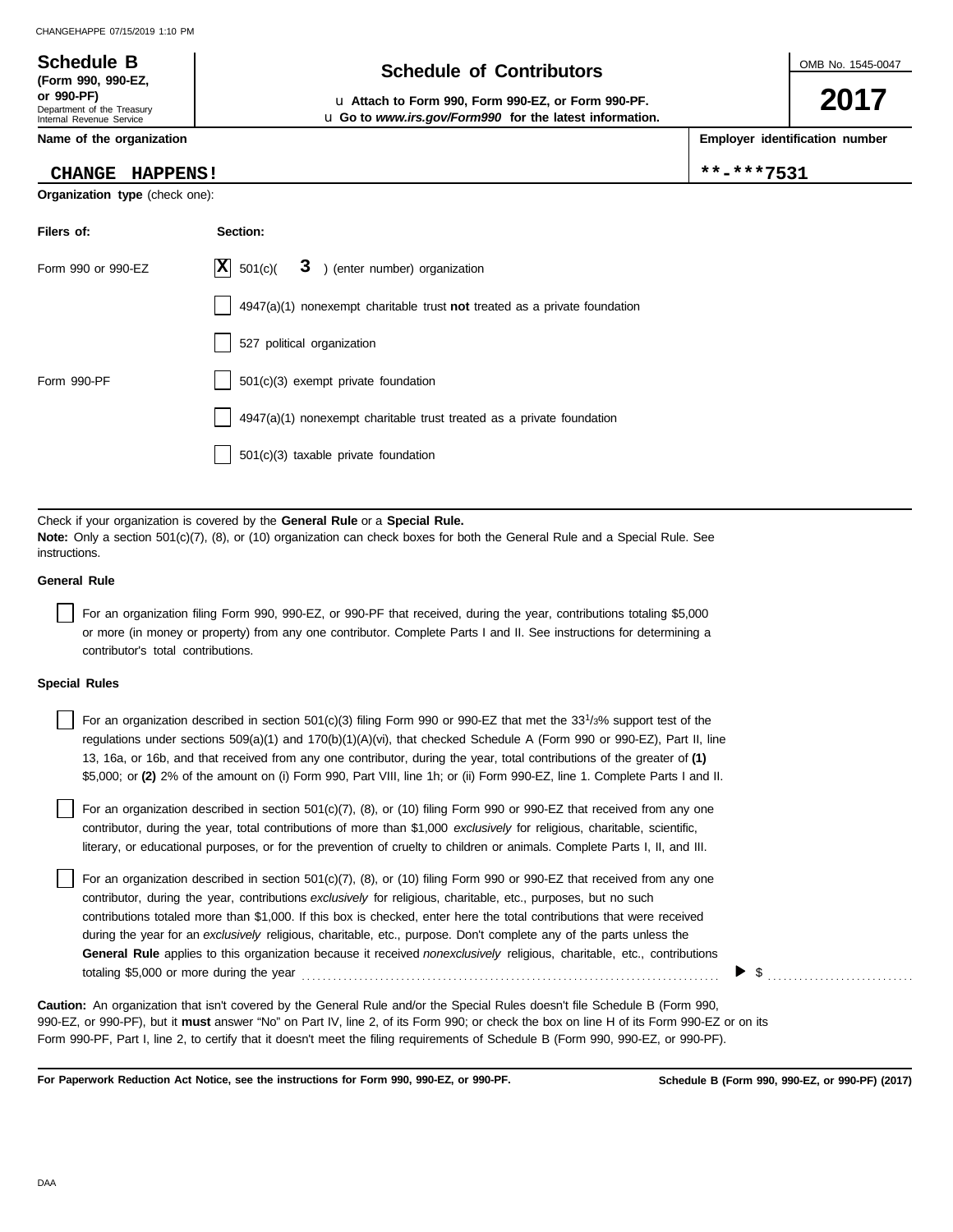### **Schedule of Contributors Schedule B**

**or 990-PF)** u **Attach to Form 990, Form 990-EZ, or Form 990-PF.** u **Go to** *www.irs.gov/Form990* **for the latest information.** OMB No. 1545-0047

**2017**

**Employer identification number**

|  | $* - * * * 7531$ |  |  |  |  |
|--|------------------|--|--|--|--|
|  |                  |  |  |  |  |

|  |  |  | Name of the organization |
|--|--|--|--------------------------|
|--|--|--|--------------------------|

Department of the Treasury Internal Revenue Service

**(Form 990, 990-EZ,**

#### **CHANGE HAPPENS!**  $*$

**Organization type** (check one):

| Filers of:         | Section:                                                                    |
|--------------------|-----------------------------------------------------------------------------|
| Form 990 or 990-EZ | $ \mathbf{X} $ 501(c)(<br>3 ) (enter number) organization                   |
|                    | $4947(a)(1)$ nonexempt charitable trust not treated as a private foundation |
|                    | 527 political organization                                                  |
| Form 990-PF        | 501(c)(3) exempt private foundation                                         |
|                    | 4947(a)(1) nonexempt charitable trust treated as a private foundation       |
|                    | 501(c)(3) taxable private foundation                                        |

Check if your organization is covered by the **General Rule** or a **Special Rule. Note:** Only a section 501(c)(7), (8), or (10) organization can check boxes for both the General Rule and a Special Rule. See instructions.

#### **General Rule**

For an organization filing Form 990, 990-EZ, or 990-PF that received, during the year, contributions totaling \$5,000 or more (in money or property) from any one contributor. Complete Parts I and II. See instructions for determining a contributor's total contributions.

#### **Special Rules**

| For an organization described in section 501(c)(3) filing Form 990 or 990-EZ that met the 33 <sup>1</sup> /3% support test of the<br>regulations under sections 509(a)(1) and 170(b)(1)(A)(vi), that checked Schedule A (Form 990 or 990-EZ), Part II, line<br>13, 16a, or 16b, and that received from any one contributor, during the year, total contributions of the greater of (1)<br>\$5,000; or (2) 2% of the amount on (i) Form 990, Part VIII, line 1h; or (ii) Form 990-EZ, line 1. Complete Parts I and II. |
|-----------------------------------------------------------------------------------------------------------------------------------------------------------------------------------------------------------------------------------------------------------------------------------------------------------------------------------------------------------------------------------------------------------------------------------------------------------------------------------------------------------------------|
| For an organization described in section 501(c)(7), (8), or (10) filing Form 990 or 990-EZ that received from any one<br>contributor, during the year, total contributions of more than \$1,000 exclusively for religious, charitable, scientific,<br>literary, or educational purposes, or for the prevention of cruelty to children or animals. Complete Parts I, II, and III.                                                                                                                                      |
|                                                                                                                                                                                                                                                                                                                                                                                                                                                                                                                       |

For an organization described in section  $501(c)(7)$ ,  $(8)$ , or  $(10)$  filing Form 990 or 990-EZ that received from any one contributor, during the year, contributions *exclusively* for religious, charitable, etc., purposes, but no such contributions totaled more than \$1,000. If this box is checked, enter here the total contributions that were received during the year for an *exclusively* religious, charitable, etc., purpose. Don't complete any of the parts unless the **General Rule** applies to this organization because it received *nonexclusively* religious, charitable, etc., contributions totaling \$5,000 or more during the year . . . . . . . . . . . . . . . . . . . . . . . . . . . . . . . . . . . . . . . . . . . . . . . . . . . . . . . . . . . . . . . . . . . . . . . . . . . . . . . .

990-EZ, or 990-PF), but it **must** answer "No" on Part IV, line 2, of its Form 990; or check the box on line H of its Form 990-EZ or on its Form 990-PF, Part I, line 2, to certify that it doesn't meet the filing requirements of Schedule B (Form 990, 990-EZ, or 990-PF). **Caution:** An organization that isn't covered by the General Rule and/or the Special Rules doesn't file Schedule B (Form 990,

**For Paperwork Reduction Act Notice, see the instructions for Form 990, 990-EZ, or 990-PF.**

\$ . . . . . . . . . . . . . . . . . . . . . . . . . . . .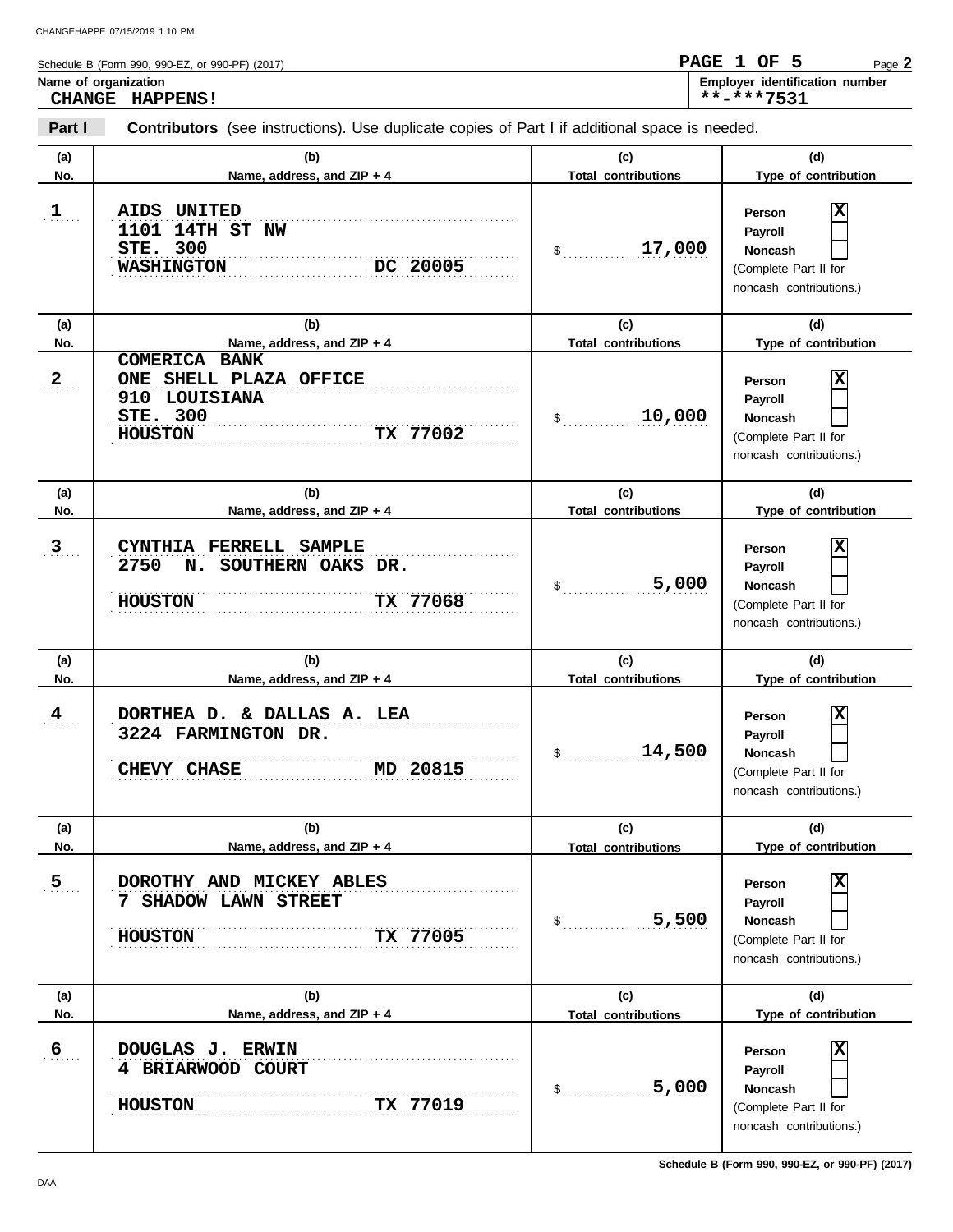Schedule B (Form 990, 990-EZ, or 990-PF) (2017) Name of organization **Name of organization Employer** identification number Page **2 CHANGE HAPPENS! PAGE 1 OF 5 \*\*-\*\*\*7531**

| Part I              | <b>Contributors</b> (see instructions). Use duplicate copies of Part I if additional space is needed.                                   |                                            |                                                                                                               |  |  |  |  |  |
|---------------------|-----------------------------------------------------------------------------------------------------------------------------------------|--------------------------------------------|---------------------------------------------------------------------------------------------------------------|--|--|--|--|--|
| (a)<br>No.          | (b)<br>Name, address, and ZIP + 4                                                                                                       | (c)<br><b>Total contributions</b>          | (d)<br>Type of contribution                                                                                   |  |  |  |  |  |
| 1                   | AIDS UNITED<br>1101 14TH ST NW<br><b>STE. 300</b><br>DC 20005<br><b>WASHINGTON</b>                                                      | 17,000<br>\$                               | X<br>Person<br>Payroll<br><b>Noncash</b><br>(Complete Part II for<br>noncash contributions.)                  |  |  |  |  |  |
| (a)                 | (b)                                                                                                                                     | (c)                                        | (d)                                                                                                           |  |  |  |  |  |
| No.<br>$\mathbf{2}$ | Name, address, and ZIP + 4<br><b>COMERICA BANK</b><br>ONE SHELL PLAZA OFFICE<br>910 LOUISIANA<br>STE. 300<br>TX 77002<br><b>HOUSTON</b> | <b>Total contributions</b><br>10,000<br>\$ | Type of contribution<br>Χ<br>Person<br>Payroll<br>Noncash<br>(Complete Part II for<br>noncash contributions.) |  |  |  |  |  |
| (a)<br>No.          | (b)<br>Name, address, and ZIP + 4                                                                                                       | (c)<br><b>Total contributions</b>          | (d)<br>Type of contribution                                                                                   |  |  |  |  |  |
| 3                   | FERRELL SAMPLE<br><b>CYNTHIA</b><br>2750<br>N. SOUTHERN OAKS DR.<br>TX 77068<br><b>HOUSTON</b>                                          | 5,000<br>\$                                | Χ<br>Person<br>Payroll<br><b>Noncash</b><br>(Complete Part II for<br>noncash contributions.)                  |  |  |  |  |  |
| (a)<br>No.          | (b)<br>Name, address, and ZIP + 4                                                                                                       | (c)<br><b>Total contributions</b>          | (d)<br>Type of contribution                                                                                   |  |  |  |  |  |
| $\frac{4}{3}$       | DORTHEA D. & DALLAS A. LEA<br>3224 FARMINGTON DR.<br>MD 20815<br>CHEVY CHASE                                                            | 14,500<br>\$                               | X<br>Person<br>Payroll<br><b>Noncash</b><br>(Complete Part II for<br>noncash contributions.)                  |  |  |  |  |  |
| (a)<br>No.          | (b)<br>Name, address, and ZIP + 4                                                                                                       | (c)<br><b>Total contributions</b>          | (d)<br>Type of contribution                                                                                   |  |  |  |  |  |
| 5 <sub>1</sub>      | DOROTHY AND MICKEY ABLES<br>7 SHADOW LAWN STREET<br>TX 77005<br><b>HOUSTON</b>                                                          | 5,500<br>\$                                | x<br>Person<br>Payroll<br>Noncash<br>(Complete Part II for<br>noncash contributions.)                         |  |  |  |  |  |
| (a)<br>No.          | (b)<br>Name, address, and ZIP + 4                                                                                                       | (c)<br><b>Total contributions</b>          | (d)<br>Type of contribution                                                                                   |  |  |  |  |  |
| $6 \overline{6}$    | DOUGLAS J. ERWIN<br>4 BRIARWOOD COURT<br>TX 77019<br><b>HOUSTON</b>                                                                     | 5,000<br>\$                                | x<br>Person<br>Payroll<br>Noncash<br>(Complete Part II for<br>noncash contributions.)                         |  |  |  |  |  |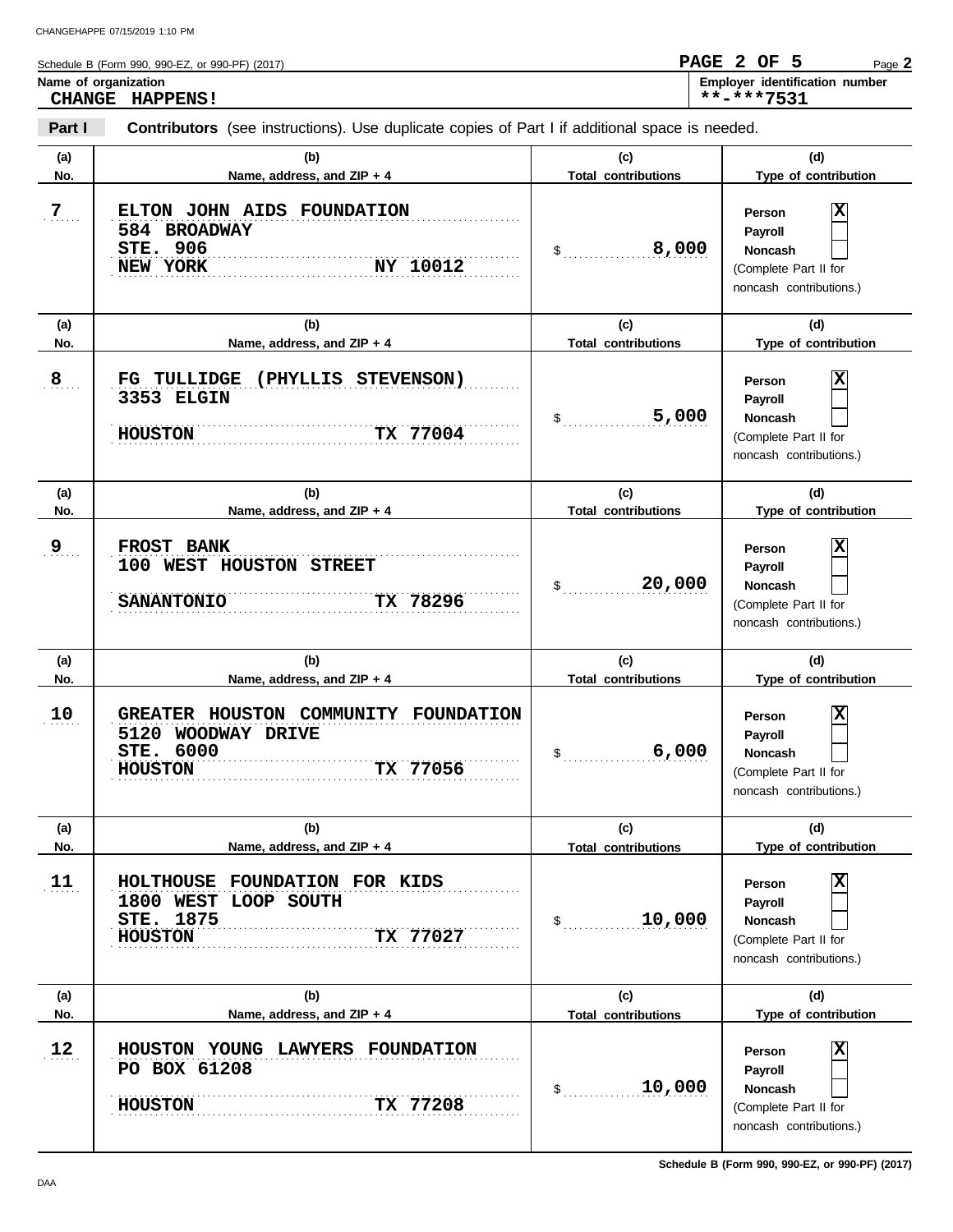**Part I** Schedule B (Form 990, 990-EZ, or 990-PF) (2017) **Contributors** (see instructions). Use duplicate copies of Part I if additional space is needed. **Name of organization Employer identification number** Page **2 CHANGE HAPPENS! PAGE 2 OF 5 \*\*-\*\*\*7531**

| (a)            | (b)                                                                                                   | (c)                               | (d)                                                                                          |
|----------------|-------------------------------------------------------------------------------------------------------|-----------------------------------|----------------------------------------------------------------------------------------------|
| No.            | Name, address, and ZIP + 4                                                                            | <b>Total contributions</b>        | Type of contribution                                                                         |
| 7 <sub>1</sub> | ELTON JOHN AIDS FOUNDATION<br>584 BROADWAY<br>STE. 906<br>NY 10012<br>NEW YORK                        | 8,000<br>\$                       | X<br>Person<br>Payroll<br>Noncash<br>(Complete Part II for<br>noncash contributions.)        |
| (a)<br>No.     | (b)<br>Name, address, and ZIP + 4                                                                     | (c)<br><b>Total contributions</b> | (d)<br>Type of contribution                                                                  |
| $\mathbf{8}$   | (PHYLLIS STEVENSON)<br>FG<br><b>TULLIDGE</b><br>3353 ELGIN<br>TX 77004<br><b>HOUSTON</b>              | 5,000<br>$\sim$                   | X<br>Person<br>Payroll<br><b>Noncash</b><br>(Complete Part II for<br>noncash contributions.) |
| (a)<br>No.     | (b)<br>Name, address, and ZIP + 4                                                                     | (c)<br><b>Total contributions</b> | (d)<br>Type of contribution                                                                  |
| 9 <sub>1</sub> | FROST BANK<br>100 WEST HOUSTON STREET<br>TX 78296<br><b>SANANTONIO</b>                                | 20,000<br>\$                      | X<br>Person<br>Payroll<br>Noncash<br>(Complete Part II for<br>noncash contributions.)        |
|                |                                                                                                       |                                   |                                                                                              |
| (a)<br>No.     | (b)<br>Name, address, and ZIP + 4                                                                     | (c)<br><b>Total contributions</b> | (d)<br>Type of contribution                                                                  |
| 10             | GREATER HOUSTON COMMUNITY FOUNDATION<br>5120 WOODWAY DRIVE<br>STE. 6000<br>TX 77056<br><b>HOUSTON</b> | 6,000<br>\$                       | x<br>Person<br>Payroll<br>Noncash<br>(Complete Part II for<br>noncash contributions.)        |
| (a)<br>No.     | (b)<br>Name. address. and ZIP + 4                                                                     | (c)<br><b>Total contributions</b> | (d)<br>Type of contribution                                                                  |
| 11             | HOLTHOUSE FOUNDATION FOR KIDS<br>1800 WEST LOOP SOUTH<br>STE. 1875<br><b>HOUSTON</b><br>TX 77027      | 10,000<br>\$                      | х<br>Person<br>Payroll<br>Noncash<br>(Complete Part II for<br>noncash contributions.)        |
| (a)            | (b)                                                                                                   | (c)                               | (d)                                                                                          |
| No.            | Name, address, and ZIP + 4                                                                            | <b>Total contributions</b>        | Type of contribution                                                                         |

**Schedule B (Form 990, 990-EZ, or 990-PF) (2017)**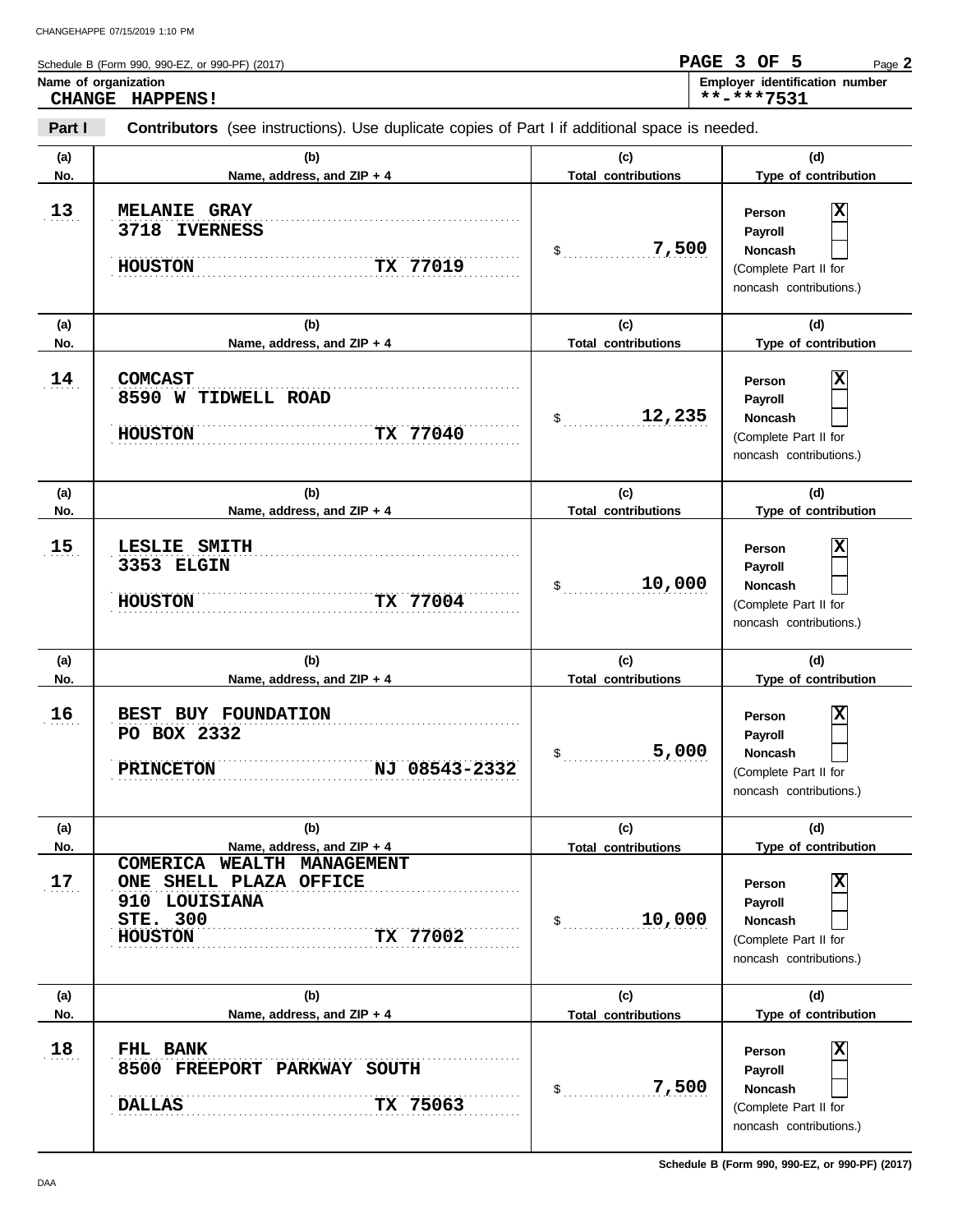**Part I** Schedule B (Form 990, 990-EZ, or 990-PF) (2017) **Contributors** (see instructions). Use duplicate copies of Part I if additional space is needed. **(a) (b) (c) (d) No. Name, address, and ZIP + 4 Total contributions Type of contribution** Name of organization **Name of organization Employer** identification number Page **2 CHANGE HAPPENS! PAGE 3 OF 5 \*\*-\*\*\*7531**

| NO.        | Name, address, and ZIP + 4                                                                                         | <b>TOTAL CONTRIBUTIONS</b>        | Type or contribution                                                                                        |
|------------|--------------------------------------------------------------------------------------------------------------------|-----------------------------------|-------------------------------------------------------------------------------------------------------------|
| 13         | <b>MELANIE GRAY</b><br>3718 IVERNESS<br>TX 77019<br><b>HOUSTON</b>                                                 | 7,500<br>\$                       | x<br>Person<br>Payroll<br><b>Noncash</b><br>(Complete Part II for<br>noncash contributions.)                |
| (a)<br>No. | (b)<br>Name, address, and ZIP + 4                                                                                  | (c)<br><b>Total contributions</b> | (d)<br>Type of contribution                                                                                 |
| 14         | <b>COMCAST</b><br>8590 W TIDWELL ROAD<br>TX 77040<br><b>HOUSTON</b>                                                | 12,235<br>\$                      | x<br>Person<br>Payroll<br><b>Noncash</b><br>(Complete Part II for<br>noncash contributions.)                |
| (a)        | (b)                                                                                                                | (c)                               | (d)                                                                                                         |
| No.        | Name, address, and ZIP + 4                                                                                         | <b>Total contributions</b>        | Type of contribution                                                                                        |
| 15         | LESLIE SMITH<br>3353 ELGIN<br>TX 77004<br><b>HOUSTON</b>                                                           | 10,000<br>\$                      | x<br>Person<br>Payroll<br>Noncash<br>(Complete Part II for<br>noncash contributions.)                       |
| (a)        | (b)                                                                                                                | (c)                               | (d)                                                                                                         |
| No.        | Name, address, and ZIP + 4                                                                                         | <b>Total contributions</b>        | Type of contribution                                                                                        |
| 16         | BEST BUY FOUNDATION<br>PO BOX 2332<br>NJ 08543-2332<br><b>PRINCETON</b>                                            | 5,000<br>\$                       | X<br>Person<br>Payroll<br><b>Noncash</b><br>(Complete Part II for<br>noncash contributions.)                |
| (a)        | (b)                                                                                                                | (c)                               | (d)                                                                                                         |
| No.        | Name, address, and ZIP + 4                                                                                         | <b>Total contributions</b>        | Type of contribution                                                                                        |
| 17         | COMERICA WEALTH MANAGEMENT<br>SHELL PLAZA OFFICE<br>ONE<br>910 LOUISIANA<br>STE. 300<br>TX 77002<br><b>HOUSTON</b> | 10,000<br>\$                      | X<br>Person<br>Payroll<br>Noncash<br>(Complete Part II for<br>noncash contributions.)                       |
| (a)        | (b)                                                                                                                | (c)                               | (d)                                                                                                         |
| No.        | Name, address, and ZIP + 4                                                                                         | <b>Total contributions</b>        | Type of contribution                                                                                        |
| 18         | FHL BANK<br>8500 FREEPORT PARKWAY SOUTH<br>TX 75063<br><b>DALLAS</b>                                               | 7,500<br>\$                       | $\overline{\mathbf{x}}$<br>Person<br>Payroll<br>Noncash<br>(Complete Part II for<br>noncash contributions.) |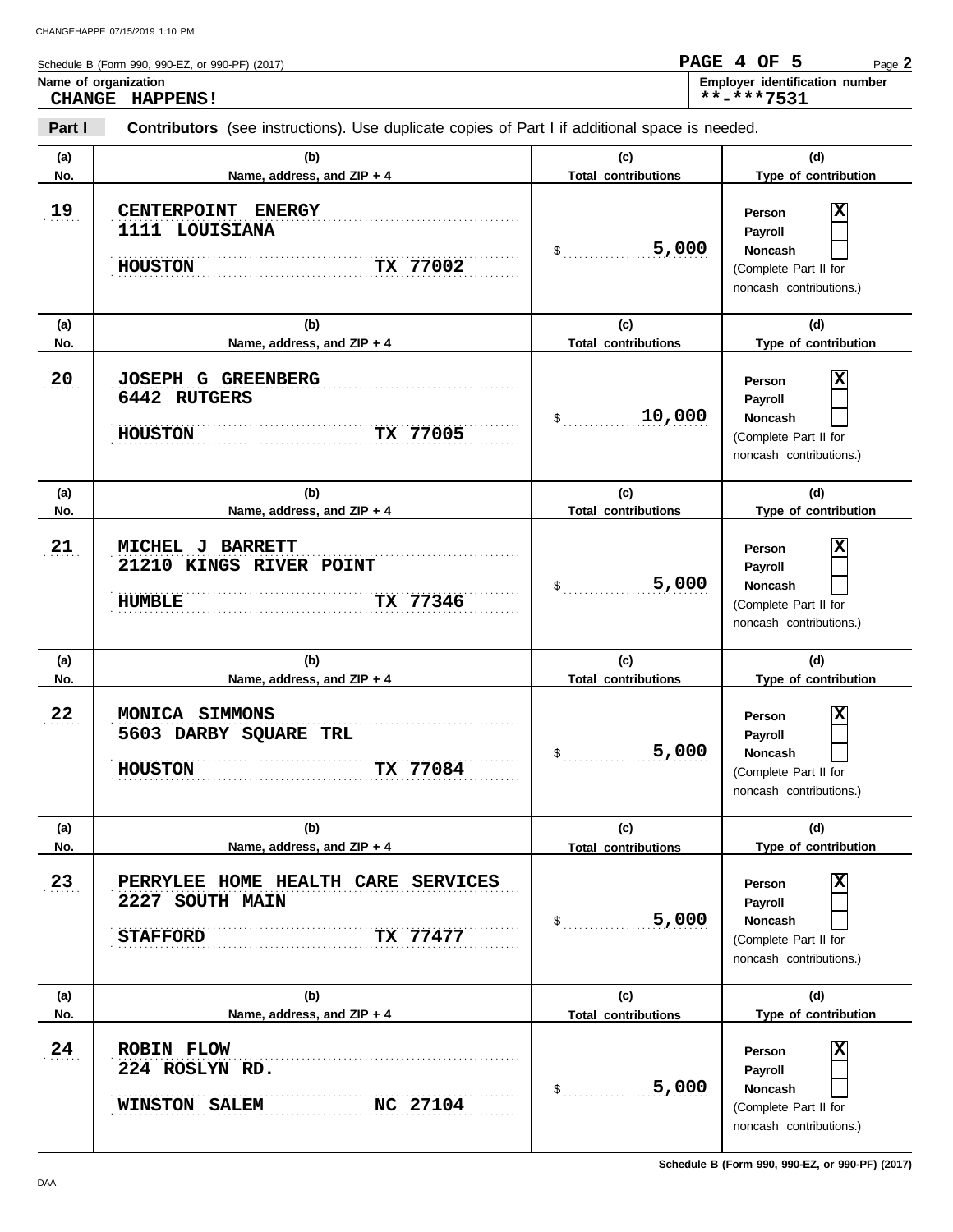**Part I Type of contribution Person Payroll Noncash** Schedule B (Form 990, 990-EZ, or 990-PF) (2017) \$ . . . . . . . . . . . . . . . . . . . . . . . . . . . . **5,000** (Complete Part II for noncash contributions.) \$ . . . . . . . . . . . . . . . . . . . . . . . . . . . . **10,000** (Complete Part II for noncash contributions.) \$ . . . . . . . . . . . . . . . . . . . . . . . . . . . . (Complete Part II for **Contributors** (see instructions). Use duplicate copies of Part I if additional space is needed. **(a) (b) (c) (d) No. Name, address, and ZIP + 4 Total contributions Type of contribution Person Payroll Noncash (a) (b) (c) (d) No. Name, address, and ZIP + 4 Type of contribution Person Payroll Noncash (a) (b) (c) (d) No. Name, address, and ZIP + 4 Name of organization Employer identification number Employer identification number** 19  $20$  $21$ . . . . . . . . . . . . . . . . . . . . . . . . . . . . . . . . . . . . . . . . . . . . . . . . . . . . . . . . . . . . . . . . . . . . . . . . . . . . . . **21 MICHEL J BARRETT** . . . . . . . . . . . . . . . . . . . . . . . . . . . . . . . . . . . . . . . . . . . . . . . . . . . . . . . . . . . . . . . . . . . . . . . . . . . . . . . . . . . . . . . . . . . . . . . . . . . . . . . . . . . . . . . . . . . . . . . . . . . . . . . . . . . . . . . . . . . . . . . . . . . . . . . . . . . . . . . . . . . . . . . . . . . . . . . . . . . . . . . . . . . . . . . . . . . . . . . . . . . . . . . . . . . . . . . . . . . . . . . . . . . . . . . . . . **HOUSTON TX 77005** . . . . . . . . . . . . . . . . . . . . . . . . . . . . . . . . . . . . . . . . . . . . . . . . . . . . . . . . . . . . . . . . . . . . . . . . . . . . . . . . . . . . . . . . . . . . . . . . . . . . . . . . . . . . . . . . . . . . . . . . . . . . . . . . . . . . . . . . . . . . . . . . . . . . . . . . . . . . **20 JOSEPH G GREENBERG** . . . . . . . . . . . . . . . . . . . . . . . . . . . . . . . . . . . . . . . . . . . . . . . . . . . . . . . . . . . . . . . . . . . . . . . . . . . . . . **19 CENTERPOINT ENERGY** . . . . . . . . . . . . . . . . . . . . . . . . . . . . . . . . . . . . . . . . . . . . . . . . . . . . . . . . . . . . . . . . . . . . . . . . . . . . . . . . . . . . . . . . . . . . . . . . . . . . . . . . . . . . . . . . . . . . . . . . . . . . . . . . . . . . . . . . . . . . . . . . . . . . . . . . . . . . **Total contributions Total contributions** Page **2 CHANGE HAPPENS! PAGE 4 OF 5 \*\*-\*\*\*7531 1111 LOUISIANA HOUSTON TX 77002 X 6442 RUTGERS X 21210 KINGS RIVER POINT HUMBLE TX 77346 5,000 X** CHANGEHAPPE 07/15/2019 1:10 PM

|     | TX 77346<br><b>HUMBLE</b>                                                            | 5,000<br>\$                | <b>Noncash</b><br>(Complete Part II for<br>noncash contributions.)                                  |
|-----|--------------------------------------------------------------------------------------|----------------------------|-----------------------------------------------------------------------------------------------------|
| (a) | (b)                                                                                  | (c)                        | (d)                                                                                                 |
| No. | Name, address, and ZIP + 4                                                           | <b>Total contributions</b> | Type of contribution                                                                                |
| 22  | MONICA SIMMONS<br>5603 DARBY SQUARE TRL<br>TX 77084<br><b>HOUSTON</b>                | 5,000<br>\$                | X<br>Person<br>Payroll<br><b>Noncash</b><br>(Complete Part II for<br>noncash contributions.)        |
| (a) | (b)                                                                                  | (c)                        | (d)                                                                                                 |
| No. | Name, address, and ZIP + 4                                                           | <b>Total contributions</b> | Type of contribution                                                                                |
| 23  | PERRYLEE HOME HEALTH CARE SERVICES<br>2227 SOUTH MAIN<br><b>STAFFORD</b><br>TX 77477 | 5,000<br>\$                | х<br>Person<br>Payroll<br><b>Noncash</b><br>(Complete Part II for<br>noncash contributions.)        |
| (a) | (b)                                                                                  | (c)                        | (d)                                                                                                 |
| No. | Name, address, and ZIP + 4                                                           | <b>Total contributions</b> | Type of contribution                                                                                |
| 24  | <b>ROBIN FLOW</b><br>224 ROSLYN RD.<br>NC 27104<br><b>WINSTON SALEM</b>              | 5,000<br>\$                | X<br>Person<br><b>Payroll</b><br><b>Noncash</b><br>(Complete Part II for<br>noncash contributions.) |

**Schedule B (Form 990, 990-EZ, or 990-PF) (2017)**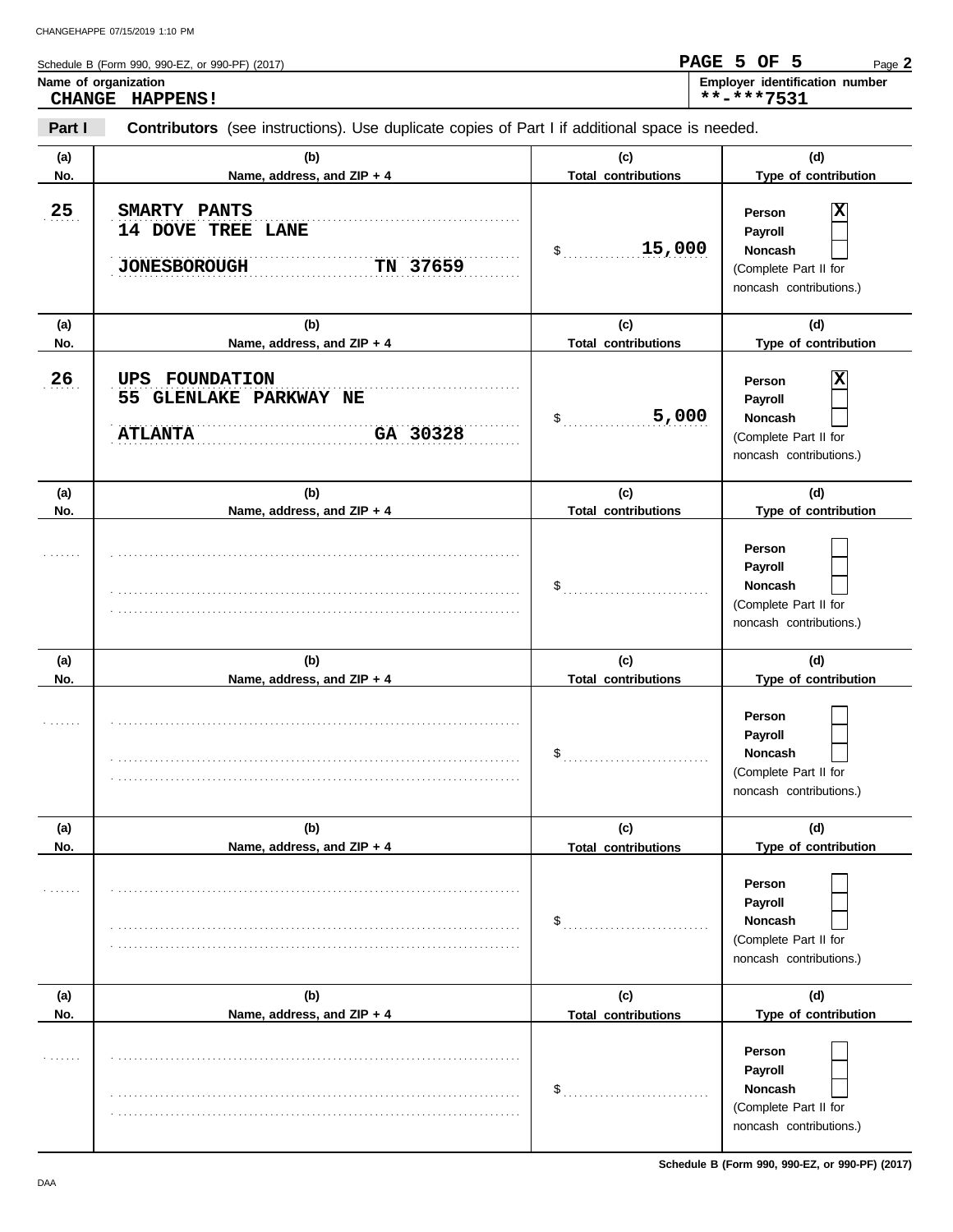|            | Schedule B (Form 990, 990-EZ, or 990-PF) (2017)<br>Name of organization<br>CHANGE HAPPENS!            |                                   | PAGE 5 OF 5<br>Page 2<br>Employer identification number<br>**-***7531                                       |
|------------|-------------------------------------------------------------------------------------------------------|-----------------------------------|-------------------------------------------------------------------------------------------------------------|
| Part I     | <b>Contributors</b> (see instructions). Use duplicate copies of Part I if additional space is needed. |                                   |                                                                                                             |
| (a)<br>No. | (b)<br>Name, address, and ZIP + 4                                                                     | (c)<br><b>Total contributions</b> | (d)<br>Type of contribution                                                                                 |
| 25         | SMARTY PANTS<br>14 DOVE TREE LANE<br>TN 37659<br><b>JONESBOROUGH</b>                                  | 15,000<br>$\sim$                  | $\overline{\mathbf{x}}$<br>Person<br>Payroll<br>Noncash<br>(Complete Part II for<br>noncash contributions.) |
| (a)<br>No. | (b)<br>Name, address, and ZIP + 4                                                                     | (c)<br><b>Total contributions</b> | (d)<br>Type of contribution                                                                                 |
| 26         | UPS<br><b>FOUNDATION</b><br>55 GLENLAKE PARKWAY NE<br>GA 30328<br><b>ATLANTA</b>                      | 5,000<br>$\mathsf S$              | x<br>Person<br>Payroll<br><b>Noncash</b><br>(Complete Part II for<br>noncash contributions.)                |
| (a)<br>No. | (b)<br>Name, address, and ZIP + 4                                                                     | (c)<br><b>Total contributions</b> | (d)<br>Type of contribution                                                                                 |
|            |                                                                                                       |                                   | Person<br>Payroll<br><b>Noncash</b><br>(Complete Part II for<br>noncash contributions.)                     |
| (a)<br>No. | (b)<br>Name, address, and ZIP + 4                                                                     | (c)<br><b>Total contributions</b> | (d)<br>Type of contribution                                                                                 |
|            |                                                                                                       | \$                                | Person<br>Payroll<br><b>Noncash</b>                                                                         |

|     |                            | J                          | noncasn<br>(Complete Part II for<br>noncash contributions.)                             |
|-----|----------------------------|----------------------------|-----------------------------------------------------------------------------------------|
| (a) | (b)                        | (c)                        | (d)                                                                                     |
| No. | Name, address, and ZIP + 4 | <b>Total contributions</b> | Type of contribution                                                                    |
| .   |                            |                            | Person<br>Payroll<br><b>Noncash</b><br>(Complete Part II for<br>noncash contributions.) |
| (a) | (b)                        | (c)                        | (d)                                                                                     |
| No. | Name, address, and ZIP + 4 | <b>Total contributions</b> | Type of contribution                                                                    |
| .   |                            | \$                         | Person<br>Payroll<br>Noncash<br>(Complete Part II for<br>noncash contributions.)        |

**Schedule B (Form 990, 990-EZ, or 990-PF) (2017)**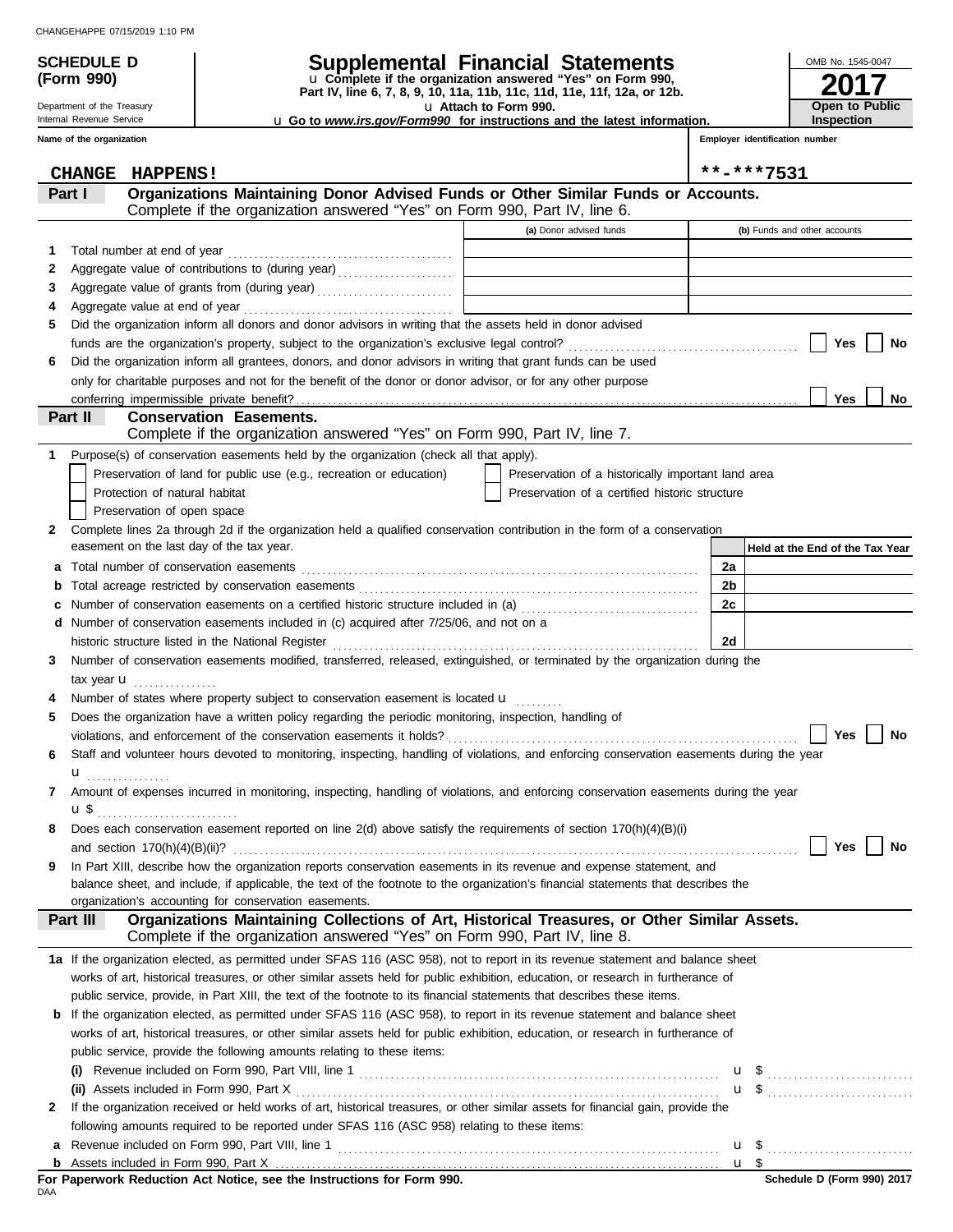**(Form 990)**

Department of the Treasury Internal Revenue Service **Name of the organization**

### **SCHEDULE D Supplemental Financial Statements**

**Part IV, line 6, 7, 8, 9, 10, 11a, 11b, 11c, 11d, 11e, 11f, 12a, or 12b.** u **Complete if the organization answered "Yes" on Form 990,**

u **Attach to Form 990.**  u **Go to** *www.irs.gov/Form990* **for instructions and the latest information.**

**Employer identification number Inspection**

**2017**

OMB No. 1545-0047

**Open to Public**

| <b>CHANGE</b><br><b>HAPPENS!</b>                                                                                                                                                                                                                                    |                                                    | **-***7531                      |
|---------------------------------------------------------------------------------------------------------------------------------------------------------------------------------------------------------------------------------------------------------------------|----------------------------------------------------|---------------------------------|
| Organizations Maintaining Donor Advised Funds or Other Similar Funds or Accounts.<br>Part I                                                                                                                                                                         |                                                    |                                 |
| Complete if the organization answered "Yes" on Form 990, Part IV, line 6.                                                                                                                                                                                           |                                                    |                                 |
|                                                                                                                                                                                                                                                                     | (a) Donor advised funds                            | (b) Funds and other accounts    |
| Total number at end of year<br>1.                                                                                                                                                                                                                                   |                                                    |                                 |
| Aggregate value of contributions to (during year)<br>2                                                                                                                                                                                                              | the control of the control of the control of       |                                 |
| Aggregate value of grants from (during year)<br>3                                                                                                                                                                                                                   |                                                    |                                 |
| 4                                                                                                                                                                                                                                                                   |                                                    |                                 |
| Did the organization inform all donors and donor advisors in writing that the assets held in donor advised<br>5                                                                                                                                                     |                                                    |                                 |
|                                                                                                                                                                                                                                                                     |                                                    | Yes<br>No                       |
| Did the organization inform all grantees, donors, and donor advisors in writing that grant funds can be used<br>6                                                                                                                                                   |                                                    |                                 |
| only for charitable purposes and not for the benefit of the donor or donor advisor, or for any other purpose                                                                                                                                                        |                                                    |                                 |
|                                                                                                                                                                                                                                                                     |                                                    | Yes<br>No                       |
| Part II<br><b>Conservation Easements.</b>                                                                                                                                                                                                                           |                                                    |                                 |
| Complete if the organization answered "Yes" on Form 990, Part IV, line 7.                                                                                                                                                                                           |                                                    |                                 |
| Purpose(s) of conservation easements held by the organization (check all that apply).<br>1.                                                                                                                                                                         |                                                    |                                 |
| Preservation of land for public use (e.g., recreation or education)                                                                                                                                                                                                 | Preservation of a historically important land area |                                 |
| Protection of natural habitat                                                                                                                                                                                                                                       | Preservation of a certified historic structure     |                                 |
| Preservation of open space                                                                                                                                                                                                                                          |                                                    |                                 |
| Complete lines 2a through 2d if the organization held a qualified conservation contribution in the form of a conservation<br>2                                                                                                                                      |                                                    |                                 |
| easement on the last day of the tax year.                                                                                                                                                                                                                           |                                                    | Held at the End of the Tax Year |
| а                                                                                                                                                                                                                                                                   |                                                    | 2a                              |
| b                                                                                                                                                                                                                                                                   |                                                    | 2b                              |
| c                                                                                                                                                                                                                                                                   |                                                    | 2c                              |
| Number of conservation easements included in (c) acquired after 7/25/06, and not on a<br>d                                                                                                                                                                          |                                                    |                                 |
|                                                                                                                                                                                                                                                                     |                                                    | 2d                              |
| Number of conservation easements modified, transferred, released, extinguished, or terminated by the organization during the<br>3                                                                                                                                   |                                                    |                                 |
| tax year $\mathbf u$                                                                                                                                                                                                                                                |                                                    |                                 |
| Number of states where property subject to conservation easement is located <b>u</b><br>4                                                                                                                                                                           |                                                    |                                 |
| Does the organization have a written policy regarding the periodic monitoring, inspection, handling of<br>5                                                                                                                                                         |                                                    |                                 |
|                                                                                                                                                                                                                                                                     |                                                    | Yes<br>No                       |
| Staff and volunteer hours devoted to monitoring, inspecting, handling of violations, and enforcing conservation easements during the year<br>6                                                                                                                      |                                                    |                                 |
| u <sub></sub>                                                                                                                                                                                                                                                       |                                                    |                                 |
| Amount of expenses incurred in monitoring, inspecting, handling of violations, and enforcing conservation easements during the year<br>7                                                                                                                            |                                                    |                                 |
| <b>u</b> \$                                                                                                                                                                                                                                                         |                                                    |                                 |
| Does each conservation easement reported on line $2(d)$ above satisfy the requirements of section $170(h)(4)(B)(i)$<br>8                                                                                                                                            |                                                    |                                 |
|                                                                                                                                                                                                                                                                     |                                                    | Yes  <br><b>No</b>              |
| In Part XIII, describe how the organization reports conservation easements in its revenue and expense statement, and<br>9                                                                                                                                           |                                                    |                                 |
| balance sheet, and include, if applicable, the text of the footnote to the organization's financial statements that describes the                                                                                                                                   |                                                    |                                 |
| organization's accounting for conservation easements.                                                                                                                                                                                                               |                                                    |                                 |
| Organizations Maintaining Collections of Art, Historical Treasures, or Other Similar Assets.<br>Part III<br>Complete if the organization answered "Yes" on Form 990, Part IV, line 8.                                                                               |                                                    |                                 |
|                                                                                                                                                                                                                                                                     |                                                    |                                 |
| 1a If the organization elected, as permitted under SFAS 116 (ASC 958), not to report in its revenue statement and balance sheet<br>works of art, historical treasures, or other similar assets held for public exhibition, education, or research in furtherance of |                                                    |                                 |
| public service, provide, in Part XIII, the text of the footnote to its financial statements that describes these items.                                                                                                                                             |                                                    |                                 |
| If the organization elected, as permitted under SFAS 116 (ASC 958), to report in its revenue statement and balance sheet<br>b                                                                                                                                       |                                                    |                                 |
| works of art, historical treasures, or other similar assets held for public exhibition, education, or research in furtherance of                                                                                                                                    |                                                    |                                 |
| public service, provide the following amounts relating to these items:                                                                                                                                                                                              |                                                    |                                 |
|                                                                                                                                                                                                                                                                     |                                                    |                                 |
|                                                                                                                                                                                                                                                                     |                                                    |                                 |
| If the organization received or held works of art, historical treasures, or other similar assets for financial gain, provide the<br>2                                                                                                                               |                                                    |                                 |
| following amounts required to be reported under SFAS 116 (ASC 958) relating to these items:                                                                                                                                                                         |                                                    |                                 |
| a                                                                                                                                                                                                                                                                   |                                                    | u <sub>s</sub>                  |
| b                                                                                                                                                                                                                                                                   |                                                    | $u$ \$                          |
| For Paperwork Reduction Act Notice, see the Instructions for Form 990.                                                                                                                                                                                              |                                                    | Schedule D (Form 990) 2017      |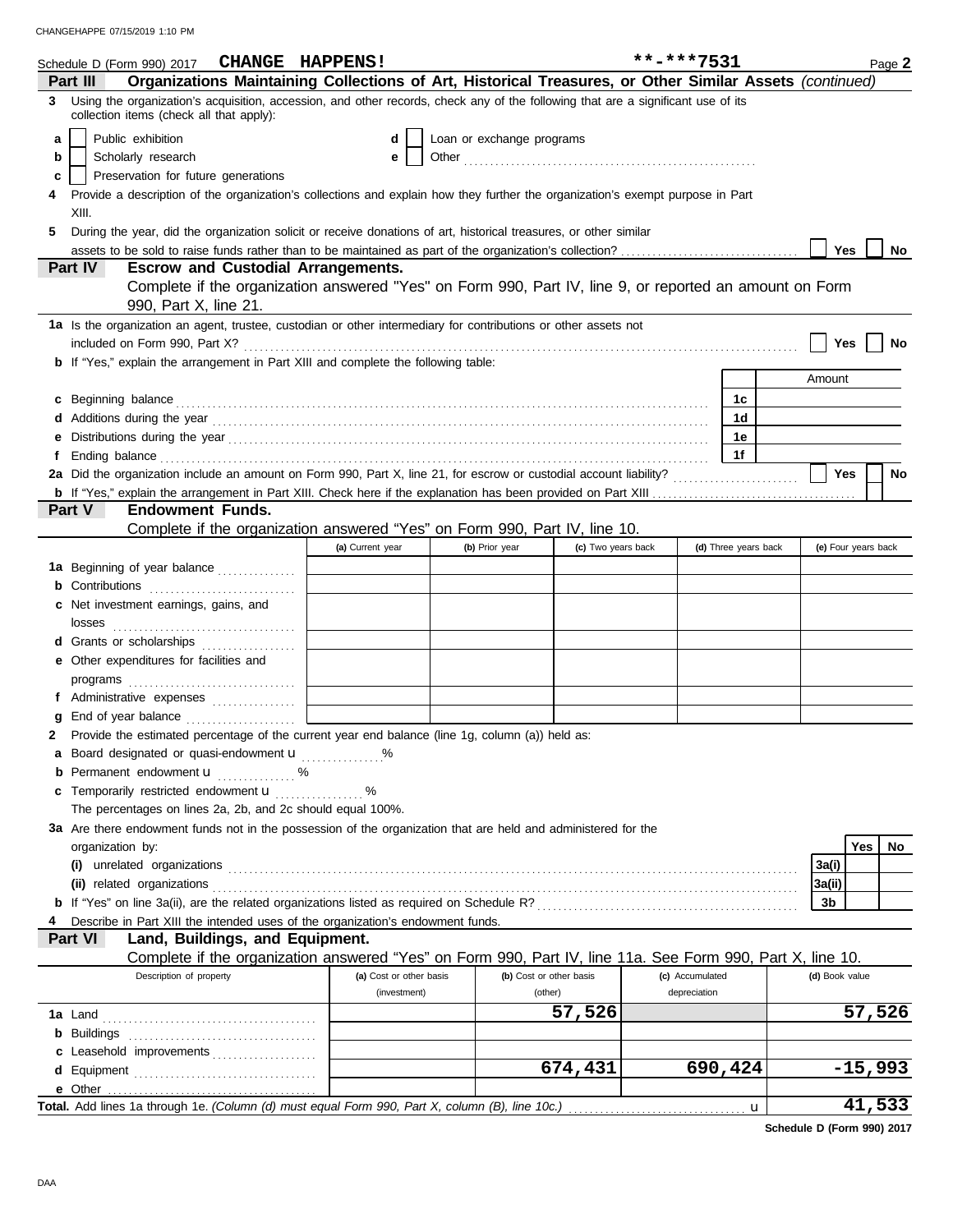|   | Schedule D (Form 990) 2017 CHANGE HAPPENS!                                                                                                                                                                                           |                         |                           |                         | **-***7531      |                      | Page 2              |
|---|--------------------------------------------------------------------------------------------------------------------------------------------------------------------------------------------------------------------------------------|-------------------------|---------------------------|-------------------------|-----------------|----------------------|---------------------|
|   | Organizations Maintaining Collections of Art, Historical Treasures, or Other Similar Assets (continued)<br><b>Part III</b>                                                                                                           |                         |                           |                         |                 |                      |                     |
| 3 | Using the organization's acquisition, accession, and other records, check any of the following that are a significant use of its<br>collection items (check all that apply):                                                         |                         |                           |                         |                 |                      |                     |
| a | Public exhibition                                                                                                                                                                                                                    | d                       | Loan or exchange programs |                         |                 |                      |                     |
| b | Scholarly research                                                                                                                                                                                                                   |                         |                           |                         |                 |                      |                     |
| c | Preservation for future generations                                                                                                                                                                                                  |                         |                           |                         |                 |                      |                     |
| 4 | Provide a description of the organization's collections and explain how they further the organization's exempt purpose in Part                                                                                                       |                         |                           |                         |                 |                      |                     |
|   | XIII.                                                                                                                                                                                                                                |                         |                           |                         |                 |                      |                     |
| 5 | During the year, did the organization solicit or receive donations of art, historical treasures, or other similar                                                                                                                    |                         |                           |                         |                 |                      |                     |
|   |                                                                                                                                                                                                                                      |                         |                           |                         |                 |                      | Yes<br>No           |
|   | Part IV<br><b>Escrow and Custodial Arrangements.</b>                                                                                                                                                                                 |                         |                           |                         |                 |                      |                     |
|   | Complete if the organization answered "Yes" on Form 990, Part IV, line 9, or reported an amount on Form                                                                                                                              |                         |                           |                         |                 |                      |                     |
|   | 990, Part X, line 21.                                                                                                                                                                                                                |                         |                           |                         |                 |                      |                     |
|   | 1a Is the organization an agent, trustee, custodian or other intermediary for contributions or other assets not                                                                                                                      |                         |                           |                         |                 |                      |                     |
|   |                                                                                                                                                                                                                                      |                         |                           |                         |                 |                      | Yes<br>No           |
|   | <b>b</b> If "Yes," explain the arrangement in Part XIII and complete the following table:                                                                                                                                            |                         |                           |                         |                 |                      |                     |
|   |                                                                                                                                                                                                                                      |                         |                           |                         |                 |                      | Amount              |
|   | c Beginning balance <b>contract to the contract of the set of the contract of the contract of the contract of the contract of the contract of the contract of the contract of the contract of the contract of the contract of th</b> |                         |                           |                         |                 | 1c                   |                     |
|   |                                                                                                                                                                                                                                      |                         |                           |                         |                 | 1d                   |                     |
|   |                                                                                                                                                                                                                                      |                         |                           |                         |                 | 1e                   |                     |
|   | Ending balance <b>constructs</b> and constructs and constructs and constructs are the constructed and constructs are the construction of the construction of the construction of the construction of the construction of the constr  |                         |                           |                         |                 | 1f                   |                     |
|   |                                                                                                                                                                                                                                      |                         |                           |                         |                 |                      | Yes<br>No           |
|   |                                                                                                                                                                                                                                      |                         |                           |                         |                 |                      |                     |
|   | Part V<br><b>Endowment Funds.</b>                                                                                                                                                                                                    |                         |                           |                         |                 |                      |                     |
|   | Complete if the organization answered "Yes" on Form 990, Part IV, line 10.                                                                                                                                                           |                         |                           |                         |                 |                      |                     |
|   |                                                                                                                                                                                                                                      | (a) Current year        | (b) Prior year            | (c) Two years back      |                 | (d) Three years back | (e) Four years back |
|   | 1a Beginning of year balance                                                                                                                                                                                                         |                         |                           |                         |                 |                      |                     |
|   | <b>b</b> Contributions <b>contributions</b>                                                                                                                                                                                          |                         |                           |                         |                 |                      |                     |
|   | c Net investment earnings, gains, and                                                                                                                                                                                                |                         |                           |                         |                 |                      |                     |
|   |                                                                                                                                                                                                                                      |                         |                           |                         |                 |                      |                     |
|   | d Grants or scholarships                                                                                                                                                                                                             |                         |                           |                         |                 |                      |                     |
|   | e Other expenditures for facilities and                                                                                                                                                                                              |                         |                           |                         |                 |                      |                     |
|   |                                                                                                                                                                                                                                      |                         |                           |                         |                 |                      |                     |
|   | f Administrative expenses                                                                                                                                                                                                            |                         |                           |                         |                 |                      |                     |
|   |                                                                                                                                                                                                                                      |                         |                           |                         |                 |                      |                     |
|   | Provide the estimated percentage of the current year end balance (line 1g, column (a)) held as:                                                                                                                                      |                         |                           |                         |                 |                      |                     |
|   | a Board designated or quasi-endowment <b>u</b>                                                                                                                                                                                       |                         |                           |                         |                 |                      |                     |
|   | <b>b</b> Permanent endowment $\mathbf{u}$ %                                                                                                                                                                                          |                         |                           |                         |                 |                      |                     |
|   | c Temporarily restricted endowment <b>u</b> %                                                                                                                                                                                        |                         |                           |                         |                 |                      |                     |
|   | The percentages on lines 2a, 2b, and 2c should equal 100%.                                                                                                                                                                           |                         |                           |                         |                 |                      |                     |
|   | 3a Are there endowment funds not in the possession of the organization that are held and administered for the                                                                                                                        |                         |                           |                         |                 |                      |                     |
|   | organization by:                                                                                                                                                                                                                     |                         |                           |                         |                 |                      | Yes<br>No           |
|   |                                                                                                                                                                                                                                      |                         |                           |                         |                 |                      | 3a(i)               |
|   |                                                                                                                                                                                                                                      |                         |                           |                         |                 |                      | 3a(ii)              |
|   |                                                                                                                                                                                                                                      |                         |                           |                         |                 |                      | 3b                  |
|   | Describe in Part XIII the intended uses of the organization's endowment funds.                                                                                                                                                       |                         |                           |                         |                 |                      |                     |
|   | Land, Buildings, and Equipment.<br><b>Part VI</b>                                                                                                                                                                                    |                         |                           |                         |                 |                      |                     |
|   | Complete if the organization answered "Yes" on Form 990, Part IV, line 11a. See Form 990, Part X, line 10.<br>Description of property                                                                                                | (a) Cost or other basis |                           | (b) Cost or other basis | (c) Accumulated |                      | (d) Book value      |
|   |                                                                                                                                                                                                                                      | (investment)            |                           | (other)                 | depreciation    |                      |                     |
|   |                                                                                                                                                                                                                                      |                         |                           | 57,526                  |                 |                      | 57,526              |
|   |                                                                                                                                                                                                                                      |                         |                           |                         |                 |                      |                     |
|   |                                                                                                                                                                                                                                      |                         |                           |                         |                 |                      |                     |
|   | c Leasehold improvements                                                                                                                                                                                                             |                         |                           | 674,431                 |                 | 690,424              | $-15,993$           |
|   |                                                                                                                                                                                                                                      |                         |                           |                         |                 |                      |                     |
|   | Total. Add lines 1a through 1e. (Column (d) must equal Form 990, Part X, column (B), line 10c.)                                                                                                                                      |                         |                           |                         |                 | $\mathbf u$          | 41,533              |
|   |                                                                                                                                                                                                                                      |                         |                           |                         |                 |                      |                     |

**Schedule D (Form 990) 2017**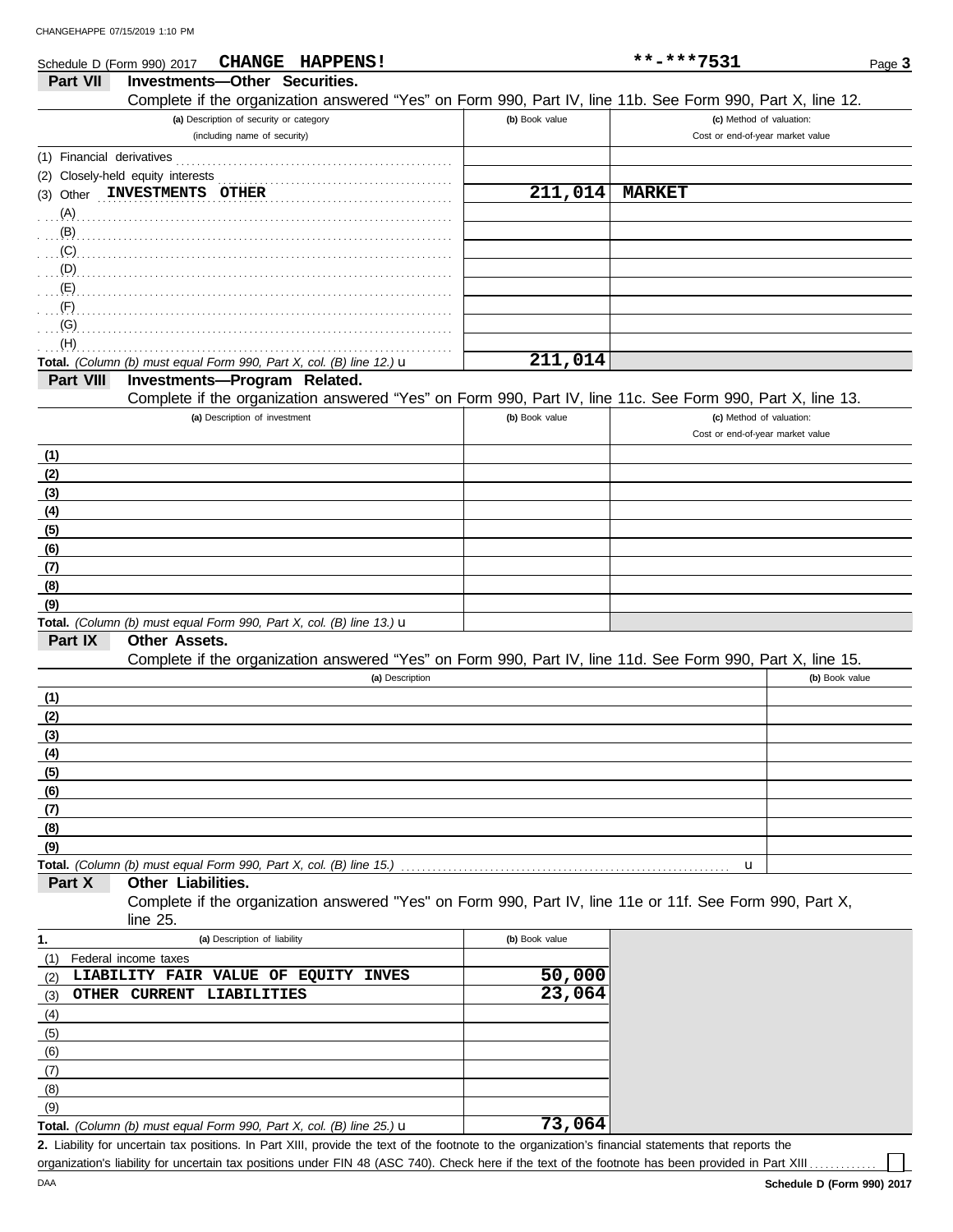| Schedule D (Form 990) 2017 | CHANGE HAPPENS!                                                                                                      |                       | **-***7531                       | Page 3         |
|----------------------------|----------------------------------------------------------------------------------------------------------------------|-----------------------|----------------------------------|----------------|
| Part VII                   | <b>Investments-Other Securities.</b>                                                                                 |                       |                                  |                |
|                            | Complete if the organization answered "Yes" on Form 990, Part IV, line 11b. See Form 990, Part X, line 12.           |                       |                                  |                |
|                            | (a) Description of security or category                                                                              | (b) Book value        | (c) Method of valuation:         |                |
|                            | (including name of security)                                                                                         |                       | Cost or end-of-year market value |                |
|                            |                                                                                                                      |                       |                                  |                |
|                            | (2) Closely-held equity interests                                                                                    |                       |                                  |                |
|                            | (3) Other INVESTMENTS OTHER                                                                                          | 211,014               | <b>MARKET</b>                    |                |
|                            |                                                                                                                      |                       |                                  |                |
| (A)                        |                                                                                                                      |                       |                                  |                |
| (B)                        |                                                                                                                      |                       |                                  |                |
| (C)                        |                                                                                                                      |                       |                                  |                |
| (D)                        |                                                                                                                      |                       |                                  |                |
| (E)                        |                                                                                                                      |                       |                                  |                |
| (F)                        |                                                                                                                      |                       |                                  |                |
| (G)                        |                                                                                                                      |                       |                                  |                |
| (H)                        |                                                                                                                      |                       |                                  |                |
|                            | Total. (Column (b) must equal Form 990, Part X, col. (B) line 12.) $\mathbf u$                                       | 211,014               |                                  |                |
| Part VIII                  | Investments-Program Related.                                                                                         |                       |                                  |                |
|                            | Complete if the organization answered "Yes" on Form 990, Part IV, line 11c. See Form 990, Part X, line 13.           |                       |                                  |                |
|                            | (a) Description of investment                                                                                        | (b) Book value        | (c) Method of valuation:         |                |
|                            |                                                                                                                      |                       | Cost or end-of-year market value |                |
| (1)                        |                                                                                                                      |                       |                                  |                |
| (2)                        |                                                                                                                      |                       |                                  |                |
| (3)                        |                                                                                                                      |                       |                                  |                |
| (4)                        |                                                                                                                      |                       |                                  |                |
| (5)                        |                                                                                                                      |                       |                                  |                |
| (6)                        |                                                                                                                      |                       |                                  |                |
| (7)                        |                                                                                                                      |                       |                                  |                |
| (8)                        |                                                                                                                      |                       |                                  |                |
| (9)                        |                                                                                                                      |                       |                                  |                |
|                            | Total. (Column (b) must equal Form 990, Part X, col. (B) line 13.) $\mathbf u$                                       |                       |                                  |                |
| Part IX                    | Other Assets.                                                                                                        |                       |                                  |                |
|                            | Complete if the organization answered "Yes" on Form 990, Part IV, line 11d. See Form 990, Part X, line 15.           |                       |                                  |                |
|                            | (a) Description                                                                                                      |                       |                                  | (b) Book value |
| (1)                        |                                                                                                                      |                       |                                  |                |
| (2)                        |                                                                                                                      |                       |                                  |                |
| (3)                        |                                                                                                                      |                       |                                  |                |
|                            |                                                                                                                      |                       |                                  |                |
| <u>(4)</u>                 |                                                                                                                      |                       |                                  |                |
| (5)                        |                                                                                                                      |                       |                                  |                |
| (6)                        |                                                                                                                      |                       |                                  |                |
| (7)                        |                                                                                                                      |                       |                                  |                |
| (8)                        |                                                                                                                      |                       |                                  |                |
| (9)                        |                                                                                                                      |                       |                                  |                |
|                            | Total. (Column (b) must equal Form 990, Part X, col. (B) line 15.)                                                   |                       | u                                |                |
| Part X                     | Other Liabilities.                                                                                                   |                       |                                  |                |
|                            | Complete if the organization answered "Yes" on Form 990, Part IV, line 11e or 11f. See Form 990, Part X,<br>line 25. |                       |                                  |                |
| 1.                         | (a) Description of liability                                                                                         | (b) Book value        |                                  |                |
| (1)                        | Federal income taxes                                                                                                 |                       |                                  |                |
| (2)                        | LIABILITY FAIR VALUE OF EQUITY INVES                                                                                 | 50,000                |                                  |                |
| (3)                        | OTHER CURRENT LIABILITIES                                                                                            | $\overline{23}$ , 064 |                                  |                |
| (4)                        |                                                                                                                      |                       |                                  |                |
| (5)                        |                                                                                                                      |                       |                                  |                |
| (6)                        |                                                                                                                      |                       |                                  |                |
| (7)                        |                                                                                                                      |                       |                                  |                |
| (8)                        |                                                                                                                      |                       |                                  |                |
|                            |                                                                                                                      |                       |                                  |                |

Liability for uncertain tax positions. In Part XIII, provide the text of the footnote to the organization's financial statements that reports the **2.** organization's liability for uncertain tax positions under FIN 48 (ASC 740). Check here if the text of the footnote has been provided in Part XIII . **Total.** *(Column (b) must equal Form 990, Part X, col. (B) line 25.)* u **73,064**

 $(9)$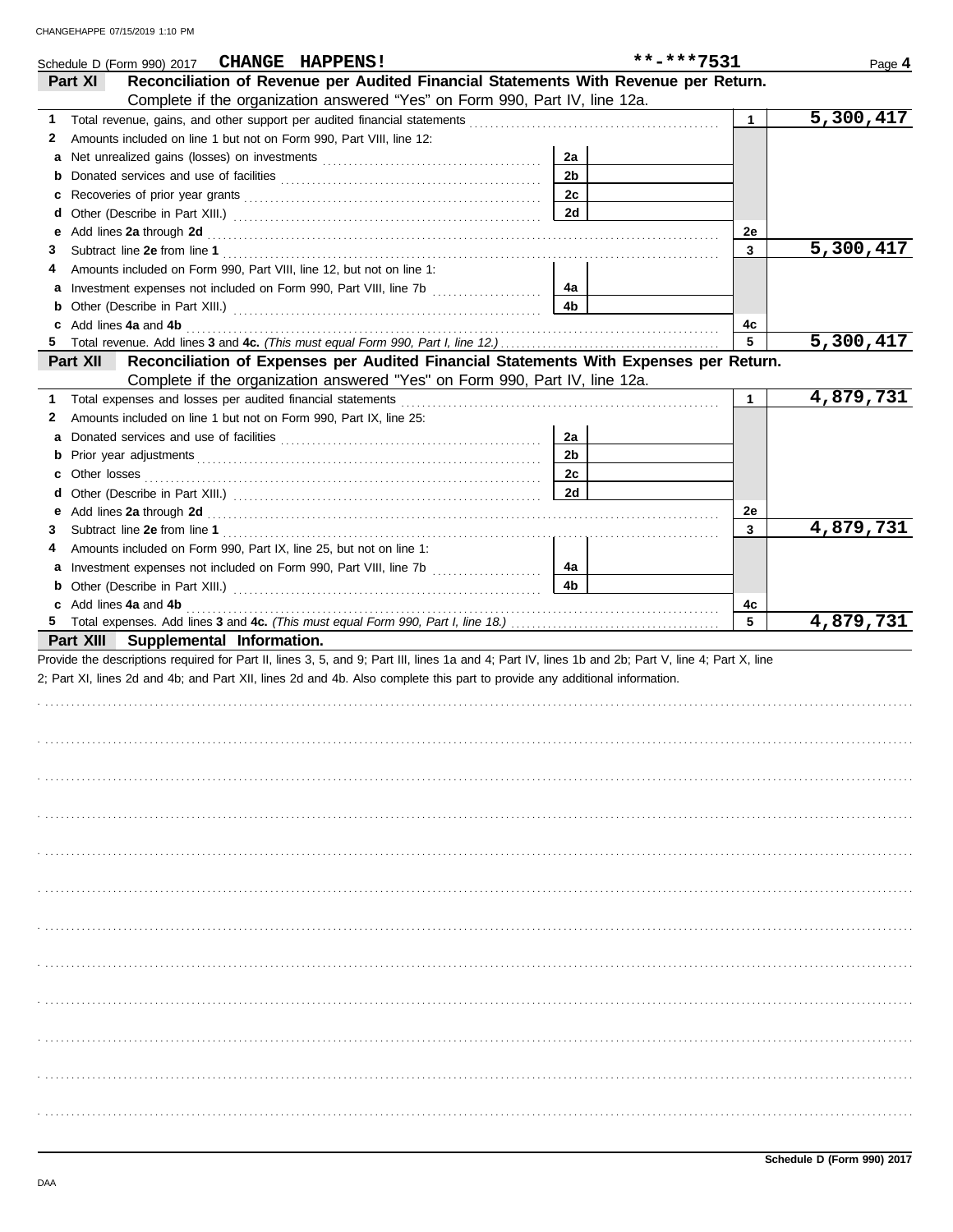|    | CHANGE HAPPENS!<br>Schedule D (Form 990) 2017                                                                                                                                                                                            |                | **-***7531 |              | Page 4                 |
|----|------------------------------------------------------------------------------------------------------------------------------------------------------------------------------------------------------------------------------------------|----------------|------------|--------------|------------------------|
|    | Reconciliation of Revenue per Audited Financial Statements With Revenue per Return.<br>Part XI                                                                                                                                           |                |            |              |                        |
|    | Complete if the organization answered "Yes" on Form 990, Part IV, line 12a.                                                                                                                                                              |                |            |              |                        |
| 1  |                                                                                                                                                                                                                                          |                |            | $\mathbf{1}$ | $\overline{5,300,417}$ |
| 2  | Amounts included on line 1 but not on Form 990, Part VIII, line 12:                                                                                                                                                                      |                |            |              |                        |
| a  |                                                                                                                                                                                                                                          | 2a             |            |              |                        |
|    |                                                                                                                                                                                                                                          | 2 <sub>b</sub> |            |              |                        |
| c  |                                                                                                                                                                                                                                          | 2c             |            |              |                        |
| d  |                                                                                                                                                                                                                                          | 2d             |            |              |                        |
| е  | Add lines 2a through 2d [11] And The Contract of the Contract of the Contract of the Contract of the Contract of the Contract of the Contract of the Contract of the Contract of the Contract of the Contract of the Contract            |                |            | 2e           |                        |
| 3  |                                                                                                                                                                                                                                          |                |            | 3            | 5,300,417              |
| 4  | Amounts included on Form 990, Part VIII, line 12, but not on line 1:                                                                                                                                                                     |                |            |              |                        |
| a  |                                                                                                                                                                                                                                          | 4a             |            |              |                        |
|    | <b>b</b> Other (Describe in Part XIII.) <b>CONFIDENT</b> 2014 12:2010 12:2010 12:2010 12:2010 12:2010 12:2010 12:2010 12:2010 12:2010 12:2010 12:2010 12:2010 12:2010 12:2010 12:2010 12:2010 12:2010 12:2010 12:2010 12:2010 12:2010 12 | 4 <sub>b</sub> |            |              |                        |
|    | c Add lines 4a and 4b                                                                                                                                                                                                                    |                |            | 4c           |                        |
| 5  |                                                                                                                                                                                                                                          |                |            | 5            | 5,300,417              |
|    | Reconciliation of Expenses per Audited Financial Statements With Expenses per Return.<br>Part XII                                                                                                                                        |                |            |              |                        |
|    | Complete if the organization answered "Yes" on Form 990, Part IV, line 12a.                                                                                                                                                              |                |            |              |                        |
| 1. |                                                                                                                                                                                                                                          |                |            | $\mathbf{1}$ | $\overline{4,879,731}$ |
| 2  | Amounts included on line 1 but not on Form 990, Part IX, line 25:                                                                                                                                                                        |                |            |              |                        |
|    |                                                                                                                                                                                                                                          | 2a             |            |              |                        |
|    |                                                                                                                                                                                                                                          | 2b             |            |              |                        |
| c  | Other losses                                                                                                                                                                                                                             | 2c             |            |              |                        |
|    |                                                                                                                                                                                                                                          | 2d             |            |              |                        |
|    |                                                                                                                                                                                                                                          |                |            | 2e           |                        |
| 3  |                                                                                                                                                                                                                                          |                |            | 3            | 4,879,731              |
| 4  | Amounts included on Form 990, Part IX, line 25, but not on line 1:                                                                                                                                                                       |                |            |              |                        |
|    |                                                                                                                                                                                                                                          | 4a             |            |              |                        |
|    | <b>b</b> Other (Describe in Part XIII.) <b>CONSIDENT</b> 2014 11: <b>DESCRIPTION</b>                                                                                                                                                     | 4b             |            |              |                        |
|    | c Add lines 4a and 4b                                                                                                                                                                                                                    |                |            | 4c           |                        |
|    |                                                                                                                                                                                                                                          |                |            | 5            | 4,879,731              |
|    | Part XIII Supplemental Information.                                                                                                                                                                                                      |                |            |              |                        |
|    | Provide the descriptions required for Part II, lines 3, 5, and 9; Part III, lines 1a and 4; Part IV, lines 1b and 2b; Part V, line 4; Part X, line                                                                                       |                |            |              |                        |
|    | 2; Part XI, lines 2d and 4b; and Part XII, lines 2d and 4b. Also complete this part to provide any additional information.                                                                                                               |                |            |              |                        |
|    |                                                                                                                                                                                                                                          |                |            |              |                        |
|    |                                                                                                                                                                                                                                          |                |            |              |                        |
|    |                                                                                                                                                                                                                                          |                |            |              |                        |
|    |                                                                                                                                                                                                                                          |                |            |              |                        |
|    |                                                                                                                                                                                                                                          |                |            |              |                        |
|    |                                                                                                                                                                                                                                          |                |            |              |                        |
|    |                                                                                                                                                                                                                                          |                |            |              |                        |
|    |                                                                                                                                                                                                                                          |                |            |              |                        |
|    |                                                                                                                                                                                                                                          |                |            |              |                        |
|    |                                                                                                                                                                                                                                          |                |            |              |                        |
|    |                                                                                                                                                                                                                                          |                |            |              |                        |
|    |                                                                                                                                                                                                                                          |                |            |              |                        |
|    |                                                                                                                                                                                                                                          |                |            |              |                        |
|    |                                                                                                                                                                                                                                          |                |            |              |                        |
|    |                                                                                                                                                                                                                                          |                |            |              |                        |
|    |                                                                                                                                                                                                                                          |                |            |              |                        |
|    |                                                                                                                                                                                                                                          |                |            |              |                        |
|    |                                                                                                                                                                                                                                          |                |            |              |                        |
|    |                                                                                                                                                                                                                                          |                |            |              |                        |
|    |                                                                                                                                                                                                                                          |                |            |              |                        |
|    |                                                                                                                                                                                                                                          |                |            |              |                        |
|    |                                                                                                                                                                                                                                          |                |            |              |                        |
|    |                                                                                                                                                                                                                                          |                |            |              |                        |
|    |                                                                                                                                                                                                                                          |                |            |              |                        |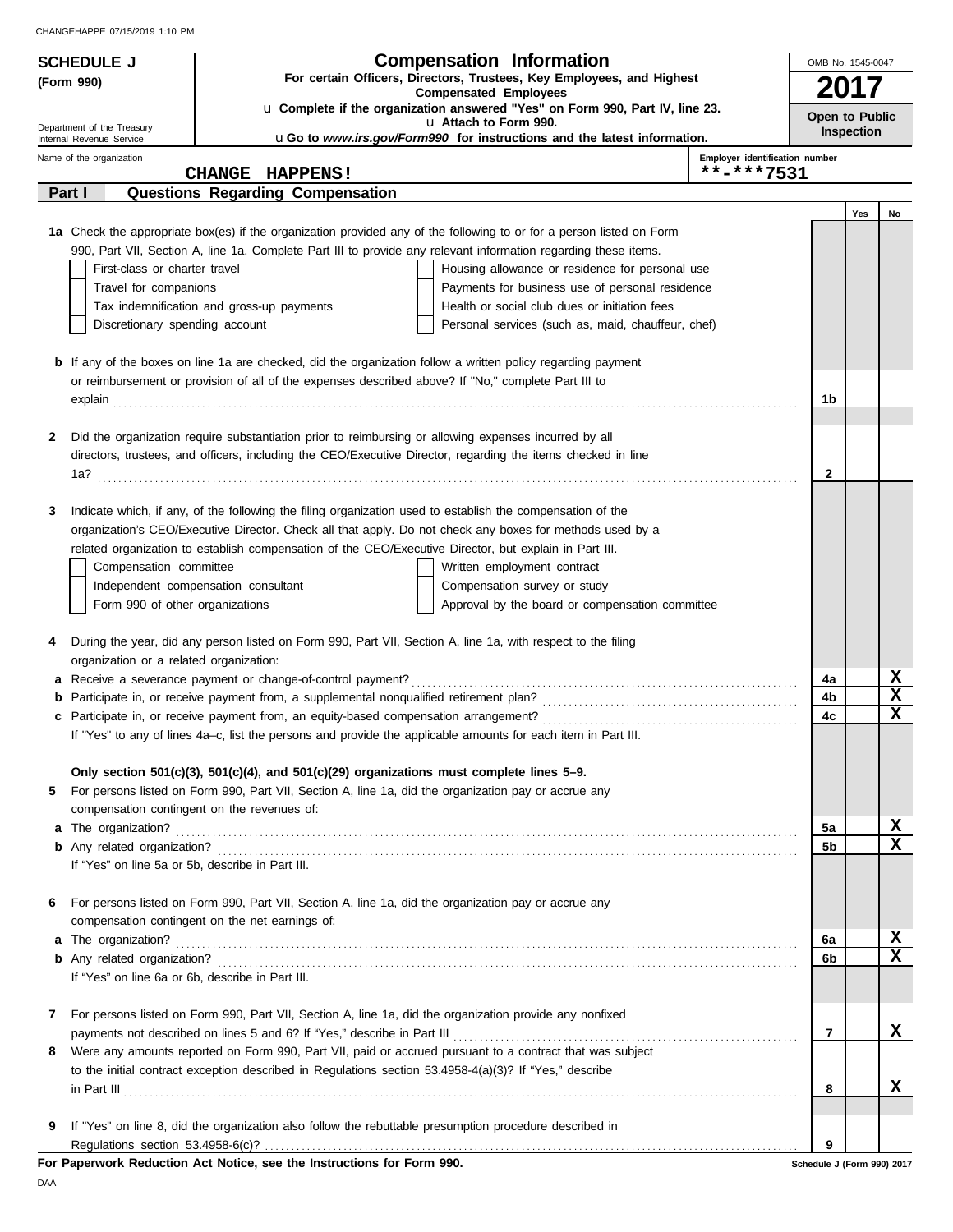| <b>SCHEDULE J</b>                                                                                                   |                                                                                                                                                                                                     | <b>Compensation Information</b>                                                                                                                                                                                                      | OMB No. 1545-0047          |     |                              |  |  |  |
|---------------------------------------------------------------------------------------------------------------------|-----------------------------------------------------------------------------------------------------------------------------------------------------------------------------------------------------|--------------------------------------------------------------------------------------------------------------------------------------------------------------------------------------------------------------------------------------|----------------------------|-----|------------------------------|--|--|--|
| For certain Officers, Directors, Trustees, Key Employees, and Highest<br>(Form 990)<br><b>Compensated Employees</b> |                                                                                                                                                                                                     |                                                                                                                                                                                                                                      |                            |     |                              |  |  |  |
|                                                                                                                     |                                                                                                                                                                                                     | u Complete if the organization answered "Yes" on Form 990, Part IV, line 23.                                                                                                                                                         | Open to Public             |     |                              |  |  |  |
| Department of the Treasury                                                                                          | u Attach to Form 990.<br>uGo to www.irs.gov/Form990 for instructions and the latest information.<br>Internal Revenue Service                                                                        |                                                                                                                                                                                                                                      |                            |     |                              |  |  |  |
| Name of the organization                                                                                            |                                                                                                                                                                                                     | Employer identification number                                                                                                                                                                                                       |                            |     |                              |  |  |  |
|                                                                                                                     | CHANGE HAPPENS!                                                                                                                                                                                     | **-***7531                                                                                                                                                                                                                           |                            |     |                              |  |  |  |
| Part I                                                                                                              | Questions Regarding Compensation                                                                                                                                                                    |                                                                                                                                                                                                                                      |                            |     |                              |  |  |  |
|                                                                                                                     |                                                                                                                                                                                                     |                                                                                                                                                                                                                                      |                            | Yes | No                           |  |  |  |
|                                                                                                                     |                                                                                                                                                                                                     | 1a Check the appropriate box(es) if the organization provided any of the following to or for a person listed on Form                                                                                                                 |                            |     |                              |  |  |  |
|                                                                                                                     |                                                                                                                                                                                                     | 990, Part VII, Section A, line 1a. Complete Part III to provide any relevant information regarding these items.                                                                                                                      |                            |     |                              |  |  |  |
| First-class or charter travel                                                                                       |                                                                                                                                                                                                     | Housing allowance or residence for personal use                                                                                                                                                                                      |                            |     |                              |  |  |  |
| Travel for companions                                                                                               |                                                                                                                                                                                                     | Payments for business use of personal residence                                                                                                                                                                                      |                            |     |                              |  |  |  |
|                                                                                                                     | Tax indemnification and gross-up payments                                                                                                                                                           | Health or social club dues or initiation fees                                                                                                                                                                                        |                            |     |                              |  |  |  |
| Discretionary spending account                                                                                      |                                                                                                                                                                                                     | Personal services (such as, maid, chauffeur, chef)                                                                                                                                                                                   |                            |     |                              |  |  |  |
|                                                                                                                     |                                                                                                                                                                                                     | <b>b</b> If any of the boxes on line 1a are checked, did the organization follow a written policy regarding payment                                                                                                                  |                            |     |                              |  |  |  |
|                                                                                                                     | or reimbursement or provision of all of the expenses described above? If "No," complete Part III to                                                                                                 |                                                                                                                                                                                                                                      |                            |     |                              |  |  |  |
|                                                                                                                     |                                                                                                                                                                                                     | explain <b>contract and the contract of the contract of the contract of the contract of the contract of the contract of the contract of the contract of the contract of the contract of the contract of the contract of the cont</b> | 1b                         |     |                              |  |  |  |
|                                                                                                                     |                                                                                                                                                                                                     |                                                                                                                                                                                                                                      |                            |     |                              |  |  |  |
| 2                                                                                                                   |                                                                                                                                                                                                     | Did the organization require substantiation prior to reimbursing or allowing expenses incurred by all                                                                                                                                |                            |     |                              |  |  |  |
|                                                                                                                     |                                                                                                                                                                                                     | directors, trustees, and officers, including the CEO/Executive Director, regarding the items checked in line                                                                                                                         |                            |     |                              |  |  |  |
|                                                                                                                     |                                                                                                                                                                                                     |                                                                                                                                                                                                                                      | 2                          |     |                              |  |  |  |
|                                                                                                                     |                                                                                                                                                                                                     |                                                                                                                                                                                                                                      |                            |     |                              |  |  |  |
| 3                                                                                                                   |                                                                                                                                                                                                     | Indicate which, if any, of the following the filing organization used to establish the compensation of the                                                                                                                           |                            |     |                              |  |  |  |
|                                                                                                                     |                                                                                                                                                                                                     | organization's CEO/Executive Director. Check all that apply. Do not check any boxes for methods used by a                                                                                                                            |                            |     |                              |  |  |  |
|                                                                                                                     |                                                                                                                                                                                                     | related organization to establish compensation of the CEO/Executive Director, but explain in Part III.                                                                                                                               |                            |     |                              |  |  |  |
| Compensation committee                                                                                              |                                                                                                                                                                                                     | Written employment contract                                                                                                                                                                                                          |                            |     |                              |  |  |  |
|                                                                                                                     | Independent compensation consultant                                                                                                                                                                 | Compensation survey or study                                                                                                                                                                                                         |                            |     |                              |  |  |  |
| Form 990 of other organizations                                                                                     |                                                                                                                                                                                                     | Approval by the board or compensation committee                                                                                                                                                                                      |                            |     |                              |  |  |  |
| 4                                                                                                                   |                                                                                                                                                                                                     | During the year, did any person listed on Form 990, Part VII, Section A, line 1a, with respect to the filing                                                                                                                         |                            |     |                              |  |  |  |
| organization or a related organization:                                                                             |                                                                                                                                                                                                     |                                                                                                                                                                                                                                      |                            |     |                              |  |  |  |
|                                                                                                                     |                                                                                                                                                                                                     |                                                                                                                                                                                                                                      | 4a                         |     | x                            |  |  |  |
|                                                                                                                     |                                                                                                                                                                                                     |                                                                                                                                                                                                                                      | 4b                         |     | $\mathbf x$                  |  |  |  |
|                                                                                                                     |                                                                                                                                                                                                     |                                                                                                                                                                                                                                      | 4c                         |     | $\mathbf x$                  |  |  |  |
|                                                                                                                     |                                                                                                                                                                                                     | If "Yes" to any of lines 4a-c, list the persons and provide the applicable amounts for each item in Part III.                                                                                                                        |                            |     |                              |  |  |  |
|                                                                                                                     |                                                                                                                                                                                                     |                                                                                                                                                                                                                                      |                            |     |                              |  |  |  |
| 5                                                                                                                   | Only section 501(c)(3), 501(c)(4), and 501(c)(29) organizations must complete lines $5-9$ .<br>For persons listed on Form 990, Part VII, Section A, line 1a, did the organization pay or accrue any |                                                                                                                                                                                                                                      |                            |     |                              |  |  |  |
|                                                                                                                     | compensation contingent on the revenues of:                                                                                                                                                         |                                                                                                                                                                                                                                      |                            |     |                              |  |  |  |
|                                                                                                                     |                                                                                                                                                                                                     |                                                                                                                                                                                                                                      | 5a                         |     | <u>x</u>                     |  |  |  |
|                                                                                                                     |                                                                                                                                                                                                     |                                                                                                                                                                                                                                      | 5b                         |     | $\overline{\mathbf{x}}$      |  |  |  |
|                                                                                                                     | If "Yes" on line 5a or 5b, describe in Part III.                                                                                                                                                    |                                                                                                                                                                                                                                      |                            |     |                              |  |  |  |
|                                                                                                                     |                                                                                                                                                                                                     |                                                                                                                                                                                                                                      |                            |     |                              |  |  |  |
| 6                                                                                                                   | For persons listed on Form 990, Part VII, Section A, line 1a, did the organization pay or accrue any                                                                                                |                                                                                                                                                                                                                                      |                            |     |                              |  |  |  |
|                                                                                                                     | compensation contingent on the net earnings of:                                                                                                                                                     |                                                                                                                                                                                                                                      |                            |     |                              |  |  |  |
|                                                                                                                     |                                                                                                                                                                                                     |                                                                                                                                                                                                                                      | 6а                         |     | X<br>$\overline{\mathbf{x}}$ |  |  |  |
|                                                                                                                     |                                                                                                                                                                                                     |                                                                                                                                                                                                                                      | 6b                         |     |                              |  |  |  |
|                                                                                                                     | If "Yes" on line 6a or 6b, describe in Part III.                                                                                                                                                    |                                                                                                                                                                                                                                      |                            |     |                              |  |  |  |
| 7                                                                                                                   |                                                                                                                                                                                                     | For persons listed on Form 990, Part VII, Section A, line 1a, did the organization provide any nonfixed                                                                                                                              |                            |     |                              |  |  |  |
|                                                                                                                     | payments not described on lines 5 and 6? If "Yes," describe in Part III                                                                                                                             |                                                                                                                                                                                                                                      | 7                          |     | x                            |  |  |  |
| 8                                                                                                                   |                                                                                                                                                                                                     | Were any amounts reported on Form 990, Part VII, paid or accrued pursuant to a contract that was subject                                                                                                                             |                            |     |                              |  |  |  |
|                                                                                                                     |                                                                                                                                                                                                     | to the initial contract exception described in Regulations section $53.4958-4(a)(3)$ ? If "Yes," describe                                                                                                                            |                            |     |                              |  |  |  |
|                                                                                                                     |                                                                                                                                                                                                     | $\ $ n Part III $\ $                                                                                                                                                                                                                 | 8                          |     | x                            |  |  |  |
|                                                                                                                     |                                                                                                                                                                                                     |                                                                                                                                                                                                                                      |                            |     |                              |  |  |  |
| 9                                                                                                                   |                                                                                                                                                                                                     | If "Yes" on line 8, did the organization also follow the rebuttable presumption procedure described in                                                                                                                               |                            |     |                              |  |  |  |
|                                                                                                                     |                                                                                                                                                                                                     |                                                                                                                                                                                                                                      | 9                          |     |                              |  |  |  |
|                                                                                                                     | For Paperwork Reduction Act Notice, see the Instructions for Form 990.                                                                                                                              |                                                                                                                                                                                                                                      | Schedule J (Form 990) 2017 |     |                              |  |  |  |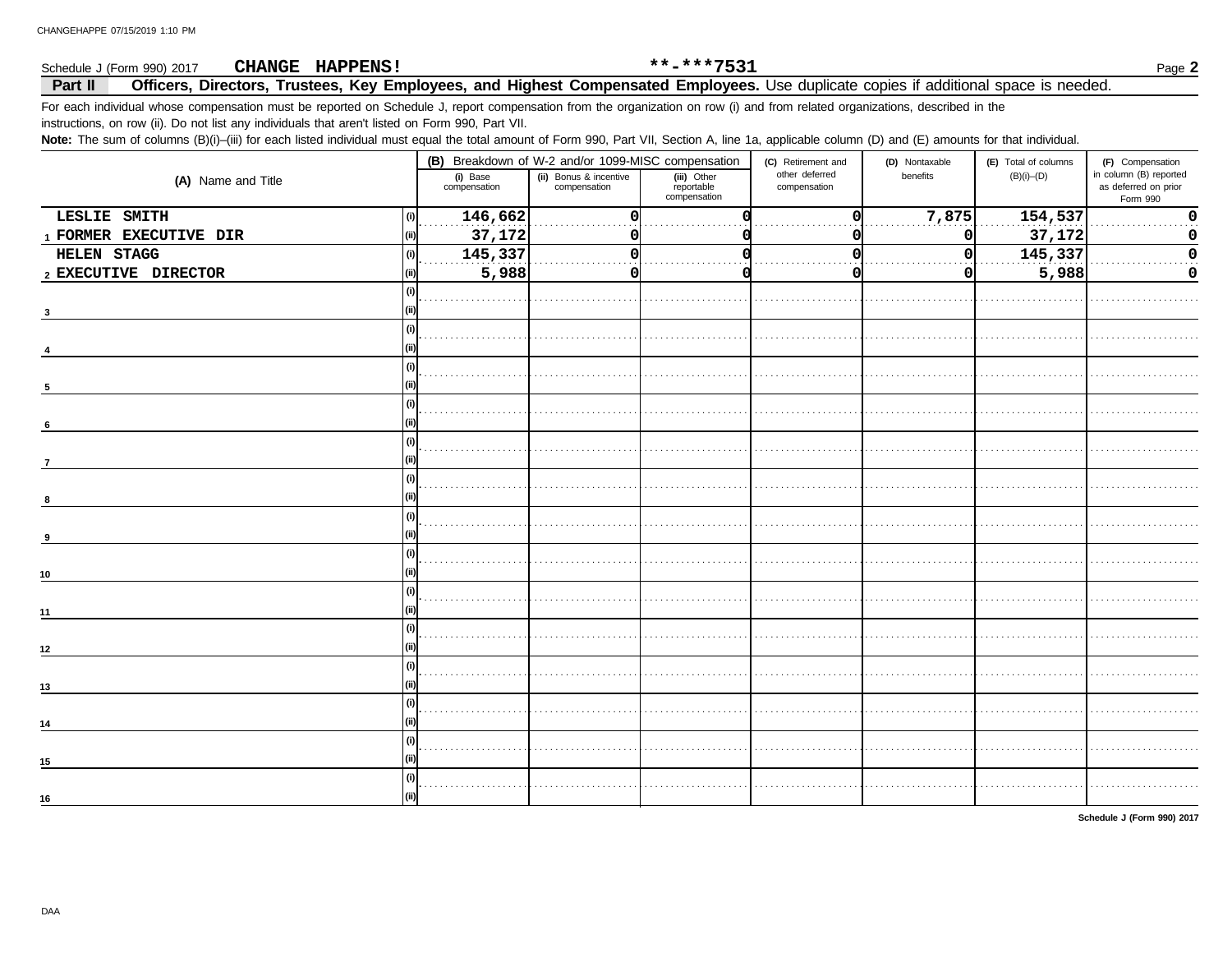#### \*\*-\*\*\*7531 CHANGE HAPPENS! Schedule J (Form 990) 2017 Page 2 Officers, Directors, Trustees, Key Employees, and Highest Compensated Employees. Use duplicate copies if additional space is needed. Part II For each individual whose compensation must be reported on Schedule J, report compensation from the organization on row (i) and from related organizations, described in the instructions, on row (ii). Do not list any individuals that aren't listed on Form 990, Part VII. Note: The sum of columns (B)(i)-(iii) for each listed individual must equal the total amount of Form 990, Part VII, Section A, line 1a, applicable column (D) and (E) amounts for that individual.

|                        |                          | (B) Breakdown of W-2 and/or 1099-MISC compensation |                                           | (C) Retirement and             | (D) Nontaxable | (E) Total of columns | (F) Compensation                                           |
|------------------------|--------------------------|----------------------------------------------------|-------------------------------------------|--------------------------------|----------------|----------------------|------------------------------------------------------------|
| (A) Name and Title     | (i) Base<br>compensation | (ii) Bonus & incentive<br>compensation             | (iii) Other<br>reportable<br>compensation | other deferred<br>compensation | benefits       | $(B)(i)$ - $(D)$     | in column (B) reported<br>as deferred on prior<br>Form 990 |
| LESLIE SMITH           | 146,662<br>(i)           | O                                                  |                                           | ŋ                              | 7,875          | 154,537              | $\Omega$                                                   |
| 1 FORMER EXECUTIVE DIR | 37,172                   |                                                    |                                           |                                | 0              | 37,172               |                                                            |
| HELEN STAGG            | 145,337<br>(i)           |                                                    |                                           |                                | 0              | 145,337              |                                                            |
| 2 EXECUTIVE DIRECTOR   | 5,988                    | O                                                  |                                           | O                              | 0              | 5,988                |                                                            |
|                        | (i)                      |                                                    |                                           |                                |                |                      |                                                            |
|                        |                          |                                                    |                                           |                                |                |                      |                                                            |
|                        |                          |                                                    |                                           |                                |                |                      |                                                            |
|                        | (i)                      |                                                    |                                           |                                |                |                      |                                                            |
|                        |                          |                                                    |                                           |                                |                |                      |                                                            |
|                        | (i)                      |                                                    |                                           |                                |                |                      |                                                            |
|                        | (i)                      |                                                    |                                           |                                |                |                      |                                                            |
|                        |                          |                                                    |                                           |                                |                |                      |                                                            |
|                        |                          |                                                    |                                           |                                |                |                      |                                                            |
|                        |                          |                                                    |                                           |                                |                |                      |                                                            |
|                        |                          |                                                    |                                           |                                |                |                      |                                                            |
|                        |                          |                                                    |                                           |                                |                |                      |                                                            |
| 10                     | (i)                      |                                                    |                                           |                                |                |                      |                                                            |
|                        | (i)                      |                                                    |                                           |                                |                |                      |                                                            |
| 11                     |                          |                                                    |                                           |                                |                |                      |                                                            |
|                        |                          |                                                    |                                           |                                |                |                      |                                                            |
| 12                     |                          |                                                    |                                           |                                |                |                      |                                                            |
|                        | (i)                      |                                                    |                                           |                                |                |                      |                                                            |
| 13                     |                          |                                                    |                                           |                                |                |                      |                                                            |
| 14                     | (i)                      |                                                    |                                           |                                |                |                      |                                                            |
|                        | (i)                      |                                                    |                                           |                                |                |                      |                                                            |
| 15                     | (ii)                     |                                                    |                                           |                                |                |                      |                                                            |
|                        | (i)                      |                                                    |                                           |                                |                |                      |                                                            |
| 16                     | (ii)                     |                                                    |                                           |                                |                |                      |                                                            |

Schedule J (Form 990) 2017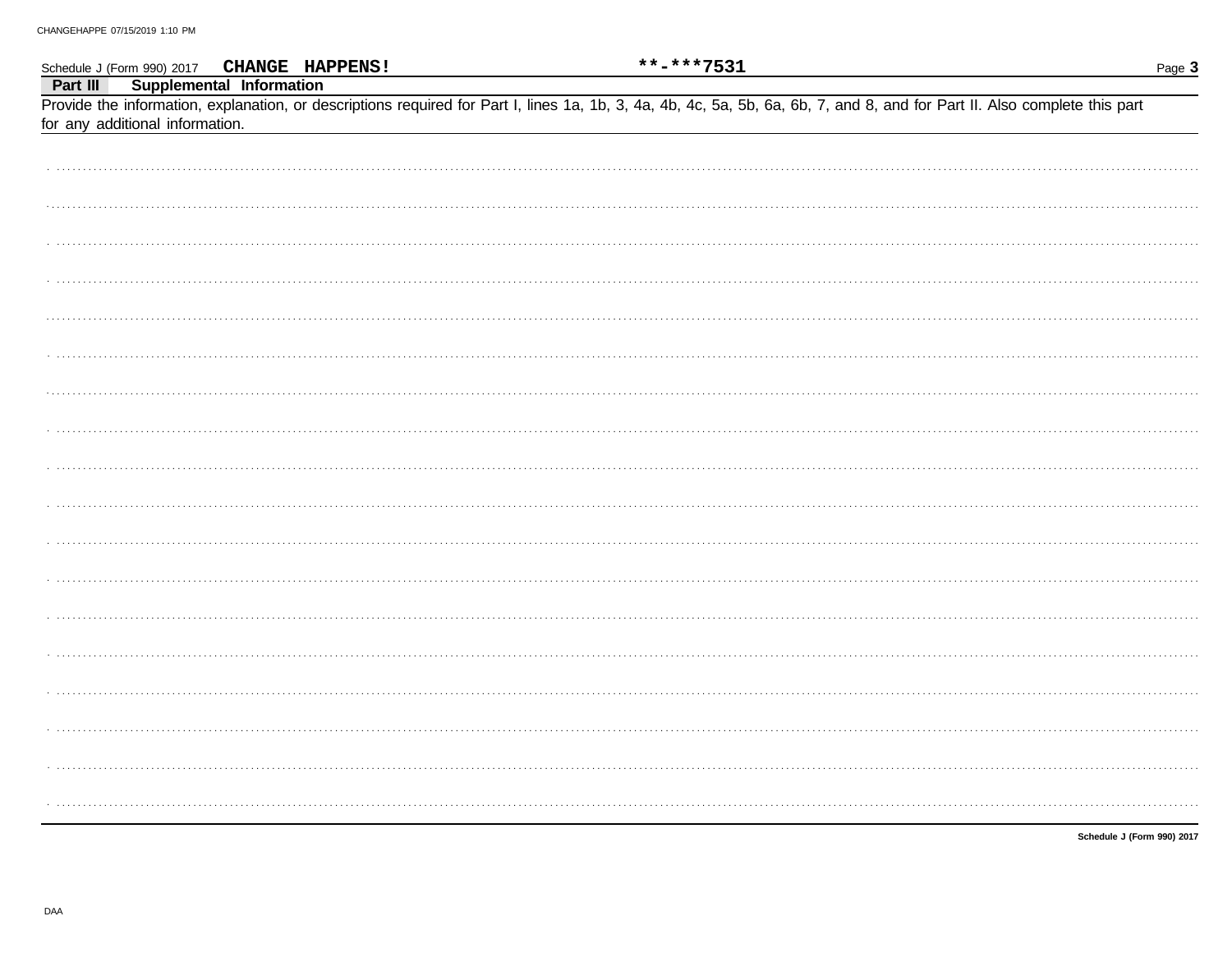|                                 | Schedule J (Form 990) 2017 CHANGE HAPPENS! | **-***7531                                                                                                                                                                 | Page 3                     |
|---------------------------------|--------------------------------------------|----------------------------------------------------------------------------------------------------------------------------------------------------------------------------|----------------------------|
| Part III                        | Supplemental Information                   |                                                                                                                                                                            |                            |
|                                 |                                            | Provide the information, explanation, or descriptions required for Part I, lines 1a, 1b, 3, 4a, 4b, 4c, 5a, 5b, 6a, 6b, 7, and 8, and for Part II. Also complete this part |                            |
| for any additional information. |                                            |                                                                                                                                                                            |                            |
|                                 |                                            |                                                                                                                                                                            |                            |
|                                 |                                            |                                                                                                                                                                            |                            |
|                                 |                                            |                                                                                                                                                                            |                            |
|                                 |                                            |                                                                                                                                                                            |                            |
|                                 |                                            |                                                                                                                                                                            |                            |
|                                 |                                            |                                                                                                                                                                            |                            |
|                                 |                                            |                                                                                                                                                                            |                            |
|                                 |                                            |                                                                                                                                                                            |                            |
|                                 |                                            |                                                                                                                                                                            |                            |
|                                 |                                            |                                                                                                                                                                            |                            |
|                                 |                                            |                                                                                                                                                                            |                            |
|                                 |                                            |                                                                                                                                                                            |                            |
|                                 |                                            |                                                                                                                                                                            |                            |
|                                 |                                            |                                                                                                                                                                            |                            |
|                                 |                                            |                                                                                                                                                                            |                            |
|                                 |                                            |                                                                                                                                                                            |                            |
|                                 |                                            |                                                                                                                                                                            |                            |
|                                 |                                            |                                                                                                                                                                            |                            |
|                                 |                                            |                                                                                                                                                                            |                            |
|                                 |                                            |                                                                                                                                                                            |                            |
|                                 |                                            |                                                                                                                                                                            |                            |
|                                 |                                            |                                                                                                                                                                            |                            |
|                                 |                                            |                                                                                                                                                                            |                            |
|                                 |                                            |                                                                                                                                                                            |                            |
|                                 |                                            |                                                                                                                                                                            |                            |
|                                 |                                            |                                                                                                                                                                            |                            |
|                                 |                                            |                                                                                                                                                                            |                            |
|                                 |                                            |                                                                                                                                                                            |                            |
|                                 |                                            |                                                                                                                                                                            |                            |
|                                 |                                            |                                                                                                                                                                            |                            |
|                                 |                                            |                                                                                                                                                                            |                            |
|                                 |                                            |                                                                                                                                                                            |                            |
|                                 |                                            |                                                                                                                                                                            |                            |
|                                 |                                            |                                                                                                                                                                            |                            |
|                                 |                                            |                                                                                                                                                                            | Schedule J (Form 990) 2017 |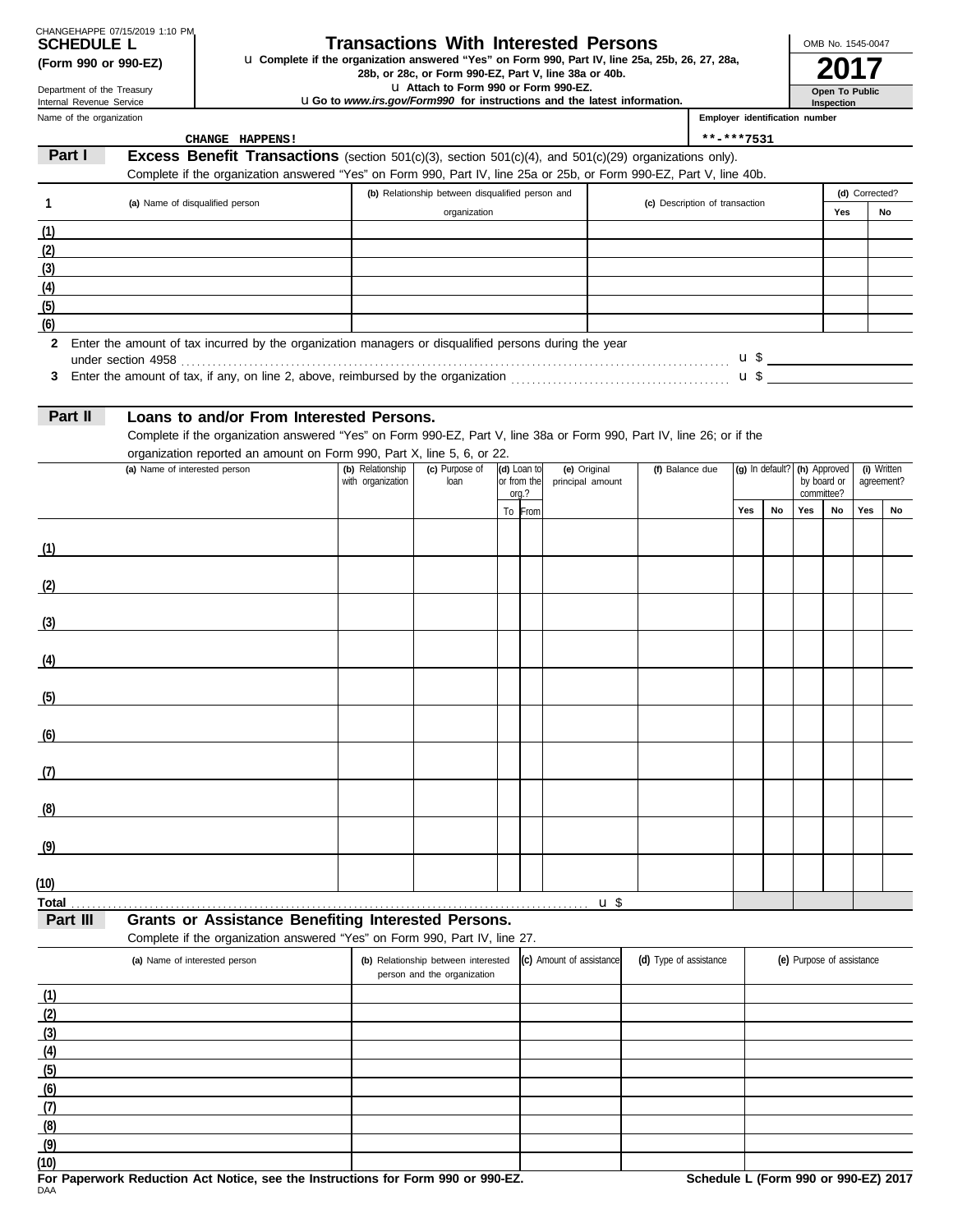| CHANGEHAPPE 07/15/2019 1:10 PM |  |
|--------------------------------|--|
| <b>SCHEDULE L</b>              |  |
| (Form 000 or 000.F7)           |  |

### **Transactions With Interested Persons**

**(Form 990 or 990-EZ) u** Complete if the organization answered "Yes" on Form 990, Part IV, line 25a, 25b, 26, 27, 28a,<br>28b, or 28c, or Form 990-EZ, Part V, line 38a or 40b.<br>**2017** 

u **Attach to Form 990 or Form 990-EZ.**

u**Go to** *www.irs.gov/Form990* **for instructions and the latest information.**

Name of the organization Department of the Treasury Internal Revenue Service

**(7) (8) (9)** **Open To Public**

OMB No. 1545-0047

**Inspection Employer identification number**

|          | CHANGE HAPPENS!                                                                                                       |                   |                                                  |                      |                          |                                | **-***7531 |                              |     |                           |                |             |
|----------|-----------------------------------------------------------------------------------------------------------------------|-------------------|--------------------------------------------------|----------------------|--------------------------|--------------------------------|------------|------------------------------|-----|---------------------------|----------------|-------------|
| Part I   | Excess Benefit Transactions (section 501(c)(3), section 501(c)(4), and 501(c)(29) organizations only).                |                   |                                                  |                      |                          |                                |            |                              |     |                           |                |             |
|          | Complete if the organization answered "Yes" on Form 990, Part IV, line 25a or 25b, or Form 990-EZ, Part V, line 40b.  |                   |                                                  |                      |                          |                                |            |                              |     |                           |                |             |
| 1        | (a) Name of disqualified person                                                                                       |                   | (b) Relationship between disqualified person and |                      |                          | (c) Description of transaction |            |                              |     |                           | (d) Corrected? |             |
|          |                                                                                                                       |                   | organization                                     |                      |                          |                                |            |                              |     | Yes                       |                | No          |
| (1)      |                                                                                                                       |                   |                                                  |                      |                          |                                |            |                              |     |                           |                |             |
| (2)      | the control of the control of the control of the control of the control of the control of                             |                   |                                                  |                      |                          |                                |            |                              |     |                           |                |             |
| (3)      |                                                                                                                       |                   |                                                  |                      |                          |                                |            |                              |     |                           |                |             |
| (4)      | the contract of the contract of the contract of the contract of the contract of the contract of                       |                   |                                                  |                      |                          |                                |            |                              |     |                           |                |             |
| (5)      |                                                                                                                       |                   |                                                  |                      |                          |                                |            |                              |     |                           |                |             |
| (6)      |                                                                                                                       |                   |                                                  |                      |                          |                                |            |                              |     |                           |                |             |
|          | 2 Enter the amount of tax incurred by the organization managers or disqualified persons during the year               |                   |                                                  |                      |                          |                                |            |                              |     |                           |                |             |
|          |                                                                                                                       |                   |                                                  |                      |                          |                                |            |                              |     |                           |                |             |
|          |                                                                                                                       |                   |                                                  |                      |                          |                                |            |                              |     |                           |                |             |
| Part II  | Loans to and/or From Interested Persons.                                                                              |                   |                                                  |                      |                          |                                |            |                              |     |                           |                |             |
|          | Complete if the organization answered "Yes" on Form 990-EZ, Part V, line 38a or Form 990, Part IV, line 26; or if the |                   |                                                  |                      |                          |                                |            |                              |     |                           |                |             |
|          | organization reported an amount on Form 990, Part X, line 5, 6, or 22.                                                |                   |                                                  |                      |                          |                                |            |                              |     |                           |                |             |
|          | (a) Name of interested person                                                                                         | (b) Relationship  | (c) Purpose of                                   | (d) Loan to          | (e) Original             | (f) Balance due                |            | (g) In default? (h) Approved |     |                           |                | (i) Written |
|          |                                                                                                                       | with organization | loan                                             | or from the<br>org.? | principal amount         |                                |            |                              |     | by board or<br>committee? |                | agreement?  |
|          |                                                                                                                       |                   |                                                  | To From              |                          |                                | Yes        | No                           | Yes | No                        | Yes            | No          |
|          |                                                                                                                       |                   |                                                  |                      |                          |                                |            |                              |     |                           |                |             |
| (1)      |                                                                                                                       |                   |                                                  |                      |                          |                                |            |                              |     |                           |                |             |
|          |                                                                                                                       |                   |                                                  |                      |                          |                                |            |                              |     |                           |                |             |
| (2)      |                                                                                                                       |                   |                                                  |                      |                          |                                |            |                              |     |                           |                |             |
|          |                                                                                                                       |                   |                                                  |                      |                          |                                |            |                              |     |                           |                |             |
| (3)      |                                                                                                                       |                   |                                                  |                      |                          |                                |            |                              |     |                           |                |             |
|          |                                                                                                                       |                   |                                                  |                      |                          |                                |            |                              |     |                           |                |             |
| (4)      | <u> 1989 - Johann Stoff, fransk politik (d. 1989)</u>                                                                 |                   |                                                  |                      |                          |                                |            |                              |     |                           |                |             |
|          |                                                                                                                       |                   |                                                  |                      |                          |                                |            |                              |     |                           |                |             |
| (5)      | <u> 1980 - Johann Barbara, martxa al</u>                                                                              |                   |                                                  |                      |                          |                                |            |                              |     |                           |                |             |
|          |                                                                                                                       |                   |                                                  |                      |                          |                                |            |                              |     |                           |                |             |
| (6)      | <u> 1989 - Johann Barbara, martxa alemaniar a</u>                                                                     |                   |                                                  |                      |                          |                                |            |                              |     |                           |                |             |
|          |                                                                                                                       |                   |                                                  |                      |                          |                                |            |                              |     |                           |                |             |
| (7)      | <u> 1989 - Johann Barbara, martxa alemaniar a</u>                                                                     |                   |                                                  |                      |                          |                                |            |                              |     |                           |                |             |
|          |                                                                                                                       |                   |                                                  |                      |                          |                                |            |                              |     |                           |                |             |
| (8)      |                                                                                                                       |                   |                                                  |                      |                          |                                |            |                              |     |                           |                |             |
|          |                                                                                                                       |                   |                                                  |                      |                          |                                |            |                              |     |                           |                |             |
| (9)      |                                                                                                                       |                   |                                                  |                      |                          |                                |            |                              |     |                           |                |             |
| (10)     |                                                                                                                       |                   |                                                  |                      |                          |                                |            |                              |     |                           |                |             |
| Total    |                                                                                                                       |                   |                                                  |                      | $\mathbf{u} \mathbf{\$}$ |                                |            |                              |     |                           |                |             |
| Part III | <b>Grants or Assistance Benefiting Interested Persons.</b>                                                            |                   |                                                  |                      |                          |                                |            |                              |     |                           |                |             |
|          | Complete if the organization answered "Yes" on Form 990, Part IV, line 27.                                            |                   |                                                  |                      |                          |                                |            |                              |     |                           |                |             |
|          | (a) Name of interested person                                                                                         |                   | (b) Relationship between interested              |                      | (c) Amount of assistance | (d) Type of assistance         |            |                              |     | (e) Purpose of assistance |                |             |
|          |                                                                                                                       |                   | person and the organization                      |                      |                          |                                |            |                              |     |                           |                |             |
| (1)      |                                                                                                                       |                   |                                                  |                      |                          |                                |            |                              |     |                           |                |             |
| (2)      |                                                                                                                       |                   |                                                  |                      |                          |                                |            |                              |     |                           |                |             |
| (3)      |                                                                                                                       |                   |                                                  |                      |                          |                                |            |                              |     |                           |                |             |
| (4)      |                                                                                                                       |                   |                                                  |                      |                          |                                |            |                              |     |                           |                |             |
| (5)      |                                                                                                                       |                   |                                                  |                      |                          |                                |            |                              |     |                           |                |             |
| (6)      |                                                                                                                       |                   |                                                  |                      |                          |                                |            |                              |     |                           |                |             |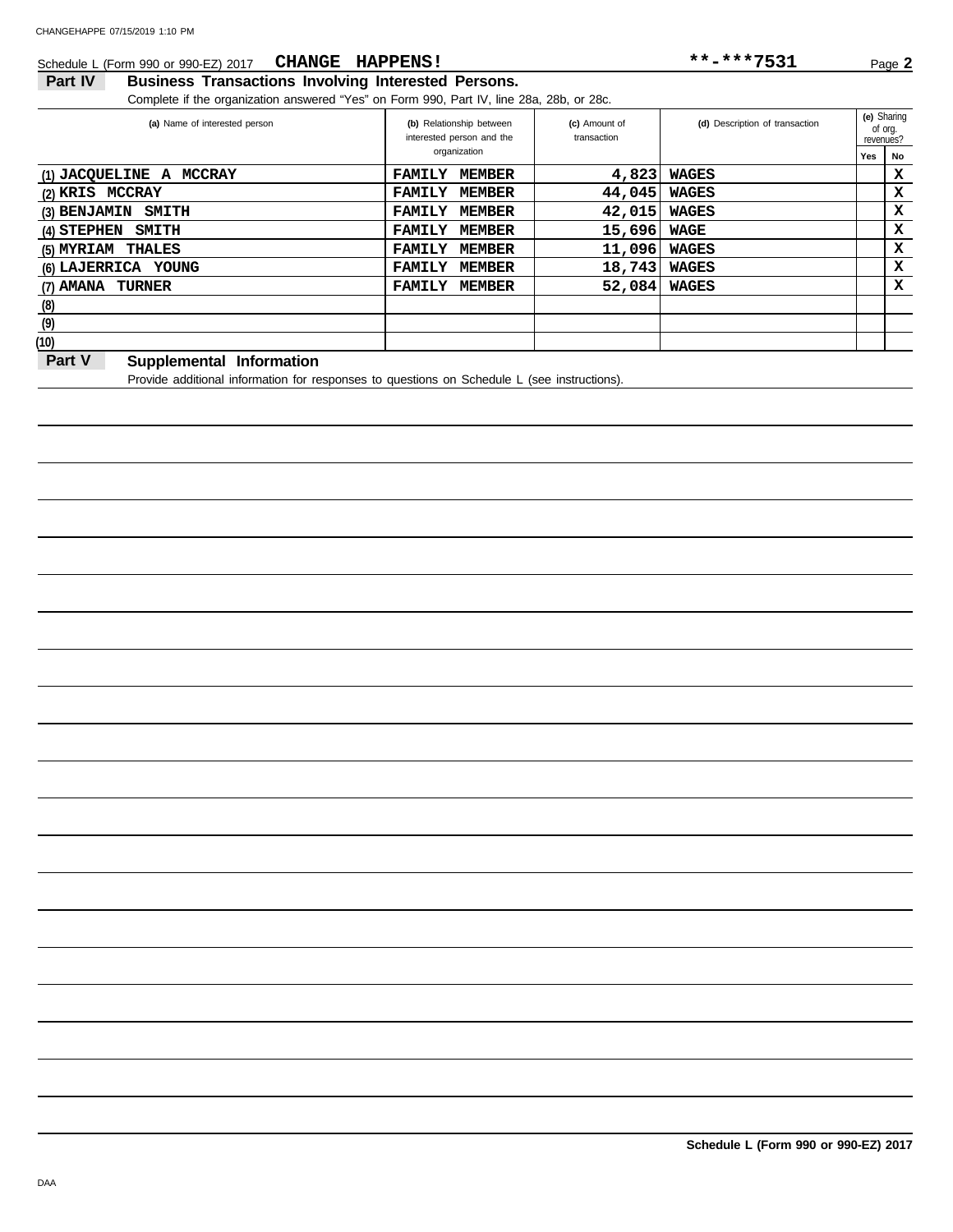#### Schedule L (Form 990 or 990-EZ) 2017 **CHANGE HAPPENS!** \*\*\*\*\*7531 Page 2 **CHANGE HAPPENS! \*\*-\*\*\*7531**

### **Part IV Business Transactions Involving Interested Persons.**

Complete if the organization answered "Yes" on Form 990, Part IV, line 28a, 28b, or 28c.

| (a) Name of interested person                             | (b) Relationship between<br>interested person and the |               | (c) Amount of<br>transaction | (d) Description of transaction |     | (e) Sharing<br>of org.<br>revenues? |
|-----------------------------------------------------------|-------------------------------------------------------|---------------|------------------------------|--------------------------------|-----|-------------------------------------|
|                                                           |                                                       | organization  |                              |                                | Yes | No                                  |
| (1) JACQUELINE A MCCRAY                                   | <b>FAMILY</b>                                         | <b>MEMBER</b> | 4,823                        | WAGES                          |     | х                                   |
| (2) KRIS MCCRAY                                           | <b>FAMILY</b>                                         | <b>MEMBER</b> | 44,045                       | WAGES                          |     | x                                   |
| (3) BENJAMIN<br><b>SMITH</b>                              | <b>FAMILY</b>                                         | MEMBER        | 42,015                       | WAGES                          |     | x                                   |
| $(4)$ STEPHEN SMITH                                       | <b>FAMILY</b>                                         | MEMBER        | 15,696                       | WAGE                           |     | x                                   |
| (5) MYRIAM THALES                                         | <b>FAMILY</b>                                         | MEMBER        | 11,096                       | WAGES                          |     | x                                   |
| (6) LAJERRICA YOUNG                                       | <b>FAMILY</b>                                         | MEMBER        | 18,743                       | <b>WAGES</b>                   |     | х                                   |
| (7) AMANA TURNER                                          | <b>FAMILY</b>                                         | MEMBER        | 52,084                       | <b>WAGES</b>                   |     | x                                   |
| (8)                                                       |                                                       |               |                              |                                |     |                                     |
| (9)                                                       |                                                       |               |                              |                                |     |                                     |
| (10)                                                      |                                                       |               |                              |                                |     |                                     |
| $D$ -4 $V$<br><b>Considered and all the famous of any</b> |                                                       |               |                              |                                |     |                                     |

#### **Part V** Supplemental Information

Provide additional information for responses to questions on Schedule L (see instructions).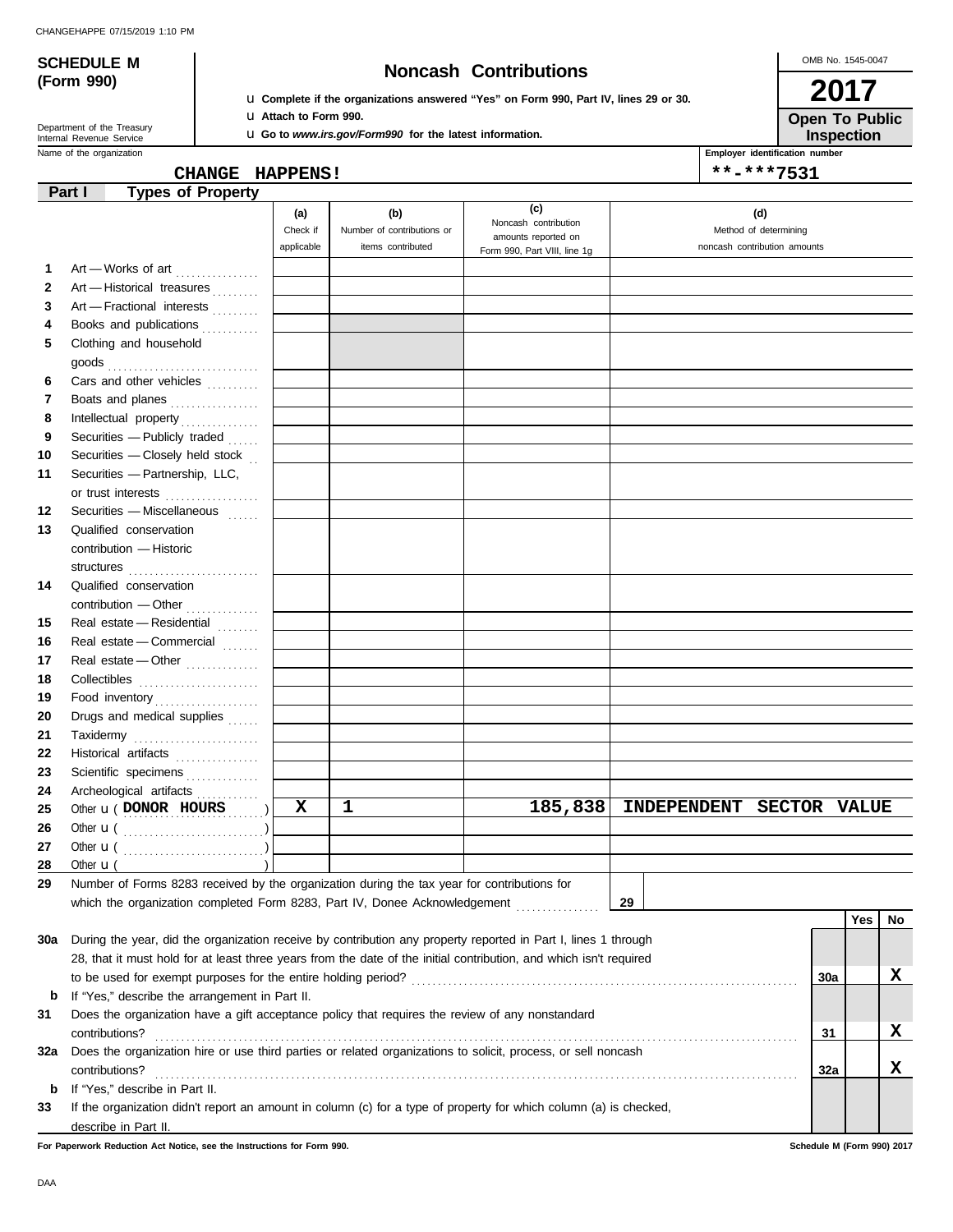# **(Form 990)**

# **SCHEDULE M Noncash Contributions**

u **Complete if the organizations answered "Yes" on Form 990, Part IV, lines 29 or 30.** u **Attach to Form 990.**

**Open To Public 2017**

OMB No. 1545-0047

| Department of the Treasury |
|----------------------------|
| Internal Revenue Service   |
|                            |

u **Go to** *www.irs.gov/Form990* **for the latest information.**

Name of the organization **Employer identification number Employer identification number Inspection**

| CHANGE HAPPENS! | **-***7531 |
|-----------------|------------|
|                 |            |

|              | <b>Types of Property</b><br>Part I                                                                                 |            |                            |                                                     |                                           |     |     |    |
|--------------|--------------------------------------------------------------------------------------------------------------------|------------|----------------------------|-----------------------------------------------------|-------------------------------------------|-----|-----|----|
|              |                                                                                                                    | (a)        | (b)                        | (c)                                                 | (d)                                       |     |     |    |
|              |                                                                                                                    | Check if   | Number of contributions or | Noncash contribution<br>amounts reported on         | Method of determining                     |     |     |    |
|              |                                                                                                                    | applicable | items contributed          | Form 990, Part VIII, line 1g                        | noncash contribution amounts              |     |     |    |
| 1.           | Art - Works of art                                                                                                 |            |                            |                                                     |                                           |     |     |    |
| $\mathbf{2}$ | Art - Historical treasures                                                                                         |            |                            |                                                     |                                           |     |     |    |
| 3            | Art - Fractional interests                                                                                         |            |                            |                                                     |                                           |     |     |    |
| 4            | Books and publications                                                                                             |            |                            |                                                     |                                           |     |     |    |
| 5            | Clothing and household                                                                                             |            |                            |                                                     |                                           |     |     |    |
|              |                                                                                                                    |            |                            |                                                     |                                           |     |     |    |
| 6            | Cars and other vehicles                                                                                            |            |                            |                                                     |                                           |     |     |    |
| 7            | Boats and planes                                                                                                   |            |                            |                                                     |                                           |     |     |    |
| 8            |                                                                                                                    |            |                            |                                                     |                                           |     |     |    |
| 9            | Securities - Publicly traded                                                                                       |            |                            |                                                     |                                           |     |     |    |
| 10           | Securities - Closely held stock                                                                                    |            |                            |                                                     |                                           |     |     |    |
| 11           | Securities - Partnership, LLC,                                                                                     |            |                            |                                                     |                                           |     |     |    |
|              | or trust interests                                                                                                 |            |                            |                                                     |                                           |     |     |    |
| 12           | Securities - Miscellaneous [11111]                                                                                 |            |                            |                                                     |                                           |     |     |    |
| 13           | Qualified conservation                                                                                             |            |                            |                                                     |                                           |     |     |    |
|              | contribution - Historic                                                                                            |            |                            |                                                     |                                           |     |     |    |
|              | structures                                                                                                         |            |                            |                                                     |                                           |     |     |    |
| 14           | Qualified conservation                                                                                             |            |                            |                                                     |                                           |     |     |    |
|              | contribution - Other                                                                                               |            |                            |                                                     |                                           |     |     |    |
| 15           | Real estate - Residential                                                                                          |            |                            |                                                     |                                           |     |     |    |
| 16           | Real estate - Commercial                                                                                           |            |                            |                                                     |                                           |     |     |    |
| 17           | Real estate - Other                                                                                                |            |                            |                                                     |                                           |     |     |    |
| 18<br>19     | Collectibles                                                                                                       |            |                            |                                                     |                                           |     |     |    |
| 20           | Food inventory<br>Drugs and medical supplies                                                                       |            |                            |                                                     |                                           |     |     |    |
| 21           |                                                                                                                    |            |                            |                                                     |                                           |     |     |    |
| 22           | Taxidermy<br>Historical artifacts                                                                                  |            |                            |                                                     |                                           |     |     |    |
| 23           | Scientific specimens                                                                                               |            |                            |                                                     |                                           |     |     |    |
| 24           | Archeological artifacts                                                                                            |            |                            |                                                     |                                           |     |     |    |
| 25           | Other <b>u</b> (DONOR HOURS )                                                                                      | х          | 1                          | 185,838                                             | <b>SECTOR VALUE</b><br><b>INDEPENDENT</b> |     |     |    |
| 26           |                                                                                                                    |            |                            |                                                     |                                           |     |     |    |
| 27           |                                                                                                                    |            |                            |                                                     |                                           |     |     |    |
| 28           | Other $\mathbf{u}$ (                                                                                               |            |                            |                                                     |                                           |     |     |    |
| 29           | Number of Forms 8283 received by the organization during the tax year for contributions for                        |            |                            |                                                     |                                           |     |     |    |
|              | which the organization completed Form 8283, Part IV, Donee Acknowledgement                                         |            |                            | <u> 1986 - Johann Stoff, Amerikaansk kanton en </u> | 29                                        |     |     |    |
|              |                                                                                                                    |            |                            |                                                     |                                           |     | Yes | No |
| 30a          | During the year, did the organization receive by contribution any property reported in Part I, lines 1 through     |            |                            |                                                     |                                           |     |     |    |
|              | 28, that it must hold for at least three years from the date of the initial contribution, and which isn't required |            |                            |                                                     |                                           |     |     |    |
|              |                                                                                                                    |            |                            |                                                     |                                           | 30a |     | x  |
| b            | If "Yes," describe the arrangement in Part II.                                                                     |            |                            |                                                     |                                           |     |     |    |
| 31           | Does the organization have a gift acceptance policy that requires the review of any nonstandard                    |            |                            |                                                     |                                           |     |     |    |
|              | contributions?                                                                                                     |            |                            |                                                     |                                           | 31  |     | x  |
| 32a          | Does the organization hire or use third parties or related organizations to solicit, process, or sell noncash      |            |                            |                                                     |                                           |     |     |    |
|              | contributions?                                                                                                     |            |                            |                                                     |                                           | 32a |     | x  |
| b            | If "Yes," describe in Part II.                                                                                     |            |                            |                                                     |                                           |     |     |    |
| 33           | If the organization didn't report an amount in column (c) for a type of property for which column (a) is checked,  |            |                            |                                                     |                                           |     |     |    |
|              | describe in Part II.                                                                                               |            |                            |                                                     |                                           |     |     |    |

**For Paperwork Reduction Act Notice, see the Instructions for Form 990. Schedule M (Form 990) 2017**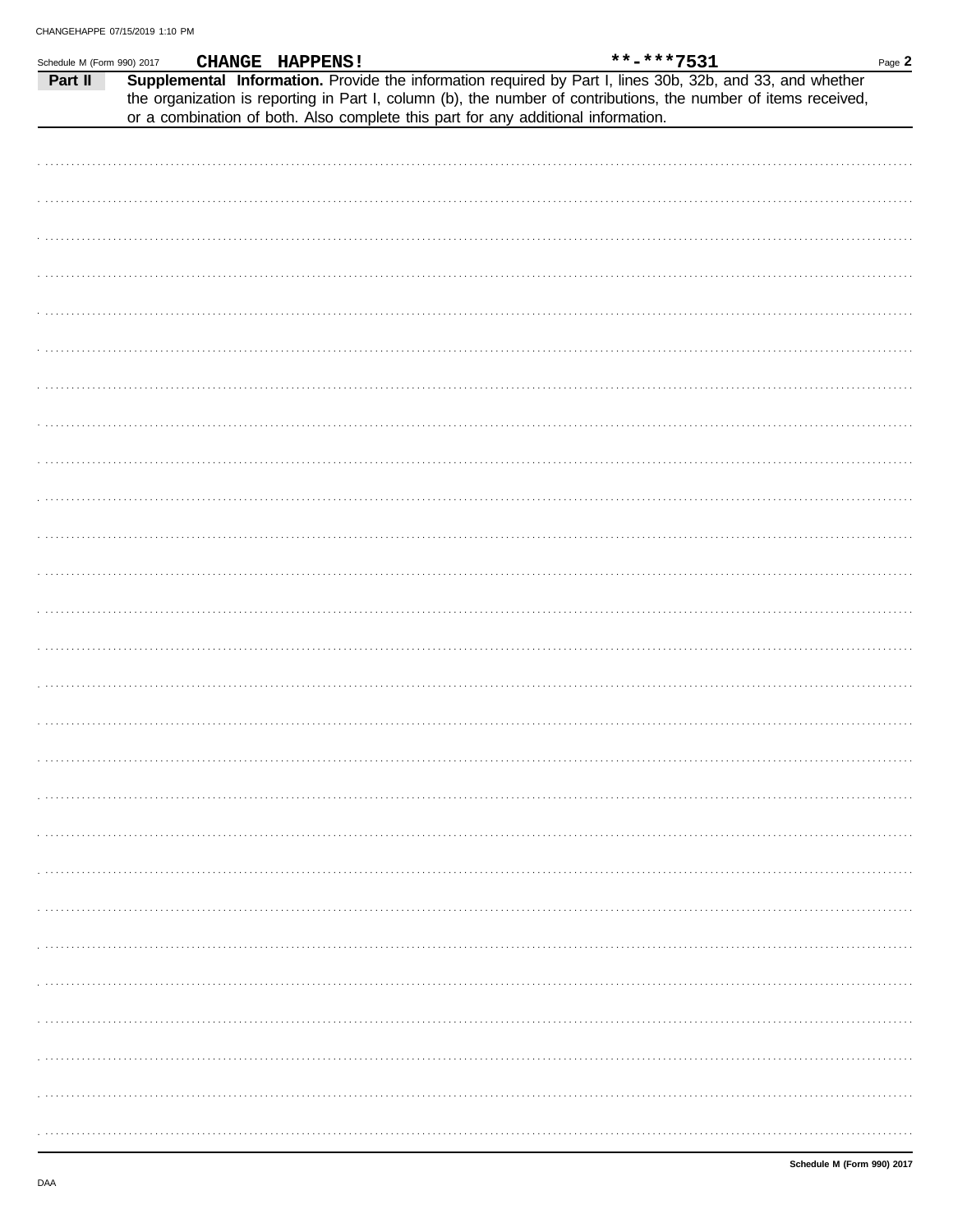| Schedule M (Form 990) 2017 |                                                                                   | CHANGE HAPPENS! |  | **-***7531                                                                                                                                                                                                                   | Page 2 |
|----------------------------|-----------------------------------------------------------------------------------|-----------------|--|------------------------------------------------------------------------------------------------------------------------------------------------------------------------------------------------------------------------------|--------|
| Part II                    |                                                                                   |                 |  | Supplemental Information. Provide the information required by Part I, lines 30b, 32b, and 33, and whether<br>the organization is reporting in Part I, column (b), the number of contributions, the number of items received, |        |
|                            | or a combination of both. Also complete this part for any additional information. |                 |  |                                                                                                                                                                                                                              |        |
|                            |                                                                                   |                 |  |                                                                                                                                                                                                                              |        |
|                            |                                                                                   |                 |  |                                                                                                                                                                                                                              |        |
|                            |                                                                                   |                 |  |                                                                                                                                                                                                                              |        |
|                            |                                                                                   |                 |  |                                                                                                                                                                                                                              |        |
|                            |                                                                                   |                 |  |                                                                                                                                                                                                                              |        |
|                            |                                                                                   |                 |  |                                                                                                                                                                                                                              |        |
|                            |                                                                                   |                 |  |                                                                                                                                                                                                                              |        |
|                            |                                                                                   |                 |  |                                                                                                                                                                                                                              |        |
|                            |                                                                                   |                 |  |                                                                                                                                                                                                                              |        |
|                            |                                                                                   |                 |  |                                                                                                                                                                                                                              |        |
|                            |                                                                                   |                 |  |                                                                                                                                                                                                                              |        |
|                            |                                                                                   |                 |  |                                                                                                                                                                                                                              |        |
|                            |                                                                                   |                 |  |                                                                                                                                                                                                                              |        |
|                            |                                                                                   |                 |  |                                                                                                                                                                                                                              |        |
|                            |                                                                                   |                 |  |                                                                                                                                                                                                                              |        |
|                            |                                                                                   |                 |  |                                                                                                                                                                                                                              |        |
|                            |                                                                                   |                 |  |                                                                                                                                                                                                                              |        |
|                            |                                                                                   |                 |  |                                                                                                                                                                                                                              |        |
|                            |                                                                                   |                 |  |                                                                                                                                                                                                                              |        |
|                            |                                                                                   |                 |  |                                                                                                                                                                                                                              |        |
|                            |                                                                                   |                 |  |                                                                                                                                                                                                                              |        |
|                            |                                                                                   |                 |  |                                                                                                                                                                                                                              |        |
|                            |                                                                                   |                 |  |                                                                                                                                                                                                                              |        |
|                            |                                                                                   |                 |  |                                                                                                                                                                                                                              |        |
|                            |                                                                                   |                 |  |                                                                                                                                                                                                                              |        |
|                            |                                                                                   |                 |  |                                                                                                                                                                                                                              |        |
|                            |                                                                                   |                 |  |                                                                                                                                                                                                                              |        |
|                            |                                                                                   |                 |  |                                                                                                                                                                                                                              |        |
|                            |                                                                                   |                 |  |                                                                                                                                                                                                                              |        |
|                            |                                                                                   |                 |  |                                                                                                                                                                                                                              |        |
|                            |                                                                                   |                 |  |                                                                                                                                                                                                                              |        |
|                            |                                                                                   |                 |  |                                                                                                                                                                                                                              |        |
|                            |                                                                                   |                 |  |                                                                                                                                                                                                                              |        |
|                            |                                                                                   |                 |  |                                                                                                                                                                                                                              |        |
|                            |                                                                                   |                 |  |                                                                                                                                                                                                                              |        |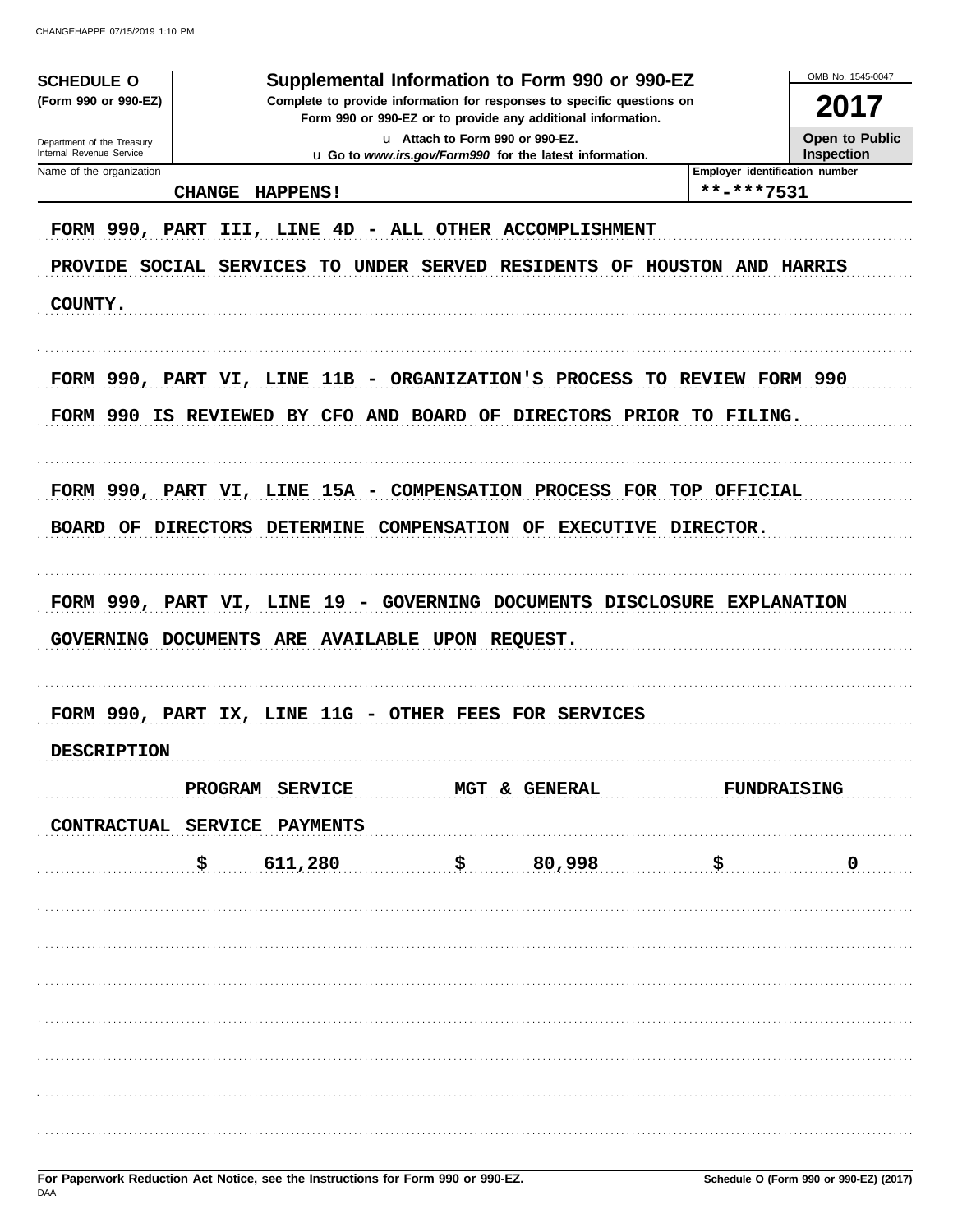| <b>SCHEDULE O</b><br>(Form 990 or 990-EZ)<br>Department of the Treasury<br>Internal Revenue Service | OMB No. 1545-0047<br>2017<br>Open to Public<br>Inspection |                      |                        |                                                                                                                                                |                                              |                    |
|-----------------------------------------------------------------------------------------------------|-----------------------------------------------------------|----------------------|------------------------|------------------------------------------------------------------------------------------------------------------------------------------------|----------------------------------------------|--------------------|
| Name of the organization                                                                            | <b>CHANGE</b>                                             | <b>HAPPENS!</b>      |                        |                                                                                                                                                | Employer identification number<br>**-***7531 |                    |
| FORM 990, PART<br><b>PROVIDE</b><br>COUNTY.                                                         | SOCIAL SERVICES                                           | III, LINE 4D<br>TO . | UNDER SERVED           | - ALL OTHER ACCOMPLISHMENT<br><b>RESIDENTS OF</b>                                                                                              | HOUSTON AND HARRIS                           |                    |
|                                                                                                     |                                                           |                      |                        | FORM 990, PART VI, LINE 11B - ORGANIZATION'S PROCESS TO REVIEW FORM 990<br>FORM 990 IS REVIEWED BY CFO AND BOARD OF DIRECTORS PRIOR TO FILING. |                                              |                    |
| BOARD OF                                                                                            | <b>DIRECTORS</b>                                          | <b>DETERMINE</b>     | <b>COMPENSATION OF</b> | FORM 990, PART VI, LINE 15A - COMPENSATION PROCESS FOR TOP OFFICIAL<br><b>EXECUTIVE</b>                                                        | <b>DIRECTOR.</b>                             |                    |
| GOVERNING DOCUMENTS ARE AVAILABLE UPON REQUEST.                                                     |                                                           |                      |                        | FORM 990, PART VI, LINE 19 - GOVERNING DOCUMENTS DISCLOSURE EXPLANATION                                                                        |                                              |                    |
|                                                                                                     |                                                           |                      |                        | FORM 990, PART IX, LINE 11G - OTHER FEES FOR SERVICES                                                                                          |                                              |                    |
| <b>DESCRIPTION</b>                                                                                  |                                                           |                      |                        |                                                                                                                                                |                                              |                    |
|                                                                                                     |                                                           | PROGRAM SERVICE      |                        | MGT & GENERAL                                                                                                                                  |                                              | <b>FUNDRAISING</b> |
| CONTRACTUAL SERVICE PAYMENTS                                                                        |                                                           |                      |                        |                                                                                                                                                |                                              |                    |
|                                                                                                     | \$                                                        | 611,280              |                        | \$80,998                                                                                                                                       | \$                                           | 0                  |
|                                                                                                     |                                                           |                      |                        |                                                                                                                                                |                                              |                    |
|                                                                                                     |                                                           |                      |                        |                                                                                                                                                |                                              |                    |
|                                                                                                     |                                                           |                      |                        |                                                                                                                                                |                                              |                    |
|                                                                                                     |                                                           |                      |                        |                                                                                                                                                |                                              |                    |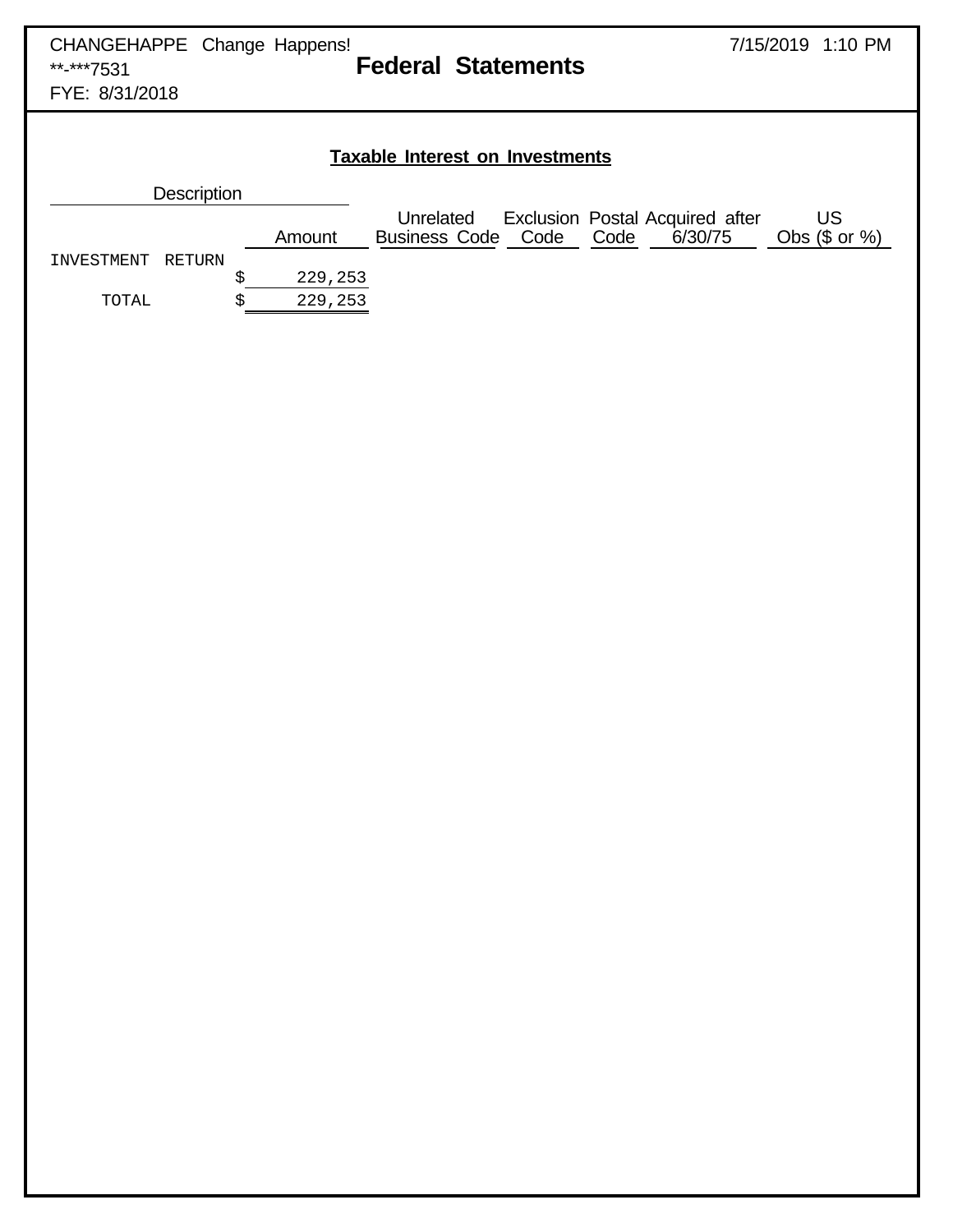|                   |          |                      | <b>Taxable Interest on Investments</b> |  |                                                      |                            |
|-------------------|----------|----------------------|----------------------------------------|--|------------------------------------------------------|----------------------------|
| Description       |          |                      |                                        |  |                                                      |                            |
|                   |          | Amount               | Unrelated<br><b>Business Code Code</b> |  | Exclusion Postal Acquired after<br>Code Code 6/30/75 | <b>US</b><br>Obs (\$ or %) |
| INVESTMENT RETURN |          |                      |                                        |  |                                                      |                            |
| TOTAL             | \$<br>\$ | 229, 253<br>229, 253 |                                        |  |                                                      |                            |
|                   |          |                      |                                        |  |                                                      |                            |
|                   |          |                      |                                        |  |                                                      |                            |
|                   |          |                      |                                        |  |                                                      |                            |
|                   |          |                      |                                        |  |                                                      |                            |
|                   |          |                      |                                        |  |                                                      |                            |
|                   |          |                      |                                        |  |                                                      |                            |
|                   |          |                      |                                        |  |                                                      |                            |
|                   |          |                      |                                        |  |                                                      |                            |
|                   |          |                      |                                        |  |                                                      |                            |
|                   |          |                      |                                        |  |                                                      |                            |
|                   |          |                      |                                        |  |                                                      |                            |
|                   |          |                      |                                        |  |                                                      |                            |
|                   |          |                      |                                        |  |                                                      |                            |
|                   |          |                      |                                        |  |                                                      |                            |
|                   |          |                      |                                        |  |                                                      |                            |
|                   |          |                      |                                        |  |                                                      |                            |
|                   |          |                      |                                        |  |                                                      |                            |
|                   |          |                      |                                        |  |                                                      |                            |
|                   |          |                      |                                        |  |                                                      |                            |
|                   |          |                      |                                        |  |                                                      |                            |
|                   |          |                      |                                        |  |                                                      |                            |
|                   |          |                      |                                        |  |                                                      |                            |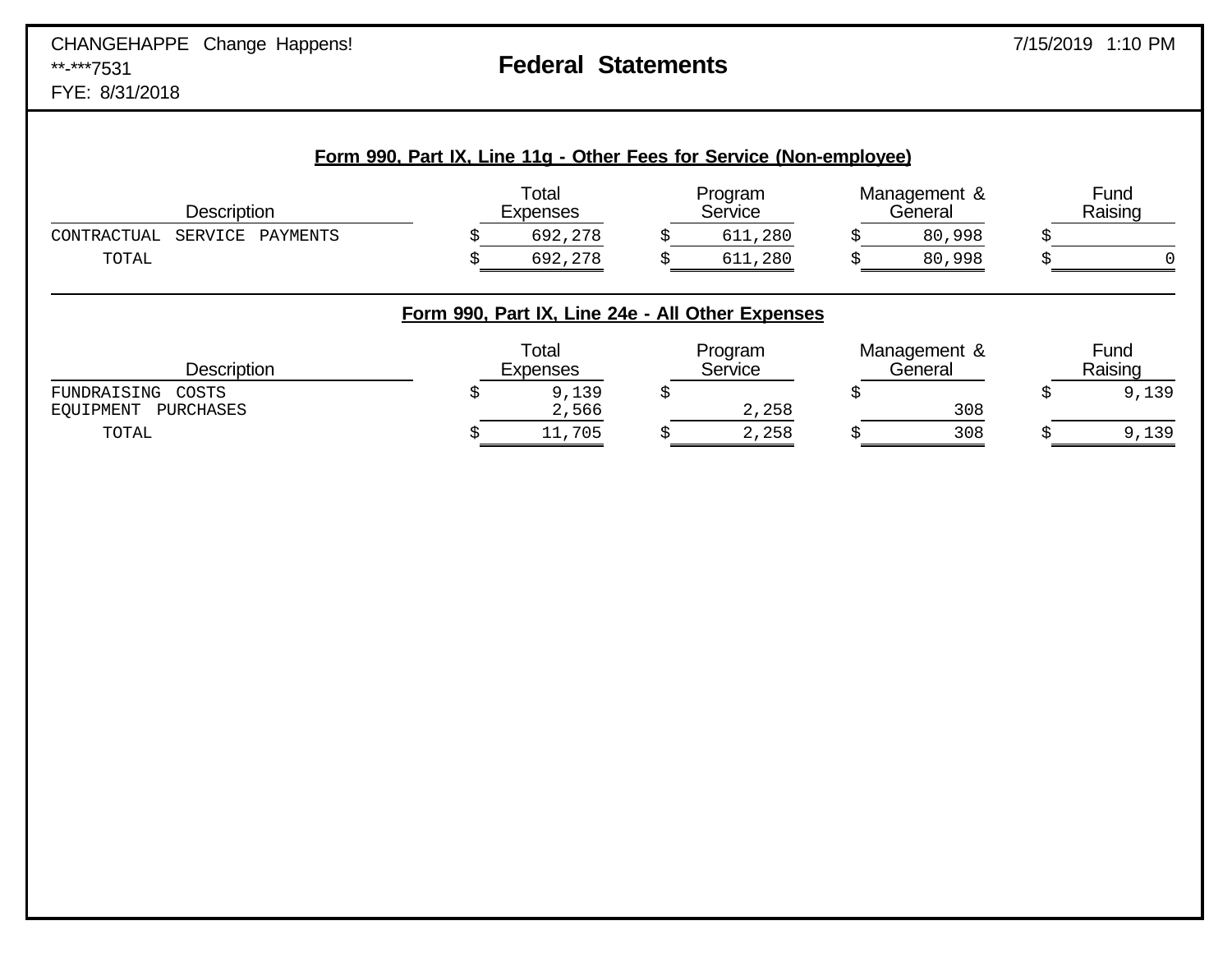### CHANGEHAPPE Change Happens! \*\*-\*\*\*7531 **Federal Statements** FYE: 8/31/2018

|                                                |                          | Form 990, Part IX, Line 11g - Other Fees for Service (Non-employee)    |                         |                 |
|------------------------------------------------|--------------------------|------------------------------------------------------------------------|-------------------------|-----------------|
| <b>Description</b>                             | Total<br><b>Expenses</b> | Program<br>Service                                                     | Management &<br>General | Fund<br>Raising |
| CONTRACTUAL<br>SERVICE<br>PAYMENTS             | 692,278                  | 611,280                                                                | 80,998                  |                 |
| TOTAL                                          | 692,278                  | 611,280                                                                | 80,998                  |                 |
| <b>Description</b>                             | Total<br><b>Expenses</b> | Form 990, Part IX, Line 24e - All Other Expenses<br>Program<br>Service | Management &<br>General | Fund<br>Raising |
| FUNDRAISING<br>COSTS<br>EOUIPMENT<br>PURCHASES | 9,139<br>2,566           | 2,258                                                                  | 308                     | 9,139           |
| TOTAL                                          | 11,705                   | 2,258                                                                  | 308                     | 9,139           |